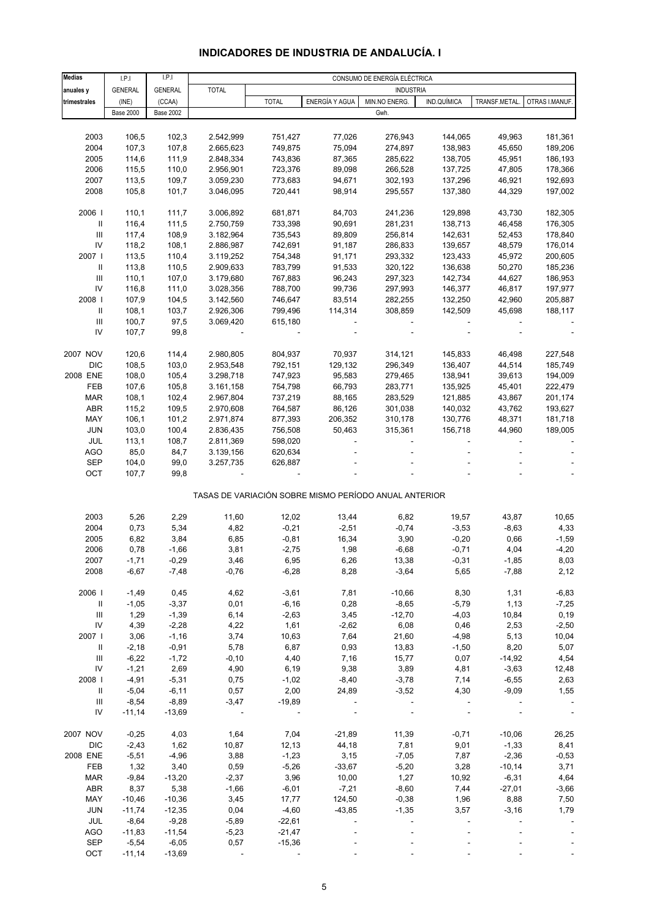# **INDICADORES DE INDUSTRIA DE ANDALUCÍA. I**

| <b>Medias</b>                      | LPI              | I.P.I            |              |              |                | CONSUMO DE ENERGÍA ELÉCTRICA                          |                          |               |                |
|------------------------------------|------------------|------------------|--------------|--------------|----------------|-------------------------------------------------------|--------------------------|---------------|----------------|
| anuales y                          | <b>GENERAL</b>   | <b>GENERAL</b>   | <b>TOTAL</b> |              |                | <b>INDUSTRIA</b>                                      |                          |               |                |
|                                    |                  |                  |              |              | ENERGÍA Y AGUA |                                                       | IND.QUÍMICA              | TRANSF.METAL. |                |
| trimestrales                       | (INE)            | (CCAA)           |              | <b>TOTAL</b> |                | MIN.NO ENERG.                                         |                          |               | OTRAS I.MANUF. |
|                                    | <b>Base 2000</b> | <b>Base 2002</b> |              |              |                | Gwh.                                                  |                          |               |                |
|                                    |                  |                  |              |              |                |                                                       |                          |               |                |
| 2003                               | 106,5            | 102,3            | 2.542,999    | 751,427      | 77,026         | 276,943                                               | 144,065                  | 49,963        | 181,361        |
| 2004                               | 107,3            | 107,8            | 2.665,623    | 749,875      | 75,094         | 274,897                                               | 138,983                  | 45,650        | 189,206        |
| 2005                               | 114,6            | 111,9            | 2.848,334    | 743,836      | 87,365         | 285,622                                               | 138,705                  | 45,951        | 186,193        |
| 2006                               | 115,5            | 110,0            | 2.956,901    | 723,376      | 89,098         | 266,528                                               | 137,725                  | 47,805        | 178,366        |
| 2007                               | 113,5            | 109,7            | 3.059,230    | 773,683      | 94,671         | 302,193                                               | 137,296                  | 46,921        | 192,693        |
| 2008                               | 105,8            | 101,7            | 3.046,095    | 720,441      | 98,914         | 295,557                                               | 137,380                  | 44,329        | 197,002        |
|                                    |                  |                  |              |              |                |                                                       |                          |               |                |
|                                    |                  |                  |              |              |                |                                                       |                          |               |                |
| 2006                               | 110,1            | 111,7            | 3.006,892    | 681,871      | 84,703         | 241,236                                               | 129,898                  | 43,730        | 182,305        |
| Ш                                  | 116,4            | 111,5            | 2.750,759    | 733,398      | 90,691         | 281,231                                               | 138,713                  | 46,458        | 176,305        |
| $\ensuremath{\mathsf{III}}\xspace$ | 117,4            | 108,9            | 3.182,964    | 735,543      | 89,809         | 256,814                                               | 142,631                  | 52,453        | 178,840        |
| ${\sf IV}$                         | 118,2            | 108,1            | 2.886,987    | 742,691      | 91,187         | 286,833                                               | 139,657                  | 48,579        | 176,014        |
| 2007                               | 113,5            | 110,4            | 3.119,252    | 754,348      | 91,171         | 293,332                                               | 123,433                  | 45,972        | 200,605        |
| Ш                                  | 113,8            | 110,5            | 2.909,633    | 783,799      | 91,533         | 320,122                                               | 136,638                  | 50,270        | 185,236        |
| $\mathop{\mathrm{III}}\nolimits$   | 110,1            | 107,0            | 3.179,680    | 767,883      | 96,243         | 297,323                                               | 142,734                  | 44,627        | 186,953        |
| IV                                 | 116,8            | 111,0            | 3.028,356    | 788,700      | 99,736         | 297,993                                               | 146,377                  | 46,817        | 197,977        |
|                                    |                  |                  |              |              |                |                                                       |                          |               |                |
| 2008                               | 107,9            | 104,5            | 3.142,560    | 746,647      | 83,514         | 282,255                                               | 132,250                  | 42,960        | 205,887        |
| Ш                                  | 108,1            | 103,7            | 2.926,306    | 799,496      | 114,314        | 308,859                                               | 142,509                  | 45,698        | 188,117        |
| $\ensuremath{\mathsf{III}}\xspace$ | 100,7            | 97,5             | 3.069,420    | 615,180      |                |                                                       | $\overline{\phantom{a}}$ |               |                |
| IV                                 | 107,7            | 99,8             |              |              |                |                                                       |                          |               |                |
|                                    |                  |                  |              |              |                |                                                       |                          |               |                |
| 2007 NOV                           | 120,6            | 114,4            | 2.980,805    | 804,937      | 70,937         | 314,121                                               | 145,833                  | 46,498        | 227,548        |
| <b>DIC</b>                         | 108,5            | 103,0            | 2.953,548    | 792,151      | 129,132        | 296,349                                               | 136,407                  | 44,514        | 185,749        |
| 2008 ENE                           | 108,0            | 105,4            | 3.298,718    | 747,923      | 95,583         | 279,465                                               | 138,941                  | 39,613        | 194,009        |
|                                    |                  |                  |              |              |                |                                                       |                          |               |                |
| FEB                                | 107,6            | 105,8            | 3.161,158    | 754,798      | 66,793         | 283,771                                               | 135,925                  | 45,401        | 222,479        |
| <b>MAR</b>                         | 108,1            | 102,4            | 2.967,804    | 737,219      | 88,165         | 283,529                                               | 121,885                  | 43,867        | 201,174        |
| ABR                                | 115,2            | 109,5            | 2.970,608    | 764,587      | 86,126         | 301,038                                               | 140,032                  | 43,762        | 193,627        |
| MAY                                | 106,1            | 101,2            | 2.971,874    | 877,393      | 206,352        | 310,178                                               | 130,776                  | 48,371        | 181,718        |
| JUN                                | 103,0            | 100,4            | 2.836,435    | 756,508      | 50,463         | 315,361                                               | 156,718                  | 44,960        | 189,005        |
| JUL                                | 113,1            | 108,7            | 2.811,369    | 598,020      |                |                                                       |                          |               |                |
| <b>AGO</b>                         | 85,0             | 84,7             | 3.139,156    | 620,634      |                |                                                       |                          |               |                |
| SEP                                | 104,0            | 99,0             | 3.257,735    | 626,887      |                |                                                       |                          |               |                |
|                                    |                  |                  |              |              |                |                                                       |                          |               |                |
| OCT                                | 107,7            | 99,8             |              |              |                |                                                       |                          |               |                |
|                                    |                  |                  |              |              |                | TASAS DE VARIACIÓN SOBRE MISMO PERÍODO ANUAL ANTERIOR |                          |               |                |
|                                    |                  |                  |              |              |                |                                                       |                          |               |                |
|                                    |                  |                  |              |              |                |                                                       |                          |               |                |
| 2003                               | 5,26             | 2,29             | 11,60        | 12,02        | 13,44          | 6,82                                                  | 19,57                    | 43,87         | 10,65          |
| 2004                               | 0,73             | 5,34             | 4,82         | $-0,21$      | $-2,51$        | $-0,74$                                               | $-3,53$                  | $-8,63$       | 4,33           |
| 2005                               | 6,82             | 3,84             | 6,85         | $-0,81$      | 16,34          | 3,90                                                  | $-0,20$                  | 0,66          | $-1,59$        |
| 2006                               | 0,78             | $-1,66$          | 3,81         | $-2,75$      | 1,98           | $-6,68$                                               | $-0,71$                  | 4,04          | $-4,20$        |
| 2007                               | $-1,71$          | -0,29            | 3,46         | 6,95         | 6,26           | 13,38                                                 | $-0,31$                  | -1,85         | 8,03           |
| 2008                               | $-6,67$          | $-7,48$          | $-0,76$      | $-6,28$      | 8,28           | $-3,64$                                               | 5,65                     | $-7,88$       | 2,12           |
|                                    |                  |                  |              |              |                |                                                       |                          |               |                |
| 2006                               | $-1,49$          | 0,45             | 4,62         | $-3,61$      | 7,81           | $-10,66$                                              | 8,30                     | 1,31          | $-6,83$        |
|                                    |                  |                  |              |              |                |                                                       |                          |               |                |
| Ш                                  | $-1,05$          | $-3,37$          | 0,01         | $-6,16$      | 0,28           | $-8,65$                                               | $-5,79$                  | 1,13          | $-7,25$        |
| $\ensuremath{\mathsf{III}}\xspace$ | 1,29             | $-1,39$          | 6,14         | $-2,63$      | 3,45           | $-12,70$                                              | $-4,03$                  | 10,84         | 0, 19          |
| ${\sf IV}$                         | 4,39             | $-2,28$          | 4,22         | 1,61         | $-2,62$        | 6,08                                                  | 0,46                     | 2,53          | $-2,50$        |
| 2007                               | 3,06             | $-1,16$          | 3,74         | 10,63        | 7,64           | 21,60                                                 | $-4,98$                  | 5,13          | 10,04          |
| Ш                                  | $-2,18$          | $-0,91$          | 5,78         | 6,87         | 0,93           | 13,83                                                 | $-1,50$                  | 8,20          | 5,07           |
| Ш                                  | $-6,22$          | $-1,72$          | $-0, 10$     | 4,40         | 7,16           | 15,77                                                 | 0,07                     | $-14,92$      | 4,54           |
| ${\sf IV}$                         | $-1,21$          | 2,69             | 4,90         | 6,19         | 9,38           | 3,89                                                  | 4,81                     | $-3,63$       | 12,48          |
| 2008                               | $-4,91$          | $-5,31$          | 0,75         | $-1,02$      | $-8,40$        | $-3,78$                                               | 7,14                     | $-6,55$       | 2,63           |
| Ш                                  | $-5,04$          | $-6, 11$         | 0,57         | 2,00         | 24,89          | $-3,52$                                               | 4,30                     | $-9,09$       | 1,55           |
|                                    |                  |                  |              |              |                |                                                       |                          |               |                |
| $\ensuremath{\mathsf{III}}\xspace$ | $-8,54$          | $-8,89$          | $-3,47$      | $-19,89$     |                |                                                       |                          |               |                |
| IV                                 | $-11,14$         | $-13,69$         |              |              |                |                                                       |                          |               | $\Box$         |
|                                    |                  |                  |              |              |                |                                                       |                          |               |                |
| 2007 NOV                           | $-0,25$          | 4,03             | 1,64         | 7,04         | $-21,89$       | 11,39                                                 | $-0,71$                  | $-10,06$      | 26,25          |
| <b>DIC</b>                         | $-2,43$          | 1,62             | 10,87        | 12, 13       | 44,18          | 7,81                                                  | 9,01                     | $-1,33$       | 8,41           |
| 2008 ENE                           | $-5,51$          | $-4,96$          | 3,88         | $-1,23$      | 3,15           | $-7,05$                                               | 7,87                     | $-2,36$       | $-0,53$        |
| FEB                                | 1,32             | 3,40             | 0,59         | $-5,26$      | $-33,67$       | $-5,20$                                               | 3,28                     | $-10,14$      | 3,71           |
| <b>MAR</b>                         | $-9,84$          | $-13,20$         | $-2,37$      | 3,96         | 10,00          | 1,27                                                  | 10,92                    | $-6,31$       | 4,64           |
| <b>ABR</b>                         |                  |                  |              |              |                |                                                       |                          |               |                |
|                                    | 8,37             | 5,38             | $-1,66$      | $-6,01$      | $-7,21$        | $-8,60$                                               | 7,44                     | $-27,01$      | $-3,66$        |
| MAY                                | $-10,46$         | $-10,36$         | 3,45         | 17,77        | 124,50         | $-0,38$                                               | 1,96                     | 8,88          | 7,50           |
| <b>JUN</b>                         | $-11,74$         | $-12,35$         | 0,04         | $-4,60$      | $-43,85$       | $-1,35$                                               | 3,57                     | $-3,16$       | 1,79           |
| JUL                                | $-8,64$          | $-9,28$          | $-5,89$      | $-22,61$     |                |                                                       |                          |               |                |
| AGO                                | $-11,83$         | $-11,54$         | $-5,23$      | $-21,47$     |                |                                                       |                          |               |                |
| <b>SEP</b>                         | $-5,54$          | $-6,05$          | 0,57         | $-15,36$     |                |                                                       |                          |               |                |
| OCT                                | $-11,14$         | $-13,69$         |              |              |                |                                                       |                          |               |                |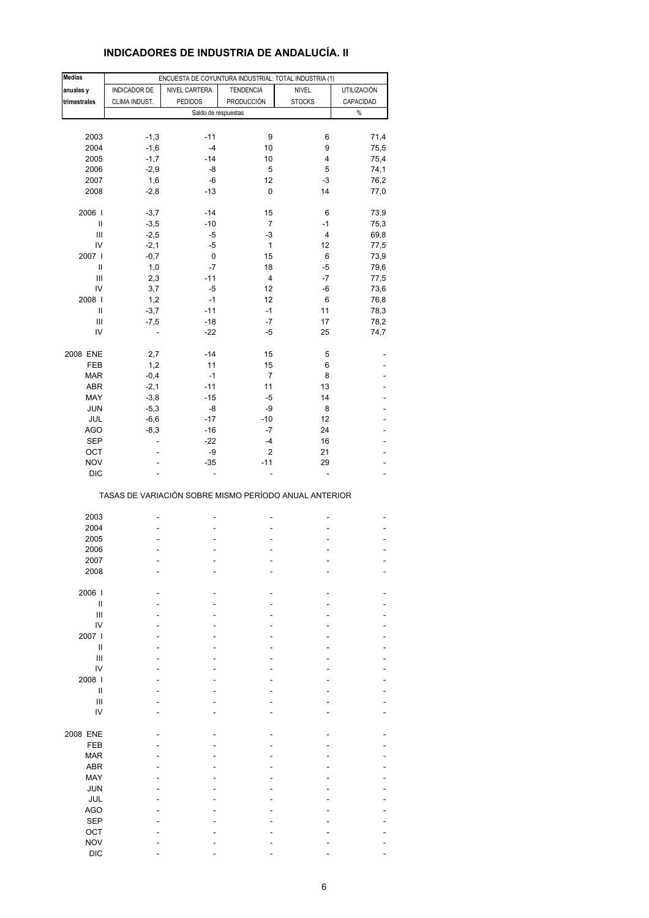# **INDICADORES DE INDUSTRIA DE ANDALUCÍA. II**

| <b>Medias</b>                      |                          | ENCUESTA DE COYUNTURA INDUSTRIAL: TOTAL INDUSTRIA (1) |                         |               |                    |
|------------------------------------|--------------------------|-------------------------------------------------------|-------------------------|---------------|--------------------|
| anuales y                          | INDICADOR DE             | NIVEL CARTERA                                         | <b>TENDENCIA</b>        | <b>NIVEL</b>  | <b>UTILIZACIÓN</b> |
| trimestrales                       | CLIMA INDUST.            | <b>PEDIDOS</b>                                        | <b>PRODUCCIÓN</b>       | <b>STOCKS</b> | CAPACIDAD          |
|                                    |                          | Saldo de respuestas                                   |                         |               | $\%$               |
|                                    |                          |                                                       |                         |               |                    |
| 2003                               | $-1,3$                   | $-11$                                                 | 9                       | 6             | 71,4               |
|                                    |                          | $-4$                                                  | 10                      | 9             |                    |
| 2004                               | $-1,6$                   |                                                       |                         |               | 75,5               |
| 2005                               | $-1,7$                   | $-14$                                                 | 10                      | 4             | 75,4               |
| 2006                               | $-2,9$                   | -8                                                    | 5                       | 5             | 74,1               |
| 2007                               | 1,6                      | -6                                                    | 12                      | $-3$          | 76,2               |
| 2008                               | $-2,8$                   | $-13$                                                 | 0                       | 14            | 77,0               |
|                                    |                          |                                                       |                         |               |                    |
| 2006                               | $-3,7$                   | $-14$                                                 | 15                      | 6             | 73,9               |
| $\ensuremath{\mathsf{II}}$         | $-3,5$                   | $-10$                                                 | $\overline{7}$          | $-1$          | 75,3               |
| $\ensuremath{\mathsf{III}}\xspace$ | $-2,5$                   | -5                                                    | -3                      | 4             | 69,8               |
| IV                                 | $-2,1$                   | $-5$                                                  | $\mathbf{1}$            | 12            | 77,5               |
| 2007 l                             | $-0,7$                   | 0                                                     | 15                      | 6             | 73,9               |
| Ш                                  | 1,0                      | -7                                                    | 18                      | -5            | 79,6               |
| Ш                                  | 2,3                      | $-11$                                                 | $\overline{\mathbf{4}}$ | $-7$          | 77,5               |
| IV                                 | 3,7                      | -5                                                    | 12                      | -6            | 73,6               |
| 2008                               | 1,2                      | $-1$                                                  | 12                      | 6             | 76,8               |
| Ш                                  | $-3,7$                   | $-11$                                                 | $-1$                    | 11            | 78,3               |
| Ш                                  | $-7,5$                   | $-18$                                                 | $-7$                    | 17            | 78,2               |
| IV                                 | $\overline{\phantom{a}}$ | $-22$                                                 | -5                      | 25            | 74,7               |
|                                    |                          |                                                       |                         |               |                    |
| 2008 ENE                           | 2,7                      | $-14$                                                 | 15                      | 5             |                    |
| FEB                                | 1,2                      | 11                                                    | 15                      | 6             |                    |
| <b>MAR</b>                         | $-0,4$                   | $-1$                                                  | $\overline{7}$          | 8             |                    |
| ABR                                | $-2,1$                   | $-11$                                                 | 11                      | 13            |                    |
| MAY                                | $-3,8$                   | $-15$                                                 | $-5$                    | 14            |                    |
|                                    |                          |                                                       |                         |               |                    |
| JUN                                | $-5,3$                   | -8                                                    | -9                      | 8             | ä,                 |
| JUL                                | $-6,6$                   | $-17$                                                 | $-10$                   | 12            |                    |
| <b>AGO</b>                         | $-8,3$                   | -16                                                   | -7                      | 24            |                    |
| <b>SEP</b>                         | ÷,                       | $-22$                                                 | $-4$                    | 16            | ä,                 |
| OCT                                |                          | -9                                                    | $\mathbf 2$             | 21            |                    |
| <b>NOV</b>                         |                          | $-35$                                                 | $-11$                   | 29            |                    |
| <b>DIC</b>                         |                          | ÷,                                                    | ÷,                      |               | ä,                 |
|                                    |                          | TASAS DE VARIACIÓN SOBRE MISMO PERÍODO ANUAL ANTERIOR |                         |               |                    |
|                                    |                          |                                                       |                         |               |                    |
| 2003                               |                          |                                                       |                         |               |                    |
| 2004                               |                          |                                                       |                         |               |                    |
| 2005                               |                          |                                                       |                         |               |                    |
| 2006                               |                          |                                                       |                         |               |                    |
| 2007                               |                          |                                                       |                         |               |                    |
| 2008                               |                          |                                                       |                         |               |                    |
|                                    |                          |                                                       |                         |               |                    |
| 2006                               |                          |                                                       |                         |               |                    |
| Ш                                  |                          |                                                       |                         |               |                    |
| $\mathbf{III}$                     |                          |                                                       |                         |               |                    |
| IV                                 |                          |                                                       |                         |               |                    |
| 2007 l                             |                          |                                                       |                         |               |                    |
| Ш                                  |                          |                                                       |                         |               |                    |
| Ш                                  |                          |                                                       |                         |               |                    |
| IV                                 |                          |                                                       |                         |               |                    |
| 2008                               |                          |                                                       |                         |               |                    |
| Ш                                  |                          |                                                       |                         |               |                    |
| $\mathsf{III}$                     |                          |                                                       |                         |               |                    |
| IV                                 |                          |                                                       |                         |               |                    |
|                                    |                          |                                                       |                         |               |                    |
| 2008 ENE                           |                          |                                                       |                         |               |                    |
| FEB                                |                          |                                                       |                         |               |                    |
|                                    |                          |                                                       |                         |               |                    |
| <b>MAR</b>                         |                          |                                                       |                         |               |                    |
| ABR                                |                          |                                                       |                         |               |                    |
| MAY                                |                          |                                                       |                         |               |                    |
| <b>JUN</b>                         |                          |                                                       |                         |               |                    |
| JUL                                |                          |                                                       |                         |               |                    |
| <b>AGO</b>                         |                          |                                                       |                         |               |                    |
| <b>SEP</b>                         |                          |                                                       |                         |               |                    |
| OCT                                |                          |                                                       |                         |               |                    |
| <b>NOV</b>                         |                          |                                                       |                         |               |                    |
| <b>DIC</b>                         |                          |                                                       |                         |               |                    |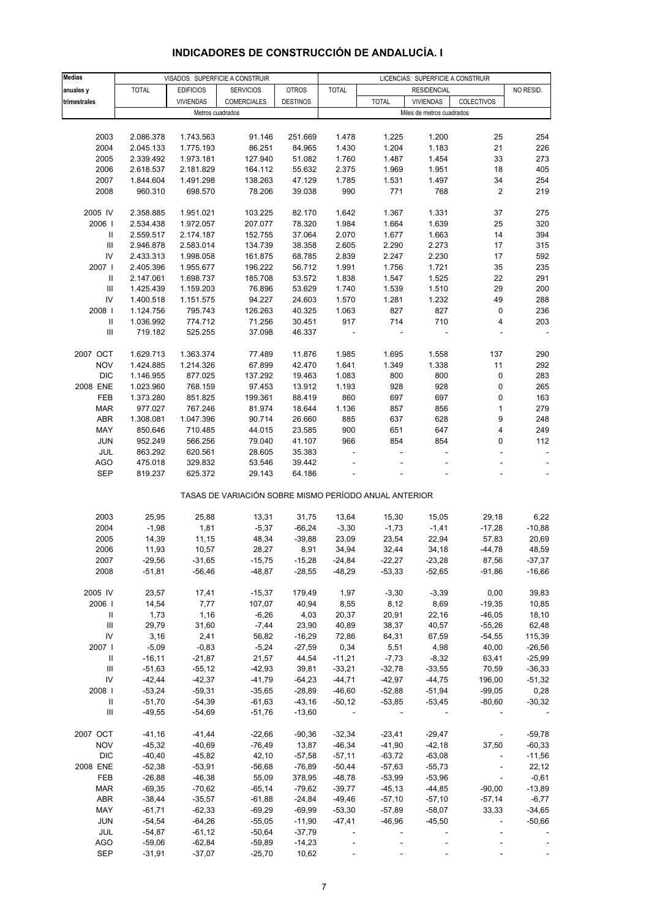#### **Medias anuales y | TOTAL | EDIFICIOS | SERVICIOS | OTROS | TOTAL | RESIDENCIAL | NO RESID. trimestrales** VIVIENDAS COMERCIALES DESTINOS TOTAL VIVIENDAS COLECTIVOS 2003 2.086.378 1.743.563 91.146 251.669 1.478 1.225 1.200 25 254 2004 2.045.133 1.775.193 86.251 84.965 1.430 1.204 1.183 21 226 2005 2.339.492 1.973.181 127.940 51.082 1.760 1.487 1.454 33 273 2006 2.618.537 2.181.829 164.112 55.632 2.375 1.969 1.951 18 405 2007 1.844.604 1.491.298 138.263 47.129 1.785 1.531 1.497 34 254 2008 960.310 698.570 78.206 39.038 990 771 768 2 219 2005 IV 2.358.885 1.951.021 103.225 82.170 1.642 1.367 1.331 37 275 2006 I 2.534.438 1.972.057 207.077 78.320 1.984 1.664 1.639 25 320 II 2.559.517 2.174.187 152.755 37.064 2.070 1.677 1.663 14 394 III 2.946.878 2.583.014 134.739 38.358 2.605 2.290 2.273 17 315 IV 2.433.313 1.998.058 161.875 68.785 2.839 2.247 2.230 17 592 2007 I 2.405.396 1.955.677 196.222 56.712 1.991 1.756 1.721 35 235 II 2.147.061 1.698.737 185.708 53.572 1.838 1.547 1.525 22 291 III 1.425.439 1.159.203 76.896 53.629 1.740 1.539 1.510 29 200 IV 1.400.518 1.151.575 94.227 24.603 1.570 1.281 1.232 49 288 2008 I 1.124.756 795.743 126.263 40.325 1.063 827 827 0 236 II 1.036.992 774.712 71.256 30.451 917 714 710 4 203 III 719.182 525.255 37.098 46.337 - - - - - 2007 OCT 1.629.713 1.363.374 77.489 11.876 1.985 1.695 1.558 137 290 NOV 1.424.885 1.214.326 67.899 42.470 1.641 1.349 1.338 11 292 DIC 1.146.955 877.025 137.292 19.463 1.083 800 800 0 283 2008 ENE 1.023.960 768.159 97.453 13.912 1.193 928 928 0 265 FEB 1.373.280 851.825 199.361 88.419 860 697 697 0 163 MAR 977.027 767.246 81.974 18.644 1.136 857 856 1 279 ABR 1.308.081 1.047.396 90.714 26.660 885 637 628 9 248 MAY 850.646 710.485 44.015 23.585 900 651 647 4 249 JUN 952.249 566.256 79.040 41.107 966 854 854 0 112 JUL 863.292 620.561 28.605 35.383 - - - - - AGO 475.018 329.832 53.546 39.442 - - - - - SEP 819.237 625.372 29.143 64.186 - - - - - 2003 25,95 25,88 13,31 31,75 13,64 15,30 15,05 29,18 6,22 2004 -1,98 1,81 -5,37 -66,24 -3,30 -1,73 -1,41 -17,28 -10,88 2005 14,39 11,15 48,34 -39,88 23,09 23,54 22,94 57,83 20,69 2006 11,93 10,57 28,27 8,91 34,94 32,44 34,18 -44,78 48,59 2007 -29,56 -31,65 -15,75 -15,28 -24,84 -22,27 -23,28 87,56 -37,37 2008 -51,81 -56,46 -48,87 -28,55 -48,29 -53,33 -52,65 -91,86 -16,66 2005 IV 23,57 17,41 -15,37 179,49 1,97 -3,30 -3,39 0,00 39,83 2006 I 14,54 7,77 107,07 40,94 8,55 8,12 8,69 -19,35 10,85 II 1,73 1,16 -6,26 4,03 20,37 20,91 22,16 -46,05 18,10 III 29,79 31,60 -7,44 23,90 40,89 38,37 40,57 -55,26 62,48 IV 3,16 2,41 56,82 -16,29 72,86 64,31 67,59 -54,55 115,39 2007 I -5,09 -0,83 -5,24 -27,59 0,34 5,51 4,98 40,00 -26,56 II -16,11 -21,87 21,57 44,54 -11,21 -7,73 -8,32 63,41 -25,99 III -51,63 -55,12 -42,93 39,81 -33,21 -32,78 -33,55 70,59 -36,33 IV -42,44 -42,37 -41,79 -64,23 -44,71 -42,97 -44,75 196,00 -51,32 2008 I -53,24 -59,31 -35,65 -28,89 -46,60 -52,88 -51,94 -99,05 0,28 II -51,70 -54,39 -61,63 -43,16 -50,12 -53,85 -53,45 -80,60 -30,32 III -49,55 -54,69 -51,76 -13,60 - - - - - 2007 OCT -41,16 -41,44 -22,66 -90,36 -32,34 -23,41 -29,47 - -59,78 NOV -45,32 -40,69 -76,49 13,87 -46,34 -41,90 -42,18 37,50 -60,33 DIC -40,40 -45,82 42,10 -57,58 -57,11 -63,72 -63,08 - -11,56 2008 ENE -52,38 -53,91 -56,68 -76,89 -50,44 -57,63 -55,73 - 22,12 FEB -26,88 -46,38 55,09 378,95 -48,78 -53,99 -53,96 - -0,61 MAR -69,35 -70,62 -65,14 -79,62 -39,77 -45,13 -44,85 -90,00 -13,89 ABR -38,44 -35,57 -61,88 -24,84 -49,46 -57,10 -57,10 -57,14 -6,77 MAY -61,71 -62,33 -69,29 -69,99 -53,30 -57,89 -58,07 33,33 -34,65 JUN -54,54 -64,26 -55,05 -11,90 -47,41 -46,96 -45,50 - -50,66 JUL -54,87 -61,12 -50,64 -37,79 - - - - - AGO -59,06 -62,84 -59,89 -14,23 - - - - - - - - - -TASAS DE VARIACIÓN SOBRE MISMO PERÍODO ANUAL ANTERIOR VISADOS: SUPERFICIE A CONSTRUIR LICENCIAS: SUPERFICIE A CONSTRUIR RESIDENCIAL Metros cuadrados Miles de metros cuadrados

#### **INDICADORES DE CONSTRUCCIÓN DE ANDALUCÍA. I**

SEP -31,91 -37,07 -25,70 10,62 - - - - - - - - -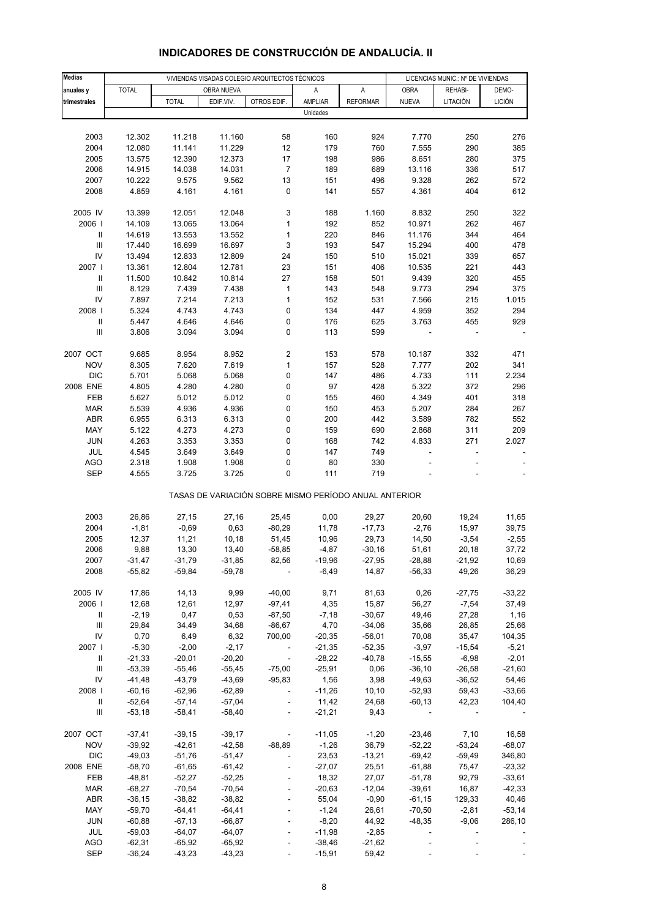| <b>Medias</b>                            |                      |                      |                      | VIVIENDAS VISADAS COLEGIO ARQUITECTOS TÉCNICOS        |                  |                      | LICENCIAS MUNIC.: Nº DE VIVIENDAS |                   |                   |  |
|------------------------------------------|----------------------|----------------------|----------------------|-------------------------------------------------------|------------------|----------------------|-----------------------------------|-------------------|-------------------|--|
| anuales y                                | <b>TOTAL</b>         |                      | OBRA NUEVA           |                                                       | Α                | A                    | <b>OBRA</b>                       | REHABI-           | DEMO-             |  |
| trimestrales                             |                      | <b>TOTAL</b>         | EDIF.VIV.            | OTROS EDIF.                                           | <b>AMPLIAR</b>   | <b>REFORMAR</b>      | <b>NUEVA</b>                      | LITACIÓN          | <b>LICIÓN</b>     |  |
|                                          |                      |                      |                      |                                                       | Unidades         |                      |                                   |                   |                   |  |
|                                          |                      |                      |                      |                                                       |                  |                      |                                   |                   |                   |  |
| 2003                                     | 12.302               | 11.218               | 11.160               | 58                                                    | 160              | 924                  | 7.770                             | 250               | 276               |  |
| 2004                                     | 12.080               | 11.141               | 11.229               | 12                                                    | 179              | 760                  | 7.555                             | 290               | 385               |  |
| 2005                                     | 13.575               | 12.390               | 12.373               | 17                                                    | 198              | 986                  | 8.651                             | 280               | 375               |  |
| 2006                                     | 14.915               | 14.038               | 14.031               | $\overline{\mathcal{I}}$                              | 189              | 689                  | 13.116                            | 336               | 517               |  |
| 2007                                     | 10.222               | 9.575                | 9.562                | 13                                                    | 151              | 496                  | 9.328                             | 262               | 572               |  |
| 2008                                     | 4.859                | 4.161                | 4.161                | 0                                                     | 141              | 557                  | 4.361                             | 404               | 612               |  |
|                                          |                      |                      |                      |                                                       |                  |                      |                                   |                   |                   |  |
| 2005 IV                                  | 13.399               | 12.051               | 12.048               | 3                                                     | 188              | 1.160                | 8.832                             | 250               | 322               |  |
| 2006  <br>Ш                              | 14.109<br>14.619     | 13.065<br>13.553     | 13.064<br>13.552     | $\mathbf{1}$<br>1                                     | 192<br>220       | 852<br>846           | 10.971<br>11.176                  | 262<br>344        | 467<br>464        |  |
| $\ensuremath{\mathsf{III}}\xspace$       | 17.440               | 16.699               | 16.697               | 3                                                     | 193              | 547                  | 15.294                            | 400               | 478               |  |
| IV                                       | 13.494               | 12.833               | 12.809               | 24                                                    | 150              | 510                  | 15.021                            | 339               | 657               |  |
| 2007 l                                   | 13.361               | 12.804               | 12.781               | 23                                                    | 151              | 406                  | 10.535                            | 221               | 443               |  |
| $\ensuremath{\mathsf{II}}$               | 11.500               | 10.842               | 10.814               | 27                                                    | 158              | 501                  | 9.439                             | 320               | 455               |  |
| $\ensuremath{\mathsf{III}}\xspace$       | 8.129                | 7.439                | 7.438                | 1                                                     | 143              | 548                  | 9.773                             | 294               | 375               |  |
| IV                                       | 7.897                | 7.214                | 7.213                | 1                                                     | 152              | 531                  | 7.566                             | 215               | 1.015             |  |
| 2008                                     | 5.324                | 4.743                | 4.743                | 0                                                     | 134              | 447                  | 4.959                             | 352               | 294               |  |
| $\sf II$                                 | 5.447                | 4.646                | 4.646                | 0                                                     | 176              | 625                  | 3.763                             | 455               | 929               |  |
| $\ensuremath{\mathsf{III}}\xspace$       | 3.806                | 3.094                | 3.094                | 0                                                     | 113              | 599                  |                                   |                   |                   |  |
|                                          |                      |                      |                      |                                                       |                  |                      |                                   |                   |                   |  |
| 2007 OCT                                 | 9.685                | 8.954                | 8.952                | 2                                                     | 153              | 578                  | 10.187                            | 332               | 471               |  |
| <b>NOV</b>                               | 8.305                | 7.620                | 7.619                | 1                                                     | 157              | 528                  | 7.777                             | 202               | 341               |  |
| <b>DIC</b>                               | 5.701                | 5.068                | 5.068                | 0                                                     | 147              | 486                  | 4.733                             | 111               | 2.234             |  |
| 2008 ENE                                 | 4.805                | 4.280                | 4.280                | 0                                                     | 97               | 428                  | 5.322                             | 372               | 296               |  |
| FEB<br>MAR                               | 5.627<br>5.539       | 5.012<br>4.936       | 5.012<br>4.936       | 0<br>0                                                | 155<br>150       | 460<br>453           | 4.349<br>5.207                    | 401<br>284        | 318<br>267        |  |
| <b>ABR</b>                               | 6.955                | 6.313                | 6.313                | 0                                                     | 200              | 442                  | 3.589                             | 782               | 552               |  |
| MAY                                      | 5.122                | 4.273                | 4.273                | 0                                                     | 159              | 690                  | 2.868                             | 311               | 209               |  |
| <b>JUN</b>                               | 4.263                | 3.353                | 3.353                | 0                                                     | 168              | 742                  | 4.833                             | 271               | 2.027             |  |
| JUL                                      | 4.545                | 3.649                | 3.649                | 0                                                     | 147              | 749                  | ÷                                 | ÷                 | ÷,                |  |
| <b>AGO</b>                               | 2.318                | 1.908                | 1.908                | 0                                                     | 80               | 330                  |                                   |                   |                   |  |
| <b>SEP</b>                               | 4.555                | 3.725                | 3.725                | 0                                                     | 111              | 719                  |                                   |                   |                   |  |
|                                          |                      |                      |                      | TASAS DE VARIACIÓN SOBRE MISMO PERÍODO ANUAL ANTERIOR |                  |                      |                                   |                   |                   |  |
| 2003                                     | 26,86                | 27,15                | 27,16                | 25,45                                                 | 0,00             | 29,27                | 20,60                             | 19,24             | 11,65             |  |
| 2004                                     | $-1,81$              | $-0,69$              | 0,63                 | $-80,29$                                              | 11,78            | $-17,73$             | $-2,76$                           | 15,97             | 39,75             |  |
| 2005                                     | 12,37                | 11,21                | 10, 18               | 51,45                                                 | 10,96            | 29,73                | 14,50                             | $-3,54$           | $-2,55$           |  |
| 2006                                     | 9,88                 | 13,30                | 13,40                | $-58,85$                                              | $-4,87$          | $-30,16$             | 51,61                             | 20,18             | 37,72             |  |
| 2007                                     | -31,47               | -31,79               | $-31,85$             | 82,56                                                 | -19,96           | -27,95               | -28,88                            | -21,92            | 10,69             |  |
| 2008                                     | $-55,82$             | $-59,84$             | $-59,78$             |                                                       | $-6,49$          | 14,87                | $-56,33$                          | 49,26             | 36,29             |  |
|                                          |                      |                      |                      |                                                       |                  |                      |                                   |                   |                   |  |
| 2005 IV                                  | 17,86                | 14,13                | 9,99                 | $-40,00$                                              | 9,71             | 81,63                | 0,26                              | $-27,75$          | $-33,22$          |  |
| 2006                                     | 12,68                | 12,61                | 12,97                | $-97,41$                                              | 4,35             | 15,87                | 56,27                             | $-7,54$           | 37,49             |  |
| Ш                                        | $-2,19$              | 0,47                 | 0,53                 | $-87,50$                                              | $-7,18$          | $-30,67$             | 49,46                             | 27,28             | 1,16              |  |
| $\ensuremath{\mathsf{III}}\xspace$<br>IV | 29,84<br>0,70        | 34,49<br>6,49        | 34,68<br>6,32        | $-86,67$<br>700,00                                    | 4,70<br>$-20,35$ | $-34,06$<br>$-56,01$ | 35,66<br>70,08                    | 26,85<br>35,47    | 25,66<br>104,35   |  |
| 2007                                     | $-5,30$              | $-2,00$              | $-2,17$              |                                                       | $-21,35$         | $-52,35$             | $-3,97$                           | $-15,54$          | $-5,21$           |  |
| Ш                                        | $-21,33$             | $-20,01$             | $-20,20$             | $\overline{\phantom{a}}$                              | $-28,22$         | $-40,78$             | $-15,55$                          | $-6,98$           | $-2,01$           |  |
| Ш                                        | $-53,39$             | $-55,46$             | $-55,45$             | $-75,00$                                              | $-25,91$         | 0,06                 | $-36,10$                          | $-26,58$          | $-21,60$          |  |
| IV                                       | $-41,48$             | $-43,79$             | $-43,69$             | $-95,83$                                              | 1,56             | 3,98                 | $-49,63$                          | $-36,52$          | 54,46             |  |
| 2008                                     | $-60,16$             | $-62,96$             | $-62,89$             | $\blacksquare$                                        | $-11,26$         | 10, 10               | $-52,93$                          | 59,43             | $-33,66$          |  |
| Ш                                        | $-52,64$             | $-57,14$             | $-57,04$             | $\blacksquare$                                        | 11,42            | 24,68                | $-60, 13$                         | 42,23             | 104,40            |  |
| Ш                                        | $-53,18$             | $-58,41$             | $-58,40$             | $\overline{\phantom{a}}$                              | $-21,21$         | 9,43                 |                                   |                   |                   |  |
|                                          |                      |                      |                      |                                                       |                  |                      |                                   |                   |                   |  |
| 2007 OCT                                 | $-37,41$             | $-39,15$             | $-39,17$             | $\Box$                                                | $-11,05$         | $-1,20$              | $-23,46$                          | 7,10              | 16,58             |  |
| <b>NOV</b>                               | $-39,92$             | $-42,61$             | $-42,58$             | $-88,89$                                              | $-1,26$          | 36,79                | $-52,22$                          | $-53,24$          | $-68,07$          |  |
| <b>DIC</b>                               | $-49,03$             | $-51,76$             | $-51,47$             | $\overline{\phantom{a}}$                              | 23,53            | $-13,21$             | $-69,42$                          | $-59,49$          | 346,80            |  |
| 2008 ENE                                 | $-58,70$             | $-61,65$             | $-61,42$             | L,                                                    | $-27,07$         | 25,51                | $-61,88$                          | 75,47             | $-23,32$          |  |
| FEB                                      | $-48,81$             | $-52,27$             | $-52,25$             | ÷                                                     | 18,32            | 27,07                | $-51,78$                          | 92,79             | $-33,61$          |  |
| <b>MAR</b>                               | $-68,27$             | $-70,54$             | $-70,54$             |                                                       | $-20,63$         | $-12,04$             | $-39,61$                          | 16,87             | $-42,33$          |  |
| <b>ABR</b><br>MAY                        | $-36,15$<br>$-59,70$ | $-38,82$<br>$-64,41$ | $-38,82$<br>$-64,41$ | L,                                                    | 55,04<br>$-1,24$ | $-0,90$<br>26,61     | $-61,15$<br>$-70,50$              | 129,33<br>$-2,81$ | 40,46<br>$-53,14$ |  |
| <b>JUN</b>                               | $-60,88$             | $-67,13$             | $-66,87$             | ÷,                                                    | $-8,20$          | 44,92                | $-48,35$                          | $-9,06$           | 286,10            |  |
| JUL                                      | $-59,03$             | $-64,07$             | $-64,07$             | $\overline{a}$                                        | $-11,98$         | $-2,85$              | $\overline{\phantom{a}}$          |                   |                   |  |
| <b>AGO</b>                               | $-62,31$             | $-65,92$             | $-65,92$             |                                                       | $-38,46$         | $-21,62$             |                                   |                   |                   |  |
| <b>SEP</b>                               | $-36,24$             | $-43,23$             | $-43,23$             |                                                       | $-15,91$         | 59,42                |                                   |                   |                   |  |
|                                          |                      |                      |                      |                                                       |                  |                      |                                   |                   |                   |  |

## **INDICADORES DE CONSTRUCCIÓN DE ANDALUCÍA. II**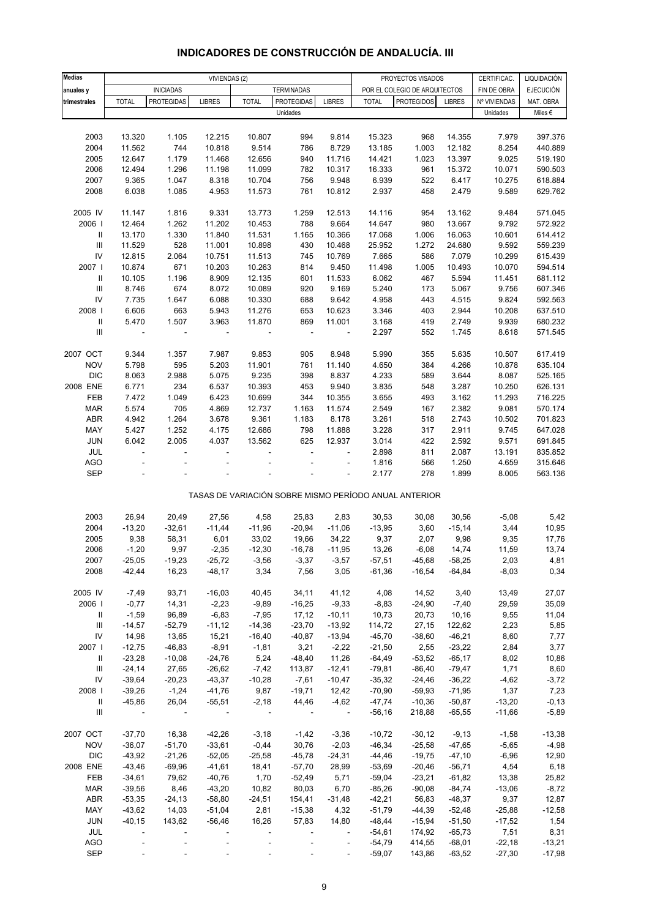| Medias                     |                          |                          | VIVIENDAS (2)     |                      |                          |                          |                    | PROYECTOS VISADOS                                     |                    | CERTIFICAC.      | LIQUIDACIÓN        |
|----------------------------|--------------------------|--------------------------|-------------------|----------------------|--------------------------|--------------------------|--------------------|-------------------------------------------------------|--------------------|------------------|--------------------|
| anuales y                  |                          | <b>INICIADAS</b>         |                   |                      | <b>TERMINADAS</b>        |                          |                    | POR EL COLEGIO DE ARQUITECTOS                         |                    | FIN DE OBRA      | <b>EJECUCIÓN</b>   |
| trimestrales               | <b>TOTAL</b>             | <b>PROTEGIDAS</b>        | <b>LIBRES</b>     | <b>TOTAL</b>         | <b>PROTEGIDAS</b>        | <b>LIBRES</b>            | <b>TOTAL</b>       | <b>PROTEGIDOS</b>                                     | <b>LIBRES</b>      | Nº VIVIENDAS     | MAT. OBRA          |
|                            |                          |                          |                   |                      | Unidades                 |                          |                    |                                                       |                    | Unidades         | Miles €            |
|                            |                          |                          |                   |                      |                          |                          |                    |                                                       |                    |                  |                    |
| 2003                       | 13.320                   | 1.105                    | 12.215            | 10.807               | 994                      | 9.814                    | 15.323             | 968                                                   | 14.355             | 7.979            | 397.376            |
| 2004                       | 11.562                   | 744                      | 10.818            | 9.514                | 786                      | 8.729                    | 13.185             | 1.003                                                 | 12.182             | 8.254            | 440.889            |
| 2005                       | 12.647                   | 1.179                    | 11.468            | 12.656               | 940                      | 11.716                   | 14.421             | 1.023                                                 | 13.397             | 9.025            | 519.190            |
| 2006                       | 12.494                   | 1.296                    | 11.198            | 11.099               | 782                      | 10.317                   | 16.333             | 961                                                   | 15.372             | 10.071           | 590.503            |
| 2007                       | 9.365                    | 1.047                    | 8.318             | 10.704               | 756                      | 9.948                    | 6.939              | 522                                                   | 6.417              | 10.275           | 618.884            |
| 2008                       | 6.038                    | 1.085                    | 4.953             | 11.573               | 761                      | 10.812                   | 2.937              | 458                                                   | 2.479              | 9.589            | 629.762            |
|                            |                          |                          |                   |                      |                          |                          |                    |                                                       |                    |                  |                    |
| 2005 IV                    | 11.147                   | 1.816                    | 9.331             | 13.773               | 1.259                    | 12.513                   | 14.116             | 954                                                   | 13.162             | 9.484            | 571.045            |
| 2006                       | 12.464                   | 1.262                    | 11.202            | 10.453               | 788                      | 9.664                    | 14.647             | 980                                                   | 13.667             | 9.792            | 572.922            |
| Ш                          | 13.170                   | 1.330                    | 11.840            | 11.531               | 1.165                    | 10.366                   | 17.068             | 1.006                                                 | 16.063             | 10.601           | 614.412            |
| $\mathbf{III}$             | 11.529                   | 528                      | 11.001            | 10.898               | 430                      | 10.468                   | 25.952             | 1.272                                                 | 24.680             | 9.592            | 559.239            |
| IV                         | 12.815                   | 2.064                    | 10.751            | 11.513               | 745                      | 10.769                   | 7.665              | 586                                                   | 7.079              | 10.299           | 615.439            |
| 2007 l                     | 10.874                   | 671                      | 10.203            | 10.263               | 814                      | 9.450                    | 11.498             | 1.005                                                 | 10.493             | 10.070           | 594.514            |
| Ш                          | 10.105                   | 1.196                    | 8.909             | 12.135               | 601                      | 11.533                   | 6.062              | 467                                                   | 5.594              | 11.451           | 681.112            |
| $\mathbf{III}$             | 8.746                    | 674                      | 8.072             | 10.089               | 920                      | 9.169                    | 5.240              | 173                                                   | 5.067              | 9.756            | 607.346            |
| IV                         | 7.735                    | 1.647                    | 6.088             | 10.330               | 688                      | 9.642                    | 4.958              | 443                                                   | 4.515              | 9.824            | 592.563            |
| 2008                       | 6.606                    | 663                      | 5.943             | 11.276               | 653                      | 10.623                   | 3.346              | 403                                                   | 2.944              | 10.208           | 637.510            |
| $\ensuremath{\mathsf{II}}$ | 5.470                    | 1.507                    | 3.963             | 11.870               | 869                      | 11.001                   | 3.168              | 419                                                   | 2.749              | 9.939            | 680.232            |
| Ш                          | $\overline{a}$           | $\overline{a}$           | ÷                 | ÷,                   | $\overline{\phantom{a}}$ | $\blacksquare$           | 2.297              | 552                                                   | 1.745              | 8.618            | 571.545            |
|                            |                          |                          |                   |                      |                          |                          |                    |                                                       |                    |                  |                    |
| 2007 OCT                   | 9.344                    | 1.357                    | 7.987             | 9.853                | 905                      | 8.948                    | 5.990              | 355                                                   | 5.635              | 10.507           | 617.419            |
| <b>NOV</b>                 | 5.798                    | 595                      | 5.203             | 11.901               | 761                      | 11.140                   | 4.650              | 384                                                   | 4.266              | 10.878           | 635.104            |
| <b>DIC</b><br>2008 ENE     | 8.063                    | 2.988                    | 5.075             | 9.235                | 398                      | 8.837                    | 4.233<br>3.835     | 589                                                   | 3.644              | 8.087            | 525.165<br>626.131 |
| FEB                        | 6.771                    | 234<br>1.049             | 6.537<br>6.423    | 10.393               | 453                      | 9.940                    | 3.655              | 548                                                   | 3.287              | 10.250<br>11.293 | 716.225            |
| <b>MAR</b>                 | 7.472<br>5.574           | 705                      | 4.869             | 10.699<br>12.737     | 344<br>1.163             | 10.355<br>11.574         | 2.549              | 493<br>167                                            | 3.162<br>2.382     | 9.081            | 570.174            |
| <b>ABR</b>                 | 4.942                    | 1.264                    | 3.678             | 9.361                | 1.183                    | 8.178                    | 3.261              | 518                                                   | 2.743              | 10.502           | 701.823            |
| MAY                        | 5.427                    | 1.252                    | 4.175             | 12.686               | 798                      | 11.888                   | 3.228              | 317                                                   | 2.911              | 9.745            | 647.028            |
| JUN                        | 6.042                    | 2.005                    | 4.037             | 13.562               | 625                      | 12.937                   | 3.014              | 422                                                   | 2.592              | 9.571            | 691.845            |
| JUL                        | ÷,                       |                          |                   |                      | ÷,                       | J.                       | 2.898              | 811                                                   | 2.087              | 13.191           | 835.852            |
| <b>AGO</b>                 |                          |                          |                   |                      |                          |                          | 1.816              | 566                                                   | 1.250              | 4.659            | 315.646            |
| <b>SEP</b>                 |                          |                          |                   |                      |                          |                          | 2.177              | 278                                                   | 1.899              | 8.005            | 563.136            |
|                            |                          |                          |                   |                      |                          |                          |                    |                                                       |                    |                  |                    |
|                            |                          |                          |                   |                      |                          |                          |                    | TASAS DE VARIACIÓN SOBRE MISMO PERÍODO ANUAL ANTERIOR |                    |                  |                    |
|                            |                          |                          |                   |                      |                          |                          |                    |                                                       |                    |                  |                    |
| 2003                       | 26,94                    | 20,49                    | 27,56             | 4,58                 | 25,83                    | 2,83                     | 30,53              | 30,08                                                 | 30,56              | $-5,08$          | 5,42               |
| 2004                       | $-13,20$                 | $-32,61$                 | $-11,44$          | $-11,96$             | $-20,94$                 | $-11,06$                 | $-13,95$           | 3,60                                                  | $-15,14$           | 3,44             | 10,95              |
| 2005                       | 9,38                     | 58,31                    | 6,01              | 33,02                | 19,66                    | 34,22                    | 9,37               | 2,07                                                  | 9,98               | 9,35             | 17,76              |
| 2006                       | $-1,20$                  | 9,97                     | $-2,35$           | $-12,30$             | $-16,78$                 | $-11,95$                 | 13,26              | $-6,08$                                               | 14,74              | 11,59            | 13,74              |
| 2007                       | $-25,05$                 | $-19,23$                 | $-25,72$          | $-3,56$              | $-3,37$                  | $-3,57$                  | $-57,51$           | $-45,68$                                              | $-58,25$           | 2,03             | 4,81               |
| 2008                       | $-42,44$                 | 16,23                    | $-48,17$          | 3,34                 | 7,56                     | 3,05                     | $-61,36$           | $-16,54$                                              | $-64,84$           | $-8,03$          | 0,34               |
|                            |                          |                          |                   |                      |                          |                          |                    |                                                       |                    |                  |                    |
| 2005 IV                    | $-7,49$                  | 93,71                    | $-16,03$          | 40,45                | 34,11                    | 41,12                    | 4,08               | 14,52                                                 | 3,40               | 13,49            | 27,07              |
| 2006                       | $-0,77$                  | 14,31                    | $-2,23$           | $-9,89$              | $-16,25$                 | $-9,33$                  | $-8,83$            | $-24,90$                                              | $-7,40$            | 29,59            | 35,09              |
| Ш                          | $-1,59$                  | 96,89                    | $-6,83$           | $-7,95$              | 17,12                    | $-10,11$                 | 10,73              | 20,73                                                 | 10,16              | 9,55             | 11,04              |
| Ш<br>IV                    | $-14,57$<br>14,96        | $-52,79$<br>13,65        | $-11,12$<br>15,21 | $-14,36$<br>$-16,40$ | $-23,70$<br>$-40,87$     | $-13,92$<br>$-13,94$     | 114,72<br>$-45,70$ | 27,15<br>$-38,60$                                     | 122,62<br>$-46,21$ | 2,23<br>8,60     | 5,85<br>7,77       |
| 2007 l                     | $-12,75$                 | $-46,83$                 | $-8,91$           | $-1,81$              | 3,21                     | $-2,22$                  | $-21,50$           | 2,55                                                  | $-23,22$           | 2,84             | 3,77               |
| Ш                          | $-23,28$                 | $-10,08$                 | $-24,76$          | 5,24                 | $-48,40$                 | 11,26                    | $-64,49$           | $-53,52$                                              | $-65,17$           | 8,02             | 10,86              |
| Ш                          | $-24,14$                 | 27,65                    | $-26,62$          | $-7,42$              | 113,87                   | $-12,41$                 | $-79,81$           | $-86,40$                                              | $-79,47$           | 1,71             | 8,60               |
| IV                         | $-39,64$                 | $-20,23$                 | $-43,37$          | $-10,28$             | $-7,61$                  | $-10,47$                 | $-35,32$           | $-24,46$                                              | $-36,22$           | $-4,62$          | $-3,72$            |
| 2008                       | $-39,26$                 | $-1,24$                  | $-41,76$          | 9,87                 | $-19,71$                 | 12,42                    | $-70,90$           | $-59,93$                                              | $-71,95$           | 1,37             | 7,23               |
| Ш                          | $-45,86$                 | 26,04                    | $-55,51$          | $-2,18$              | 44,46                    | $-4,62$                  | $-47,74$           | $-10,36$                                              | $-50,87$           | $-13,20$         | $-0, 13$           |
| Ш                          | $\overline{\phantom{a}}$ | $\overline{\phantom{a}}$ | $\sim$ $\sim$     | $\blacksquare$       | $\overline{\phantom{a}}$ | $\sim 100$               | $-56,16$           | 218,88                                                | $-65,55$           | $-11,66$         | $-5,89$            |
|                            |                          |                          |                   |                      |                          |                          |                    |                                                       |                    |                  |                    |
| 2007 OCT                   | $-37,70$                 | 16,38                    | $-42,26$          | $-3,18$              | $-1,42$                  | $-3,36$                  | $-10,72$           | $-30,12$                                              | $-9,13$            | $-1,58$          | $-13,38$           |
| <b>NOV</b>                 | $-36,07$                 | $-51,70$                 | $-33,61$          | $-0,44$              | 30,76                    | $-2,03$                  | $-46,34$           | $-25,58$                                              | $-47,65$           | $-5,65$          | $-4,98$            |
| <b>DIC</b>                 | $-43,92$                 | $-21,26$                 | $-52,05$          | $-25,58$             | $-45,78$                 | $-24,31$                 | $-44,46$           | $-19,75$                                              | $-47,10$           | $-6,96$          | 12,90              |
| 2008 ENE                   | $-43,46$                 | $-69,96$                 | $-41,61$          | 18,41                | $-57,70$                 | 28,99                    | $-53,69$           | $-20,46$                                              | $-56,71$           | 4,54             | 6,18               |
| FEB                        | $-34,61$                 | 79,62                    | $-40,76$          | 1,70                 | $-52,49$                 | 5,71                     | $-59,04$           | $-23,21$                                              | $-61,82$           | 13,38            | 25,82              |
| <b>MAR</b>                 | $-39,56$                 | 8,46                     | $-43,20$          | 10,82                | 80,03                    | 6,70                     | $-85,26$           | $-90,08$                                              | $-84,74$           | $-13,06$         | $-8,72$            |
| <b>ABR</b>                 | $-53,35$                 | $-24, 13$                | $-58,80$          | $-24,51$             | 154,41                   | $-31,48$                 | $-42,21$           | 56,83                                                 | $-48,37$           | 9,37             | 12,87              |
| MAY                        | $-43,62$                 | 14,03                    | $-51,04$          | 2,81                 | $-15,38$                 | 4,32                     | $-51,79$           | $-44,39$                                              | $-52,48$           | $-25,88$         | $-12,58$           |
| JUN                        | $-40,15$                 | 143,62                   | $-56,46$          | 16,26                | 57,83                    | 14,80                    | -48,44             | $-15,94$                                              | $-51,50$           | $-17,52$         | 1,54               |
| JUL                        | $\overline{\phantom{a}}$ |                          |                   | ÷                    | $\overline{\phantom{a}}$ | $\blacksquare$           | $-54,61$           | 174,92                                                | $-65,73$           | 7,51             | 8,31               |
| AGO                        |                          |                          |                   |                      | $\overline{\phantom{a}}$ | $\overline{\phantom{a}}$ | $-54,79$           | 414,55                                                | $-68,01$           | $-22,18$         | $-13,21$           |
| <b>SEP</b>                 |                          |                          |                   |                      |                          |                          | $-59,07$           | 143,86                                                | $-63,52$           | $-27,30$         | $-17,98$           |

#### **INDICADORES DE CONSTRUCCIÓN DE ANDALUCÍA. III**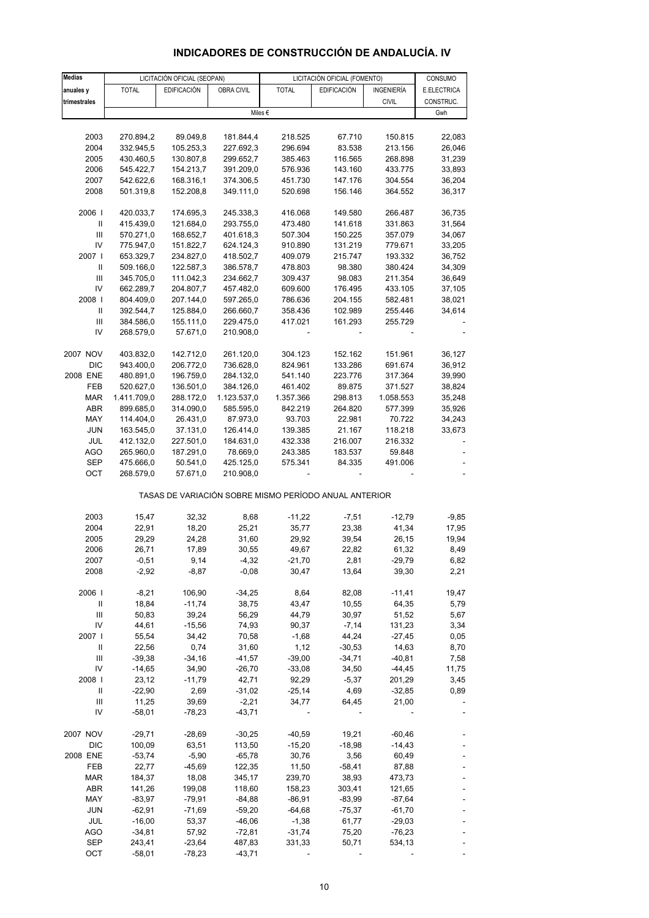# **INDICADORES DE CONSTRUCCIÓN DE ANDALUCÍA. IV**

| <b>Medias</b>                      | LICITACIÓN OFICIAL (SEOPAN) |                                                       |                        |              | LICITACIÓN OFICIAL (FOMENTO) |                    | CONSUMO          |
|------------------------------------|-----------------------------|-------------------------------------------------------|------------------------|--------------|------------------------------|--------------------|------------------|
|                                    | <b>TOTAL</b>                | <b>EDIFICACIÓN</b>                                    | OBRA CIVIL             | <b>TOTAL</b> | <b>EDIFICACIÓN</b>           | INGENIERÍA         | E.ELECTRICA      |
| anuales y                          |                             |                                                       |                        |              |                              |                    | CONSTRUC.        |
| trimestrales                       |                             |                                                       |                        | Miles €      |                              | <b>CIVIL</b>       | Gwh              |
|                                    |                             |                                                       |                        |              |                              |                    |                  |
| 2003                               | 270.894,2                   | 89.049,8                                              | 181.844,4              | 218.525      | 67.710                       | 150.815            | 22,083           |
| 2004                               |                             |                                                       | 227.692.3              | 296.694      | 83.538                       |                    |                  |
| 2005                               | 332.945,5                   | 105.253,3                                             |                        |              |                              | 213.156<br>268.898 | 26,046<br>31,239 |
| 2006                               | 430.460,5                   | 130.807,8                                             | 299.652,7              | 385.463      | 116.565<br>143.160           | 433.775            |                  |
|                                    | 545.422,7<br>542.622,6      | 154.213,7                                             | 391.209,0              | 576.936      |                              |                    | 33,893           |
| 2007                               |                             | 168.316,1                                             | 374.306,5              | 451.730      | 147.176                      | 304.554            | 36,204           |
| 2008                               | 501.319,8                   | 152.208,8                                             | 349.111,0              | 520.698      | 156.146                      | 364.552            | 36,317           |
| 2006                               | 420.033,7                   | 174.695,3                                             | 245.338,3              | 416.068      | 149.580                      | 266.487            | 36,735           |
| $\mathbf{II}$                      | 415.439,0                   | 121.684,0                                             | 293.755,0              | 473.480      | 141.618                      | 331.863            | 31,564           |
| Ш                                  | 570.271,0                   | 168.652,7                                             | 401.618,3              | 507.304      | 150.225                      | 357.079            | 34,067           |
| IV                                 | 775.947,0                   | 151.822,7                                             | 624.124,3              | 910.890      | 131.219                      | 779.671            | 33,205           |
| 2007                               | 653.329,7                   | 234.827,0                                             | 418.502,7              | 409.079      | 215.747                      | 193.332            | 36,752           |
| $\mathbf{II}$                      | 509.166,0                   | 122.587,3                                             | 386.578,7              | 478.803      | 98.380                       | 380.424            | 34,309           |
| Ш                                  |                             |                                                       |                        |              |                              |                    |                  |
| IV                                 | 345.705,0                   | 111.042,3                                             | 234.662,7              | 309.437      | 98.083                       | 211.354            | 36,649           |
|                                    | 662.289,7                   | 204.807,7                                             | 457.482,0              | 609.600      | 176.495                      | 433.105            | 37,105           |
| 2008                               | 804.409,0                   | 207.144,0                                             | 597.265,0              | 786.636      | 204.155                      | 582.481            | 38,021           |
| Ш                                  | 392.544,7                   | 125.884,0                                             | 266.660,7              | 358.436      | 102.989                      | 255.446            | 34,614           |
| Ш                                  | 384.586,0                   | 155.111,0                                             | 229.475,0              | 417.021      | 161.293                      | 255.729            |                  |
| IV                                 | 268.579,0                   | 57.671,0                                              | 210.908,0              |              |                              |                    |                  |
| 2007 NOV                           | 403.832,0                   | 142.712,0                                             | 261.120,0              | 304.123      | 152.162                      | 151.961            | 36,127           |
| <b>DIC</b>                         | 943.400,0                   | 206.772,0                                             | 736.628,0              | 824.961      | 133.286                      | 691.674            | 36,912           |
| 2008 ENE                           | 480.891,0                   | 196.759,0                                             | 284.132,0              | 541.140      | 223.776                      | 317.364            | 39,990           |
| FEB                                | 520.627,0                   | 136.501,0                                             | 384.126,0              | 461.402      | 89.875                       | 371.527            | 38,824           |
| <b>MAR</b>                         | 1.411.709,0                 | 288.172,0                                             | 1.123.537,0            | 1.357.366    | 298.813                      | 1.058.553          | 35,248           |
| ABR                                | 899.685,0                   | 314.090,0                                             | 585.595,0              | 842.219      | 264.820                      | 577.399            | 35,926           |
| MAY                                | 114.404,0                   | 26.431,0                                              | 87.973,0               | 93.703       | 22.981                       | 70.722             | 34,243           |
| <b>JUN</b>                         |                             |                                                       |                        |              |                              |                    |                  |
|                                    | 163.545,0                   | 37.131,0                                              | 126.414,0              | 139.385      | 21.167                       | 118.218            | 33,673           |
| JUL                                | 412.132,0                   | 227.501,0                                             | 184.631,0              | 432.338      | 216.007                      | 216.332            |                  |
| AGO                                | 265.960,0                   | 187.291,0                                             | 78.669,0               | 243.385      | 183.537                      | 59.848<br>491.006  |                  |
| SEP<br>ОСТ                         | 475.666,0<br>268.579,0      | 50.541,0<br>57.671,0                                  | 425.125,0<br>210.908,0 | 575.341      | 84.335                       |                    |                  |
|                                    |                             |                                                       |                        |              |                              |                    |                  |
|                                    |                             | TASAS DE VARIACIÓN SOBRE MISMO PERÍODO ANUAL ANTERIOR |                        |              |                              |                    |                  |
| 2003                               | 15,47                       | 32,32                                                 | 8,68                   | $-11,22$     | $-7,51$                      | $-12,79$           | $-9,85$          |
| 2004                               | 22,91                       | 18,20                                                 | 25,21                  | 35,77        | 23,38                        | 41,34              | 17,95            |
| 2005                               | 29,29                       | 24,28                                                 | 31,60                  | 29,92        | 39,54                        | 26,15              | 19,94            |
| 2006                               | 26,71                       | 17,89                                                 | 30,55                  | 49,67        | 22,82                        | 61,32              | 8,49             |
| 2007                               | $-0,51$                     | 9,14                                                  | $-4,32$                | $-21,70$     | 2,81                         | $-29,79$           | 6,82             |
| 2008                               | $-2,92$                     | $-8,87$                                               | $-0,08$                | 30,47        | 13,64                        | 39,30              | 2,21             |
|                                    |                             |                                                       |                        |              |                              |                    |                  |
| 2006                               | $-8,21$                     | 106,90                                                | $-34,25$               | 8,64         | 82,08                        | $-11,41$           | 19,47            |
| $\, \parallel$                     | 18,84                       | $-11,74$                                              | 38,75                  | 43,47        | 10,55                        | 64,35              | 5,79             |
| $\ensuremath{\mathsf{III}}\xspace$ | 50,83                       | 39,24                                                 | 56,29                  | 44,79        | 30,97                        | 51,52              | 5,67             |
| IV                                 | 44,61                       | $-15,56$                                              | 74,93                  | 90,37        | $-7,14$                      | 131,23             | 3,34             |
| 2007 l                             | 55,54                       | 34,42                                                 | 70,58                  | $-1,68$      | 44,24                        | $-27,45$           | 0,05             |
| $\, \parallel$                     | 22,56                       | 0,74                                                  | 31,60                  | 1,12         | $-30,53$                     | 14,63              | 8,70             |
| Ш                                  | $-39,38$                    | $-34,16$                                              | $-41,57$               | $-39,00$     | $-34,71$                     | $-40,81$           | 7,58             |
| IV                                 | $-14,65$                    | 34,90                                                 | $-26,70$               | $-33,08$     | 34,50                        | $-44,45$           | 11,75            |
| 2008                               | 23,12                       | $-11,79$                                              | 42,71                  | 92,29        | $-5,37$                      | 201,29             | 3,45             |
| $\, \parallel$                     | $-22,90$                    | 2,69                                                  | $-31,02$               | $-25,14$     | 4,69                         | $-32,85$           | 0,89             |
| Ш                                  | 11,25                       | 39,69                                                 | $-2,21$                | 34,77        | 64,45                        | 21,00              |                  |
| IV                                 | -58,01                      | $-78,23$                                              | $-43,71$               |              |                              |                    |                  |
|                                    |                             |                                                       |                        |              |                              |                    |                  |
| 2007 NOV                           | $-29,71$                    | $-28,69$                                              | $-30,25$               | $-40,59$     | 19,21                        | $-60,46$           |                  |
| <b>DIC</b>                         | 100,09                      | 63,51                                                 | 113,50                 | $-15,20$     | $-18,98$                     | $-14,43$           |                  |
| 2008 ENE                           | $-53,74$                    | $-5,90$                                               | $-65,78$               | 30,76        | 3,56                         | 60,49              |                  |
| FEB                                | 22,77                       | -45,69                                                | 122,35                 | 11,50        | $-58,41$                     | 87,88              |                  |
| <b>MAR</b>                         | 184,37                      | 18,08                                                 | 345,17                 | 239,70       | 38,93                        | 473,73             |                  |
| ABR                                | 141,26                      | 199,08                                                | 118,60                 | 158,23       | 303,41                       | 121,65             |                  |
| MAY                                | $-83,97$                    | $-79,91$                                              | $-84,88$               | $-86,91$     | $-83,99$                     | $-87,64$           |                  |
| <b>JUN</b>                         | $-62,91$                    | $-71,69$                                              | $-59,20$               | $-64,68$     | $-75,37$                     | $-61,70$           |                  |
| JUL                                | $-16,00$                    | 53,37                                                 | $-46,06$               | $-1,38$      | 61,77                        | $-29,03$           |                  |
| <b>AGO</b>                         | $-34,81$                    | 57,92                                                 | $-72,81$               | $-31,74$     | 75,20                        | $-76,23$           |                  |
| <b>SEP</b>                         | 243,41                      | $-23,64$                                              | 487,83                 | 331,33       | 50,71                        | 534,13             |                  |
| ОСТ                                | $-58,01$                    | $-78,23$                                              | $-43,71$               |              |                              |                    |                  |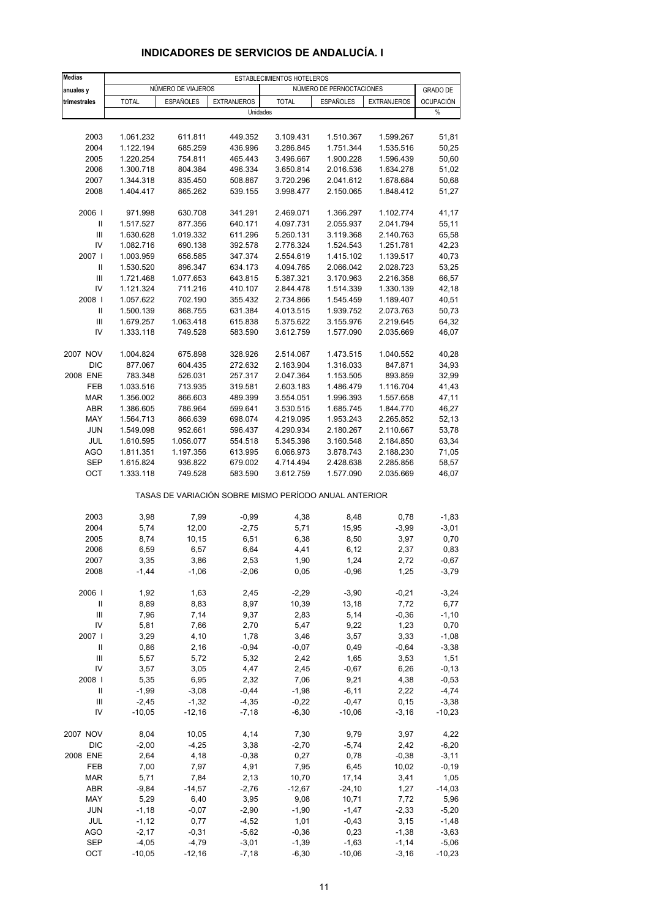| <b>Medias</b>                      |                        |                    |                                                       | ESTABLECIMIENTOS HOTELEROS |                          |                        |                  |
|------------------------------------|------------------------|--------------------|-------------------------------------------------------|----------------------------|--------------------------|------------------------|------------------|
| anuales y                          |                        | NÚMERO DE VIAJEROS |                                                       |                            | NÚMERO DE PERNOCTACIONES |                        | <b>GRADO DE</b>  |
| trimestrales                       | <b>TOTAL</b>           | <b>ESPAÑOLES</b>   | <b>EXTRANJEROS</b>                                    | <b>TOTAL</b>               | <b>ESPAÑOLES</b>         | <b>EXTRANJEROS</b>     | <b>OCUPACIÓN</b> |
|                                    |                        |                    | Unidades                                              |                            |                          |                        | $\%$             |
|                                    |                        |                    |                                                       |                            |                          |                        |                  |
| 2003                               | 1.061.232              | 611.811            | 449.352                                               | 3.109.431                  | 1.510.367                | 1.599.267              | 51,81            |
| 2004                               | 1.122.194              | 685.259            | 436.996                                               | 3.286.845                  | 1.751.344                | 1.535.516              | 50,25            |
| 2005                               | 1.220.254              | 754.811            | 465.443                                               | 3.496.667                  | 1.900.228                | 1.596.439              | 50,60            |
| 2006                               | 1.300.718              | 804.384            | 496.334                                               | 3.650.814                  | 2.016.536<br>2.041.612   | 1.634.278              | 51,02<br>50,68   |
| 2007<br>2008                       | 1.344.318<br>1.404.417 | 835.450<br>865.262 | 508.867<br>539.155                                    | 3.720.296<br>3.998.477     | 2.150.065                | 1.678.684<br>1.848.412 | 51,27            |
|                                    |                        |                    |                                                       |                            |                          |                        |                  |
| 2006                               | 971.998                | 630.708            | 341.291                                               | 2.469.071                  | 1.366.297                | 1.102.774              | 41,17            |
| Ш                                  | 1.517.527              | 877.356            | 640.171                                               | 4.097.731                  | 2.055.937                | 2.041.794              | 55,11            |
| Ш                                  | 1.630.628              | 1.019.332          | 611.296                                               | 5.260.131                  | 3.119.368                | 2.140.763              | 65,58            |
| IV                                 | 1.082.716              | 690.138            | 392.578                                               | 2.776.324                  | 1.524.543                | 1.251.781              | 42,23            |
| 2007                               | 1.003.959              | 656.585            | 347.374                                               | 2.554.619                  | 1.415.102                | 1.139.517              | 40,73            |
| Ш                                  | 1.530.520              | 896.347            | 634.173                                               | 4.094.765                  | 2.066.042                | 2.028.723              | 53,25            |
| Ш                                  | 1.721.468              | 1.077.653          | 643.815                                               | 5.387.321                  | 3.170.963                | 2.216.358              | 66,57            |
| IV                                 | 1.121.324              | 711.216            | 410.107                                               | 2.844.478                  | 1.514.339                | 1.330.139              | 42,18            |
| 2008                               | 1.057.622              | 702.190            | 355.432                                               | 2.734.866                  | 1.545.459                | 1.189.407              | 40,51            |
| Ш                                  | 1.500.139              | 868.755            | 631.384                                               | 4.013.515                  | 1.939.752                | 2.073.763              | 50,73            |
| $\ensuremath{\mathsf{III}}\xspace$ | 1.679.257<br>1.333.118 | 1.063.418          | 615.838                                               | 5.375.622                  | 3.155.976                | 2.219.645              | 64,32            |
| IV                                 |                        | 749.528            | 583.590                                               | 3.612.759                  | 1.577.090                | 2.035.669              | 46,07            |
| 2007 NOV                           | 1.004.824              | 675.898            | 328.926                                               | 2.514.067                  | 1.473.515                | 1.040.552              | 40,28            |
| <b>DIC</b>                         | 877.067                | 604.435            | 272.632                                               | 2.163.904                  | 1.316.033                | 847.871                | 34,93            |
| 2008 ENE                           | 783.348                | 526.031            | 257.317                                               | 2.047.364                  | 1.153.505                | 893.859                | 32,99            |
| FEB                                | 1.033.516              | 713.935            | 319.581                                               | 2.603.183                  | 1.486.479                | 1.116.704              | 41,43            |
| <b>MAR</b>                         | 1.356.002              | 866.603            | 489.399                                               | 3.554.051                  | 1.996.393                | 1.557.658              | 47,11            |
| <b>ABR</b>                         | 1.386.605              | 786.964            | 599.641                                               | 3.530.515                  | 1.685.745                | 1.844.770              | 46,27            |
| MAY                                | 1.564.713              | 866.639            | 698.074                                               | 4.219.095                  | 1.953.243                | 2.265.852              | 52,13            |
| <b>JUN</b>                         | 1.549.098              | 952.661            | 596.437                                               | 4.290.934                  | 2.180.267                | 2.110.667              | 53,78            |
| JUL                                | 1.610.595              | 1.056.077          | 554.518                                               | 5.345.398                  | 3.160.548                | 2.184.850              | 63,34            |
| <b>AGO</b>                         | 1.811.351              | 1.197.356          | 613.995                                               | 6.066.973                  | 3.878.743                | 2.188.230              | 71,05            |
| SEP                                | 1.615.824              | 936.822            | 679.002                                               | 4.714.494                  | 2.428.638                | 2.285.856              | 58,57            |
| OCT                                | 1.333.118              | 749.528            | 583.590                                               | 3.612.759                  | 1.577.090                | 2.035.669              | 46,07            |
|                                    |                        |                    | TASAS DE VARIACIÓN SOBRE MISMO PERÍODO ANUAL ANTERIOR |                            |                          |                        |                  |
| 2003                               | 3,98                   | 7,99               | $-0,99$                                               | 4,38                       | 8,48                     | 0,78                   | $-1,83$          |
| 2004                               | 5,74                   | 12,00              | $-2,75$                                               | 5,71                       | 15,95                    | $-3,99$                | $-3,01$          |
| 2005                               | 8,74                   | 10,15              | 6,51                                                  | 6,38                       | 8,50                     | 3,97                   | 0,70             |
| 2006                               | 6,59                   | 6,57               | 6,64                                                  | 4,41                       | 6,12                     | 2,37                   | 0,83             |
| 2007                               | 3,35                   | 3,86               | 2,53                                                  | 1,90                       | 1,24                     | 2,72                   | -0,67            |
| 2008                               | $-1,44$                | $-1,06$            | $-2,06$                                               | 0,05                       | $-0,96$                  | 1,25                   | $-3,79$          |
|                                    |                        |                    |                                                       |                            |                          |                        |                  |
| 2006                               | 1,92                   | 1,63               | 2,45                                                  | $-2,29$                    | $-3,90$                  | $-0,21$                | $-3,24$          |
| Ш                                  | 8,89                   | 8,83               | 8,97                                                  | 10,39                      | 13,18                    | 7,72                   | 6,77             |
| $\mathsf{III}$                     | 7,96                   | 7,14               | 9,37                                                  | 2,83                       | 5,14                     | $-0,36$                | $-1,10$          |
| IV<br>2007 l                       | 5,81                   | 7,66               | 2,70                                                  | 5,47                       | 9,22                     | 1,23                   | 0,70             |
|                                    | 3,29                   | 4,10               | 1,78                                                  | 3,46                       | 3,57                     | 3,33                   | $-1,08$          |
| Ш<br>Ш                             | 0,86<br>5,57           | 2,16<br>5,72       | $-0,94$<br>5,32                                       | $-0,07$<br>2,42            | 0,49<br>1,65             | $-0,64$<br>3,53        | $-3,38$<br>1,51  |
| IV                                 | 3,57                   | 3,05               | 4,47                                                  | 2,45                       | $-0,67$                  | 6,26                   | $-0,13$          |
| 2008                               | 5,35                   | 6,95               | 2,32                                                  | 7,06                       | 9,21                     | 4,38                   | $-0,53$          |
| Ш                                  | $-1,99$                | $-3,08$            | $-0,44$                                               | $-1,98$                    | $-6,11$                  | 2,22                   | $-4,74$          |
| Ш                                  | $-2,45$                | $-1,32$            | $-4,35$                                               | $-0,22$                    | $-0,47$                  | 0, 15                  | $-3,38$          |
| IV                                 | $-10,05$               | $-12,16$           | $-7,18$                                               | $-6,30$                    | $-10,06$                 | $-3,16$                | $-10,23$         |
|                                    |                        |                    |                                                       |                            |                          |                        |                  |
| 2007 NOV                           | 8,04                   | 10,05              | 4,14                                                  | 7,30                       | 9,79                     | 3,97                   | 4,22             |
| DIC                                | $-2,00$                | $-4,25$            | 3,38                                                  | $-2,70$                    | $-5,74$                  | 2,42                   | $-6,20$          |
| 2008 ENE                           | 2,64                   | 4,18               | $-0,38$                                               | 0,27                       | 0,78                     | $-0,38$                | $-3,11$          |
| FEB                                | 7,00                   | 7,97               | 4,91                                                  | 7,95                       | 6,45                     | 10,02                  | $-0,19$          |
| <b>MAR</b>                         | 5,71                   | 7,84               | 2,13                                                  | 10,70                      | 17,14                    | 3,41                   | 1,05             |
| ABR                                | $-9,84$                | $-14,57$           | $-2,76$                                               | $-12,67$                   | $-24,10$                 | 1,27                   | $-14,03$         |
| MAY                                | 5,29                   | 6,40               | 3,95                                                  | 9,08                       | 10,71                    | 7,72                   | 5,96             |
| <b>JUN</b>                         | $-1,18$                | $-0,07$            | $-2,90$                                               | $-1,90$                    | $-1,47$                  | $-2,33$                | $-5,20$          |
| JUL                                | $-1, 12$               | 0,77               | $-4,52$                                               | 1,01                       | $-0,43$                  | 3,15                   | $-1,48$          |
| <b>AGO</b>                         | $-2,17$                | $-0,31$            | $-5,62$                                               | $-0,36$                    | 0,23                     | $-1,38$                | $-3,63$          |
| <b>SEP</b>                         | $-4,05$                | $-4,79$            | $-3,01$                                               | $-1,39$                    | $-1,63$                  | $-1,14$                | $-5,06$          |
| OCT                                | $-10,05$               | $-12,16$           | $-7,18$                                               | $-6,30$                    | $-10,06$                 | $-3,16$                | $-10,23$         |

#### **INDICADORES DE SERVICIOS DE ANDALUCÍA. I**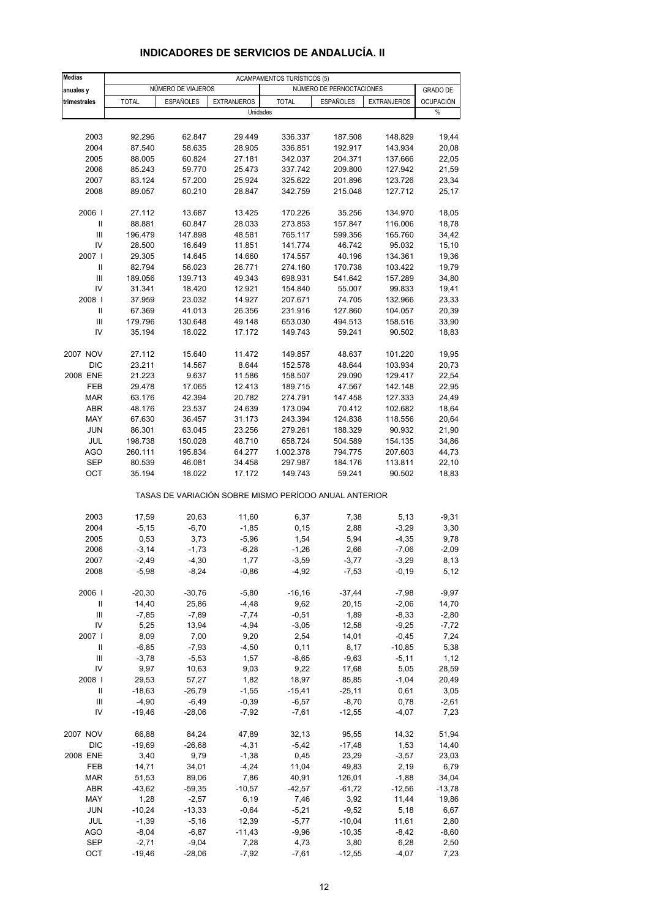| <b>Medias</b>              |              |                    |                                                       | <b>ACAMPAMENTOS TURÍSTICOS (5)</b> |                          |                    |                       |
|----------------------------|--------------|--------------------|-------------------------------------------------------|------------------------------------|--------------------------|--------------------|-----------------------|
| anuales y                  |              | NÚMERO DE VIAJEROS |                                                       |                                    | NÚMERO DE PERNOCTACIONES |                    | <b>GRADO DE</b>       |
| trimestrales               | <b>TOTAL</b> | <b>ESPAÑOLES</b>   | <b>EXTRANJEROS</b><br>Unidades                        | <b>TOTAL</b>                       | <b>ESPAÑOLES</b>         | <b>EXTRANJEROS</b> | <b>OCUPACIÓN</b><br>% |
|                            |              |                    |                                                       |                                    |                          |                    |                       |
| 2003                       | 92.296       | 62.847             | 29.449                                                | 336.337                            | 187.508                  | 148.829            | 19,44                 |
| 2004                       | 87.540       | 58.635             | 28.905                                                | 336.851                            | 192.917                  | 143.934            | 20,08                 |
| 2005                       | 88.005       | 60.824             | 27.181                                                | 342.037                            | 204.371                  | 137.666            | 22,05                 |
| 2006                       | 85.243       | 59.770             | 25.473                                                | 337.742                            | 209.800                  | 127.942            | 21,59                 |
| 2007                       | 83.124       | 57.200             | 25.924                                                | 325.622                            | 201.896                  | 123.726            | 23,34                 |
| 2008                       | 89.057       | 60.210             | 28.847                                                | 342.759                            | 215.048                  | 127.712            | 25,17                 |
| 2006                       | 27.112       | 13.687             | 13.425                                                | 170.226                            | 35.256                   | 134.970            | 18,05                 |
| Ш                          | 88.881       | 60.847             | 28.033                                                | 273.853                            | 157.847                  | 116.006            | 18,78                 |
| Ш                          | 196.479      | 147.898            | 48.581                                                | 765.117                            | 599.356                  | 165.760            | 34,42                 |
| IV                         | 28.500       | 16.649             | 11.851                                                | 141.774                            | 46.742                   | 95.032             | 15,10                 |
| 2007 l                     | 29.305       | 14.645             | 14.660                                                | 174.557                            | 40.196                   | 134.361            | 19,36                 |
| $\mathbf{II}$              | 82.794       | 56.023             | 26.771                                                | 274.160                            | 170.738                  | 103.422            | 19,79                 |
| $\mathsf{III}$             | 189.056      | 139.713            | 49.343                                                | 698.931                            | 541.642                  | 157.289            | 34,80                 |
| IV                         | 31.341       | 18.420             | 12.921                                                | 154.840                            | 55.007                   | 99.833             | 19,41                 |
| 2008                       | 37.959       | 23.032             | 14.927                                                | 207.671                            | 74.705                   | 132.966            | 23,33                 |
| Ш                          | 67.369       | 41.013             | 26.356                                                | 231.916                            | 127.860                  | 104.057            | 20,39                 |
| III                        | 179.796      | 130.648            | 49.148                                                | 653.030                            | 494.513                  | 158.516            | 33,90                 |
| IV                         | 35.194       | 18.022             | 17.172                                                | 149.743                            | 59.241                   | 90.502             | 18,83                 |
|                            |              |                    |                                                       |                                    |                          |                    |                       |
| 2007 NOV                   | 27.112       | 15.640             | 11.472                                                | 149.857                            | 48.637                   | 101.220            | 19,95                 |
| DIC                        | 23.211       | 14.567             | 8.644                                                 | 152.578                            | 48.644                   | 103.934            | 20,73                 |
| 2008 ENE                   | 21.223       | 9.637              | 11.586                                                | 158.507                            | 29.090                   | 129.417            | 22,54                 |
| FEB                        | 29.478       | 17.065             | 12.413                                                | 189.715                            | 47.567                   | 142.148            | 22,95                 |
| <b>MAR</b>                 | 63.176       | 42.394             | 20.782                                                | 274.791                            | 147.458                  | 127.333            | 24,49                 |
| ABR                        | 48.176       | 23.537             | 24.639                                                | 173.094                            | 70.412                   | 102.682            | 18,64                 |
| MAY                        | 67.630       | 36.457             | 31.173                                                | 243.394                            | 124.838                  | 118.556            | 20,64                 |
| <b>JUN</b>                 | 86.301       | 63.045             | 23.256                                                | 279.261                            | 188.329                  | 90.932             | 21,90                 |
| JUL                        | 198.738      | 150.028            | 48.710                                                | 658.724                            | 504.589                  | 154.135            | 34,86                 |
| <b>AGO</b>                 | 260.111      | 195.834            | 64.277                                                | 1.002.378                          | 794.775                  | 207.603            | 44,73                 |
| SEP                        | 80.539       | 46.081             | 34.458                                                | 297.987                            | 184.176                  | 113.811            | 22,10                 |
| OCT                        | 35.194       | 18.022             | 17.172                                                | 149.743                            | 59.241                   | 90.502             | 18,83                 |
|                            |              |                    | TASAS DE VARIACIÓN SOBRE MISMO PERÍODO ANUAL ANTERIOR |                                    |                          |                    |                       |
| 2003                       | 17,59        | 20,63              | 11,60                                                 | 6,37                               | 7,38                     | 5,13               | $-9,31$               |
| 2004                       | $-5,15$      | $-6,70$            | $-1,85$                                               | 0, 15                              | 2,88                     | $-3,29$            | 3,30                  |
| 2005                       | 0,53         | 3,73               | $-5,96$                                               | 1,54                               | 5,94                     | $-4,35$            | 9,78                  |
| 2006                       | $-3,14$      | $-1,73$            | $-6,28$                                               | $-1,26$                            | 2,66                     | $-7,06$            | $-2,09$               |
| 2007                       | $-2,49$      | $-4,30$            | 1,77                                                  | $-3,59$                            | $-3,77$                  | $-3,29$            | 8,13                  |
| 2008                       | $-5,98$      | $-8,24$            | $-0,86$                                               | $-4,92$                            | $-7,53$                  | $-0,19$            | 5,12                  |
| 2006                       | $-20,30$     | $-30,76$           | $-5,80$                                               | $-16, 16$                          | $-37,44$                 | $-7,98$            | $-9,97$               |
| $\ensuremath{\mathsf{II}}$ | 14,40        | 25,86              | $-4,48$                                               | 9,62                               | 20,15                    | $-2,06$            | 14,70                 |
| $\mathsf{III}$             | $-7,85$      | $-7,89$            | $-7,74$                                               | $-0,51$                            | 1,89                     | $-8,33$            | $-2,80$               |
| IV                         | 5,25         | 13,94              | $-4,94$                                               | $-3,05$                            | 12,58                    | $-9,25$            | $-7,72$               |
| 2007                       | 8,09         | 7,00               | 9,20                                                  | 2,54                               | 14,01                    | $-0,45$            | 7,24                  |
| Ш                          | $-6,85$      | $-7,93$            | $-4,50$                                               | 0,11                               | 8,17                     | $-10,85$           | 5,38                  |
| Ш                          | $-3,78$      | $-5,53$            | 1,57                                                  | $-8,65$                            | $-9,63$                  | $-5,11$            | 1,12                  |
| IV                         | 9,97         | 10,63              | 9,03                                                  | 9,22                               | 17,68                    | 5,05               | 28,59                 |
| 2008                       | 29,53        | 57,27              | 1,82                                                  | 18,97                              | 85,85                    | $-1,04$            | 20,49                 |
| Ш                          | $-18,63$     | $-26,79$           | $-1,55$                                               | $-15,41$                           | $-25,11$                 | 0,61               | 3,05                  |
| $\mathsf{III}$             | $-4,90$      | $-6,49$            | $-0,39$                                               | $-6,57$                            | $-8,70$                  | 0,78               | $-2,61$               |
| IV                         | $-19,46$     | $-28,06$           | $-7,92$                                               | $-7,61$                            | $-12,55$                 | $-4,07$            | 7,23                  |
| 2007 NOV                   | 66,88        | 84,24              | 47,89                                                 | 32, 13                             | 95,55                    | 14,32              | 51,94                 |
| DIC                        | $-19,69$     | $-26,68$           | $-4,31$                                               | $-5,42$                            | $-17,48$                 | 1,53               | 14,40                 |
| 2008 ENE                   | 3,40         | 9,79               | $-1,38$                                               | 0,45                               | 23,29                    | $-3,57$            | 23,03                 |
| FEB                        | 14,71        | 34,01              | $-4,24$                                               | 11,04                              | 49,83                    | 2,19               | 6,79                  |
| <b>MAR</b>                 | 51,53        | 89,06              | 7,86                                                  | 40,91                              | 126,01                   | $-1,88$            | 34,04                 |
| ABR                        | $-43,62$     | $-59,35$           | $-10,57$                                              | $-42,57$                           | $-61,72$                 | $-12,56$           | $-13,78$              |
| MAY                        | 1,28         | $-2,57$            | 6,19                                                  | 7,46                               | 3,92                     | 11,44              | 19,86                 |
| <b>JUN</b>                 | $-10,24$     | $-13,33$           | $-0,64$                                               | $-5,21$                            | $-9,52$                  | 5,18               | 6,67                  |
| JUL                        | $-1,39$      | $-5,16$            | 12,39                                                 | $-5,77$                            | $-10,04$                 | 11,61              | 2,80                  |
| <b>AGO</b>                 | $-8,04$      | $-6,87$            | $-11,43$                                              | $-9,96$                            | $-10,35$                 | $-8,42$            | $-8,60$               |
| <b>SEP</b>                 | $-2,71$      | $-9,04$            | 7,28                                                  | 4,73                               | 3,80                     | 6,28               | 2,50                  |
| OCT                        | $-19,46$     | $-28,06$           | $-7,92$                                               | $-7,61$                            | $-12,55$                 | $-4,07$            | 7,23                  |

### **INDICADORES DE SERVICIOS DE ANDALUCÍA. II**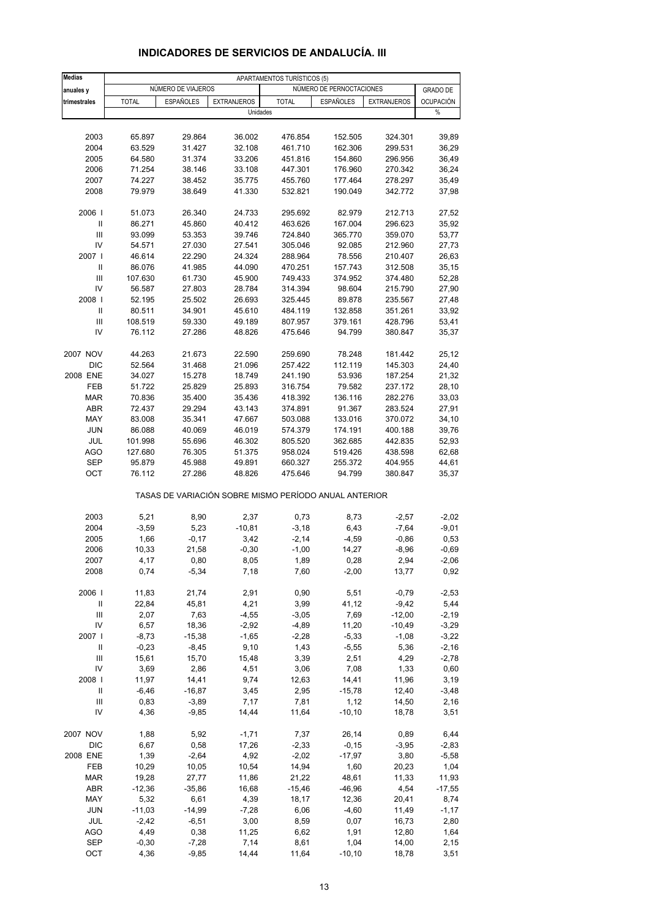| <b>Medias</b>   |                   |                    |                                                       | APARTAMENTOS TURÍSTICOS (5) |                          |                    |                  |
|-----------------|-------------------|--------------------|-------------------------------------------------------|-----------------------------|--------------------------|--------------------|------------------|
| anuales y       |                   | NÚMERO DE VIAJEROS |                                                       |                             | NÚMERO DE PERNOCTACIONES |                    | <b>GRADO DE</b>  |
| trimestrales    | <b>TOTAL</b>      | <b>ESPAÑOLES</b>   | <b>EXTRANJEROS</b>                                    | <b>TOTAL</b>                | <b>ESPAÑOLES</b>         | <b>EXTRANJEROS</b> | <b>OCUPACIÓN</b> |
|                 |                   |                    | Unidades                                              |                             |                          |                    | $\%$             |
|                 |                   |                    |                                                       |                             |                          |                    |                  |
| 2003            | 65.897            | 29.864             | 36.002                                                | 476.854                     | 152.505                  | 324.301            | 39,89            |
| 2004            | 63.529            | 31.427             | 32.108                                                | 461.710                     | 162.306                  | 299.531            | 36,29            |
| 2005            | 64.580            | 31.374             | 33.206                                                | 451.816                     | 154.860                  | 296.956            | 36,49            |
| 2006            | 71.254            | 38.146             | 33.108                                                | 447.301                     | 176.960                  | 270.342            | 36,24            |
| 2007            | 74.227            | 38.452             | 35.775                                                | 455.760                     | 177.464                  | 278.297            | 35,49            |
| 2008            | 79.979            | 38.649             | 41.330                                                | 532.821                     | 190.049                  | 342.772            | 37,98            |
| 2006            | 51.073            | 26.340             | 24.733                                                | 295.692                     | 82.979                   | 212.713            | 27,52            |
| $\mathbf{I}$    | 86.271            | 45.860             | 40.412                                                | 463.626                     | 167.004                  | 296.623            | 35,92            |
| III             | 93.099            | 53.353             | 39.746                                                | 724.840                     | 365.770                  | 359.070            | 53,77            |
| IV<br>2007 l    | 54.571            | 27.030             | 27.541                                                | 305.046                     | 92.085                   | 212.960            | 27,73            |
| Ш               | 46.614            | 22.290             | 24.324                                                | 288.964                     | 78.556                   | 210.407            | 26,63            |
| III             | 86.076<br>107.630 | 41.985<br>61.730   | 44.090<br>45.900                                      | 470.251<br>749.433          | 157.743<br>374.952       | 312.508<br>374.480 | 35, 15<br>52,28  |
| IV              | 56.587            | 27.803             | 28.784                                                | 314.394                     | 98.604                   | 215.790            | 27,90            |
| 2008            | 52.195            | 25.502             | 26.693                                                | 325.445                     | 89.878                   | 235.567            | 27,48            |
| $\mathsf{I}$    | 80.511            | 34.901             | 45.610                                                | 484.119                     | 132.858                  | 351.261            | 33,92            |
| $\mathbf{III}$  | 108.519           | 59.330             | 49.189                                                | 807.957                     | 379.161                  | 428.796            | 53,41            |
| IV              | 76.112            | 27.286             | 48.826                                                | 475.646                     | 94.799                   | 380.847            | 35,37            |
|                 |                   |                    |                                                       |                             |                          |                    |                  |
| 2007 NOV<br>DIC | 44.263<br>52.564  | 21.673<br>31.468   | 22.590<br>21.096                                      | 259.690<br>257.422          | 78.248<br>112.119        | 181.442<br>145.303 | 25,12<br>24,40   |
| 2008 ENE        | 34.027            | 15.278             | 18.749                                                | 241.190                     | 53.936                   | 187.254            | 21,32            |
| FEB             | 51.722            | 25.829             | 25.893                                                | 316.754                     | 79.582                   | 237.172            | 28,10            |
| <b>MAR</b>      | 70.836            | 35.400             | 35.436                                                | 418.392                     | 136.116                  | 282.276            | 33,03            |
| ABR             | 72.437            | 29.294             | 43.143                                                | 374.891                     | 91.367                   | 283.524            | 27,91            |
| MAY             | 83.008            | 35.341             | 47.667                                                | 503.088                     | 133.016                  | 370.072            | 34,10            |
| <b>JUN</b>      | 86.088            | 40.069             | 46.019                                                | 574.379                     | 174.191                  | 400.188            | 39,76            |
| JUL             | 101.998           | 55.696             | 46.302                                                | 805.520                     | 362.685                  | 442.835            | 52,93            |
| <b>AGO</b>      | 127.680           | 76.305             | 51.375                                                | 958.024                     | 519.426                  | 438.598            | 62,68            |
| <b>SEP</b>      | 95.879            | 45.988             | 49.891                                                | 660.327                     | 255.372                  | 404.955            | 44,61            |
| OCT             | 76.112            | 27.286             | 48.826                                                | 475.646                     | 94.799                   | 380.847            | 35,37            |
|                 |                   |                    | TASAS DE VARIACIÓN SOBRE MISMO PERÍODO ANUAL ANTERIOR |                             |                          |                    |                  |
| 2003            | 5,21              | 8,90               | 2,37                                                  | 0,73                        | 8,73                     | $-2,57$            | $-2,02$          |
| 2004            | $-3,59$           | 5,23               | $-10,81$                                              | $-3,18$                     | 6,43                     | $-7,64$            | $-9,01$          |
| 2005            | 1,66              | $-0,17$            | 3,42                                                  | $-2,14$                     | $-4,59$                  | $-0,86$            | 0,53             |
| 2006            | 10,33             | 21,58              | $-0,30$                                               | $-1,00$                     | 14,27                    | $-8,96$            | $-0,69$          |
| 2007            | 4,17              | 0,80               | 8,05                                                  | 1,89                        | 0,28                     | 2,94               | -2,06            |
| 2008            | 0,74              | $-5,34$            | 7,18                                                  | 7,60                        | $-2,00$                  | 13,77              | 0,92             |
| 2006            | 11,83             | 21,74              | 2,91                                                  | 0,90                        | 5,51                     | $-0,79$            | $-2,53$          |
| Ш               | 22,84             | 45,81              | 4,21                                                  | 3,99                        | 41,12                    | $-9,42$            | 5,44             |
| $\mathsf{III}$  | 2,07              | 7,63               | $-4,55$                                               | $-3,05$                     | 7,69                     | $-12,00$           | $-2,19$          |
| IV              | 6,57              | 18,36              | $-2,92$                                               | $-4,89$                     | 11,20                    | $-10,49$           | $-3,29$          |
| 2007 l          | $-8,73$           | $-15,38$           | $-1,65$                                               | $-2,28$                     | $-5,33$                  | $-1,08$            | $-3,22$          |
| Ш               | $-0,23$           | $-8,45$            | 9,10                                                  | 1,43                        | $-5,55$                  | 5,36               | $-2,16$          |
| Ш               | 15,61             | 15,70              | 15,48                                                 | 3,39                        | 2,51                     | 4,29               | $-2,78$          |
| IV              | 3,69              | 2,86               | 4,51                                                  | 3,06                        | 7,08                     | 1,33               | 0,60             |
| 2008            | 11,97             | 14,41              | 9,74                                                  | 12,63                       | 14,41                    | 11,96              | 3,19             |
| Ш               | $-6,46$           | $-16,87$           | 3,45                                                  | 2,95                        | $-15,78$                 | 12,40              | $-3,48$          |
| Ш               | 0,83              | $-3,89$            | 7,17                                                  | 7,81                        | 1,12                     | 14,50              | 2,16             |
| IV              | 4,36              | $-9,85$            | 14,44                                                 | 11,64                       | $-10, 10$                | 18,78              | 3,51             |
| 2007 NOV        | 1,88              | 5,92               | $-1,71$                                               | 7,37                        | 26,14                    | 0,89               | 6,44             |
| DIC             | 6,67              | 0,58               | 17,26                                                 | $-2,33$                     | $-0,15$                  | $-3,95$            | $-2,83$          |
| 2008 ENE        | 1,39              | $-2,64$            | 4,92                                                  | $-2,02$                     | $-17,97$                 | 3,80               | $-5,58$          |
| FEB             | 10,29             | 10,05              | 10,54                                                 | 14,94                       | 1,60                     | 20,23              | 1,04             |
| <b>MAR</b>      | 19,28             | 27,77              | 11,86                                                 | 21,22                       | 48,61                    | 11,33              | 11,93            |
| ABR             | $-12,36$          | $-35,86$           | 16,68                                                 | $-15,46$                    | $-46,96$                 | 4,54               | $-17,55$         |
| MAY             | 5,32              | 6,61               | 4,39                                                  | 18,17                       | 12,36                    | 20,41              | 8,74             |
| <b>JUN</b>      | $-11,03$          | $-14,99$           | $-7,28$                                               | 6,06                        | $-4,60$                  | 11,49              | $-1,17$          |
| JUL             | $-2,42$           | $-6,51$            | 3,00                                                  | 8,59                        | 0,07                     | 16,73              | 2,80             |
| <b>AGO</b>      | 4,49              | 0,38               | 11,25                                                 | 6,62                        | 1,91                     | 12,80              | 1,64             |
| <b>SEP</b>      | $-0,30$           | $-7,28$            | 7,14                                                  | 8,61                        | 1,04                     | 14,00              | 2,15             |
| OCT             | 4,36              | $-9,85$            | 14,44                                                 | 11,64                       | $-10, 10$                | 18,78              | 3,51             |

#### **INDICADORES DE SERVICIOS DE ANDALUCÍA. III**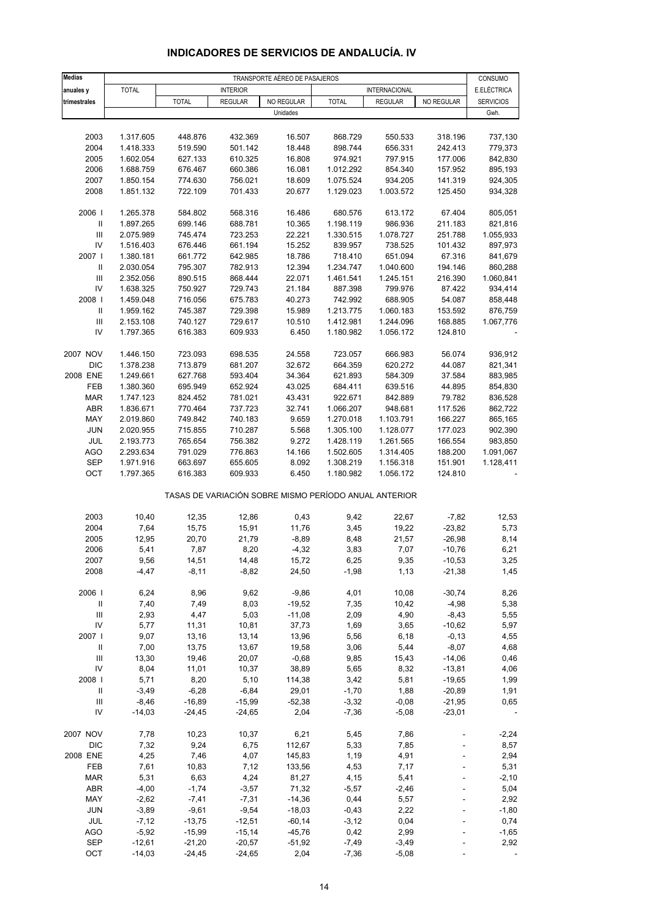| <b>Medias</b>                      | TRANSPORTE AÉREO DE PASAJEROS |                      |                      |                      |                                                       |                      |                     |                        |
|------------------------------------|-------------------------------|----------------------|----------------------|----------------------|-------------------------------------------------------|----------------------|---------------------|------------------------|
| anuales y                          | <b>TOTAL</b>                  |                      | <b>INTERIOR</b>      |                      |                                                       | <b>INTERNACIONAL</b> |                     | CONSUMO<br>E.ELÉCTRICA |
| trimestrales                       |                               | <b>TOTAL</b>         | <b>REGULAR</b>       | NO REGULAR           | <b>TOTAL</b>                                          | <b>REGULAR</b>       | NO REGULAR          | <b>SERVICIOS</b>       |
|                                    |                               |                      |                      | Unidades             |                                                       |                      |                     | Gwh.                   |
|                                    |                               |                      |                      |                      |                                                       |                      |                     |                        |
| 2003                               | 1.317.605                     | 448.876              | 432.369              | 16.507               | 868.729                                               | 550.533              | 318.196             | 737,130                |
| 2004                               | 1.418.333                     | 519.590              | 501.142              | 18.448               | 898.744                                               | 656.331              | 242.413             | 779,373                |
| 2005                               | 1.602.054                     | 627.133              | 610.325              | 16.808               | 974.921                                               | 797.915              | 177.006             | 842,830                |
| 2006                               | 1.688.759                     | 676.467              | 660.386              | 16.081               | 1.012.292                                             | 854.340              | 157.952             | 895,193                |
| 2007                               | 1.850.154                     | 774.630              | 756.021              | 18.609               | 1.075.524                                             | 934.205              | 141.319             | 924,305                |
| 2008                               | 1.851.132                     | 722.109              | 701.433              | 20.677               | 1.129.023                                             | 1.003.572            | 125.450             | 934,328                |
| 2006                               | 1.265.378                     | 584.802              | 568.316              | 16.486               | 680.576                                               | 613.172              | 67.404              | 805,051                |
| $\, \parallel$                     | 1.897.265                     | 699.146              | 688.781              | 10.365               | 1.198.119                                             | 986.936              | 211.183             | 821,816                |
| $\ensuremath{\mathsf{III}}\xspace$ | 2.075.989                     | 745.474              | 723.253              | 22.221               | 1.330.515                                             | 1.078.727            | 251.788             | 1.055,933              |
| IV                                 | 1.516.403                     | 676.446              | 661.194              | 15.252               | 839.957                                               | 738.525              | 101.432             | 897,973                |
| 2007 l                             | 1.380.181                     | 661.772              | 642.985              | 18.786               | 718.410                                               | 651.094              | 67.316              | 841,679                |
| $\, \parallel$                     | 2.030.054                     | 795.307              | 782.913              | 12.394               | 1.234.747                                             | 1.040.600            | 194.146             | 860,288                |
| $\mathop{\mathrm{III}}\nolimits$   | 2.352.056                     | 890.515              | 868.444              | 22.071               | 1.461.541                                             | 1.245.151            | 216.390             | 1.060,841              |
| IV                                 | 1.638.325                     | 750.927              | 729.743              | 21.184               | 887.398                                               | 799.976              | 87.422              | 934,414                |
| 2008                               | 1.459.048                     | 716.056              | 675.783              | 40.273               | 742.992                                               | 688.905              | 54.087              | 858,448                |
| Ш                                  | 1.959.162                     | 745.387              | 729.398              | 15.989               | 1.213.775                                             | 1.060.183            | 153.592             | 876,759                |
| $\mathbf{III}$                     | 2.153.108                     | 740.127              | 729.617              | 10.510               | 1.412.981                                             | 1.244.096            | 168.885             | 1.067,776              |
| IV                                 | 1.797.365                     | 616.383              | 609.933              | 6.450                | 1.180.982                                             | 1.056.172            | 124.810             |                        |
| 2007 NOV                           | 1.446.150                     | 723.093              | 698.535              | 24.558               | 723.057                                               | 666.983              | 56.074              | 936,912                |
| <b>DIC</b>                         | 1.378.238                     | 713.879              | 681.207              | 32.672               | 664.359                                               | 620.272              | 44.087              | 821,341                |
| 2008 ENE                           | 1.249.661                     | 627.768              | 593.404              | 34.364               | 621.893                                               | 584.309              | 37.584              | 883,985                |
| FEB                                | 1.380.360                     | 695.949              | 652.924              | 43.025               | 684.411                                               | 639.516              | 44.895              | 854,830                |
| <b>MAR</b>                         | 1.747.123                     | 824.452              | 781.021              | 43.431               | 922.671                                               | 842.889              | 79.782              | 836,528                |
| ABR                                | 1.836.671                     | 770.464              | 737.723              | 32.741               | 1.066.207                                             | 948.681              | 117.526             | 862,722                |
| MAY                                | 2.019.860                     | 749.842              | 740.183              | 9.659                | 1.270.018                                             | 1.103.791            | 166.227             | 865,165                |
| <b>JUN</b>                         | 2.020.955                     | 715.855              | 710.287              | 5.568                | 1.305.100                                             | 1.128.077            | 177.023             | 902,390                |
| JUL                                | 2.193.773                     | 765.654              | 756.382              | 9.272                | 1.428.119                                             | 1.261.565            | 166.554             | 983,850                |
| <b>AGO</b>                         | 2.293.634                     | 791.029              | 776.863              | 14.166               | 1.502.605                                             | 1.314.405            | 188.200             | 1.091,067              |
| <b>SEP</b>                         | 1.971.916                     | 663.697              | 655.605              | 8.092                | 1.308.219                                             | 1.156.318            | 151.901             | 1.128,411              |
| OCT                                | 1.797.365                     | 616.383              | 609.933              | 6.450                | 1.180.982                                             | 1.056.172            | 124.810             |                        |
|                                    |                               |                      |                      |                      | TASAS DE VARIACIÓN SOBRE MISMO PERÍODO ANUAL ANTERIOR |                      |                     |                        |
| 2003                               | 10,40                         | 12,35                | 12,86                | 0,43                 | 9,42                                                  | 22,67                | $-7,82$             | 12,53                  |
| 2004                               | 7,64                          | 15,75                | 15,91                | 11,76                | 3,45                                                  | 19,22                | $-23,82$            | 5,73                   |
| 2005                               | 12,95                         | 20,70                | 21,79                | $-8,89$              | 8,48                                                  | 21,57                | $-26,98$            | 8,14                   |
| 2006                               | 5,41                          | 7,87                 | 8,20                 | $-4,32$              | 3,83                                                  | 7,07                 | $-10,76$            | 6,21                   |
| 2007                               | 9,56                          | 14,51                | 14,48                | 15,72                | 6,25                                                  | 9,35                 | $-10,53$            | 3,25                   |
| 2008                               | $-4,47$                       | $-8,11$              | $-8,82$              | 24,50                | $-1,98$                                               | 1,13                 | $-21,38$            | 1,45                   |
|                                    |                               |                      |                      |                      |                                                       |                      |                     |                        |
| 2006                               | 6,24                          | 8,96                 | 9,62                 | $-9,86$              | 4,01                                                  | 10,08                | $-30,74$            | 8,26                   |
| $\, \parallel$                     | 7,40                          | 7,49                 | 8,03                 | $-19,52$             | 7,35                                                  | 10,42                | $-4,98$             | 5,38                   |
| $\ensuremath{\mathsf{III}}\xspace$ | 2,93                          | 4,47                 | 5,03                 | $-11,08$             | 2,09                                                  | 4,90                 | $-8,43$             | 5,55                   |
| IV<br>2007 l                       | 5,77                          | 11,31                | 10,81                | 37,73                | 1,69                                                  | 3,65                 | $-10,62$            | 5,97                   |
| $\, \parallel$                     | 9,07                          | 13,16                | 13,14                | 13,96                | 5,56                                                  | 6,18                 | $-0, 13$<br>$-8,07$ | 4,55                   |
| Ш                                  | 7,00<br>13,30                 | 13,75<br>19,46       | 13,67<br>20,07       | 19,58<br>$-0,68$     | 3,06<br>9,85                                          | 5,44<br>15,43        | $-14,06$            | 4,68<br>0,46           |
| IV                                 | 8,04                          | 11,01                | 10,37                | 38,89                | 5,65                                                  | 8,32                 | $-13,81$            | 4,06                   |
| 2008                               | 5,71                          | 8,20                 | 5,10                 | 114,38               | 3,42                                                  | 5,81                 | $-19,65$            | 1,99                   |
| Ш                                  | $-3,49$                       | $-6,28$              | $-6,84$              | 29,01                | $-1,70$                                               | 1,88                 | $-20,89$            | 1,91                   |
| $\ensuremath{\mathsf{III}}\xspace$ | $-8,46$                       | $-16,89$             | $-15,99$             | $-52,38$             | $-3,32$                                               | $-0,08$              | $-21,95$            | 0,65                   |
| IV                                 | $-14,03$                      | $-24,45$             | $-24,65$             | 2,04                 | $-7,36$                                               | $-5,08$              | $-23,01$            |                        |
|                                    |                               |                      |                      |                      |                                                       |                      |                     |                        |
| 2007 NOV                           | 7,78                          | 10,23                | 10,37                | 6,21                 | 5,45                                                  | 7,86                 |                     | $-2,24$                |
| <b>DIC</b>                         | 7,32                          | 9,24                 | 6,75                 | 112,67               | 5,33                                                  | 7,85                 |                     | 8,57                   |
| 2008 ENE                           | 4,25                          | 7,46                 | 4,07                 | 145,83               | 1,19                                                  | 4,91                 |                     | 2,94                   |
| FEB                                | 7,61                          | 10,83                | 7,12                 | 133,56               | 4,53                                                  | 7,17                 |                     | 5,31                   |
| <b>MAR</b>                         | 5,31                          | 6,63                 | 4,24                 | 81,27                | 4,15                                                  | 5,41                 |                     | $-2,10$                |
| ABR                                | $-4,00$                       | $-1,74$              | $-3,57$              | 71,32                | $-5,57$                                               | $-2,46$              |                     | 5,04                   |
| MAY                                | $-2,62$                       | $-7,41$              | $-7,31$              | $-14,36$             | 0,44                                                  | 5,57                 |                     | 2,92                   |
| <b>JUN</b>                         | $-3,89$                       | $-9,61$              | $-9,54$              | $-18,03$             | $-0,43$                                               | 2,22                 |                     | $-1,80$                |
| JUL<br><b>AGO</b>                  | $-7,12$<br>$-5,92$            | $-13,75$<br>$-15,99$ | $-12,51$<br>$-15,14$ | $-60,14$<br>$-45,76$ | $-3,12$<br>0,42                                       | 0,04<br>2,99         |                     | 0,74<br>$-1,65$        |
| <b>SEP</b>                         | $-12,61$                      | $-21,20$             | $-20,57$             | $-51,92$             | $-7,49$                                               | $-3,49$              |                     | 2,92                   |
| ОСТ                                | $-14,03$                      | $-24,45$             | $-24,65$             | 2,04                 | $-7,36$                                               | $-5,08$              |                     |                        |

## **INDICADORES DE SERVICIOS DE ANDALUCÍA. IV**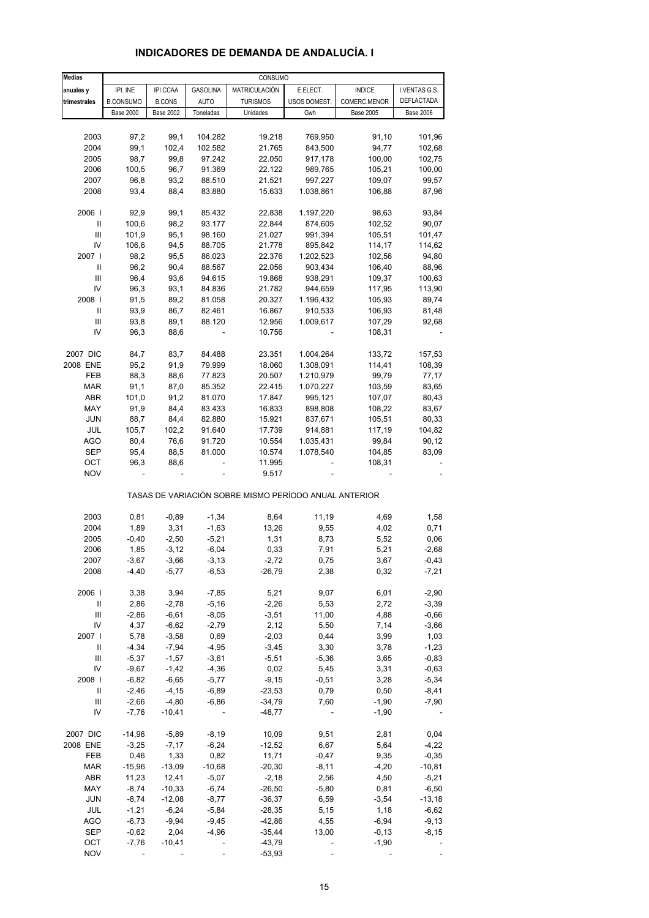| <b>Medias</b>                      |                  |                  |                 | CONSUMO                                               |              |                  |                  |
|------------------------------------|------------------|------------------|-----------------|-------------------------------------------------------|--------------|------------------|------------------|
| anuales y                          | IPI. INE         | IPI.CCAA         | <b>GASOLINA</b> | MATRICULACIÓN                                         | E.ELECT.     | <b>INDICE</b>    | I.VENTAS G.S.    |
| trimestrales                       | <b>B.CONSUMO</b> | <b>B.CONS</b>    | <b>AUTO</b>     | <b>TURISMOS</b>                                       | USOS DOMEST. | COMERC.MENOR     | DEFLACTADA       |
|                                    | <b>Base 2000</b> | <b>Base 2002</b> | Toneladas       | Unidades                                              | Gwh          | <b>Base 2005</b> | <b>Base 2006</b> |
|                                    |                  |                  |                 |                                                       |              |                  |                  |
| 2003                               | 97,2             | 99,1             | 104.282         | 19.218                                                | 769,950      | 91,10            | 101,96           |
| 2004                               | 99,1             | 102,4            | 102.582         | 21.765                                                | 843,500      | 94,77            | 102,68           |
| 2005                               | 98,7             | 99,8             | 97.242          | 22.050                                                | 917,178      | 100,00           | 102,75           |
| 2006                               | 100,5            | 96,7             | 91.369          | 22.122                                                | 989,765      | 105,21           | 100,00           |
| 2007                               | 96,8             | 93,2             | 88.510          | 21.521                                                | 997,227      | 109,07           | 99,57            |
| 2008                               | 93,4             | 88,4             | 83.880          | 15.633                                                | 1.038,861    | 106,88           | 87,96            |
| 2006                               | 92,9             | 99,1             | 85.432          | 22.838                                                | 1.197,220    | 98,63            | 93,84            |
| Ш                                  | 100,6            | 98,2             | 93.177          | 22.844                                                | 874,605      | 102,52           | 90,07            |
| Ш                                  | 101,9            | 95,1             | 98.160          | 21.027                                                | 991,394      | 105,51           | 101,47           |
| IV                                 | 106,6            | 94,5             | 88.705          | 21.778                                                | 895,842      | 114,17           | 114,62           |
| 2007 l                             | 98,2             | 95,5             | 86.023          | 22.376                                                | 1.202,523    | 102,56           | 94,80            |
| Ш                                  | 96,2             | 90,4             | 88.567          | 22.056                                                | 903,434      | 106,40           | 88,96            |
| Ш                                  | 96,4             | 93,6             | 94.615          | 19.868                                                | 938,291      | 109,37           | 100,63           |
| IV                                 | 96,3             | 93,1             | 84.836          | 21.782                                                | 944,659      | 117,95           | 113,90           |
| 2008                               | 91,5             | 89,2             | 81.058          | 20.327                                                | 1.196,432    | 105,93           | 89,74            |
| Ш                                  | 93,9             | 86,7             | 82.461          | 16.867                                                | 910,533      | 106,93           | 81,48            |
| Ш                                  | 93,8             | 89,1             | 88.120          | 12.956                                                | 1.009,617    | 107,29           | 92,68            |
| IV                                 | 96,3             | 88,6             |                 | 10.756                                                |              | 108,31           |                  |
| 2007 DIC                           | 84,7             | 83,7             | 84.488          | 23.351                                                | 1.004,264    | 133,72           | 157,53           |
| 2008 ENE                           | 95,2             | 91,9             | 79.999          | 18.060                                                | 1.308,091    | 114,41           | 108,39           |
| FEB                                | 88,3             | 88,6             | 77.823          | 20.507                                                | 1.210,979    | 99,79            | 77,17            |
| <b>MAR</b>                         | 91,1             | 87,0             | 85.352          | 22.415                                                | 1.070,227    | 103,59           | 83,65            |
| ABR                                | 101,0            | 91,2             | 81.070          | 17.847                                                | 995,121      | 107,07           | 80,43            |
| MAY                                | 91,9             | 84,4             | 83.433          | 16.833                                                | 898,808      | 108,22           | 83,67            |
| <b>JUN</b>                         | 88,7             | 84,4             | 82.880          | 15.921                                                | 837,671      | 105,51           | 80,33            |
| JUL                                | 105,7            | 102,2            | 91.640          | 17.739                                                | 914,881      | 117,19           | 104,82           |
| <b>AGO</b>                         | 80,4             | 76,6             | 91.720          | 10.554                                                | 1.035,431    | 99,84            | 90,12            |
| SEP                                | 95,4             | 88,5             | 81.000          | 10.574                                                | 1.078,540    | 104,85           | 83,09            |
| OCT                                | 96,3             | 88,6             |                 | 11.995                                                |              | 108,31           |                  |
| <b>NOV</b>                         |                  |                  |                 | 9.517                                                 |              |                  |                  |
|                                    |                  |                  |                 | TASAS DE VARIACIÓN SOBRE MISMO PERÍODO ANUAL ANTERIOR |              |                  |                  |
| 2003                               | 0,81             | $-0,89$          | $-1,34$         | 8,64                                                  | 11,19        | 4,69             | 1,58             |
| 2004                               | 1,89             | 3,31             | $-1,63$         | 13,26                                                 | 9,55         | 4,02             | 0,71             |
| 2005                               | $-0,40$          | $-2,50$          | $-5,21$         | 1,31                                                  | 8,73         | 5,52             | 0,06             |
| 2006                               | 1,85             | $-3,12$          | $-6,04$         | 0,33                                                  | 7,91         | 5,21             | $-2,68$          |
| 2007                               | -3,67            | -3,66            | -3,13           | $-2,72$                                               | 0,75         | 3,67             | -0,43            |
| 2008                               | $-4,40$          | $-5,77$          | $-6,53$         | $-26,79$                                              | 2,38         | 0,32             | $-7,21$          |
| 2006                               | 3,38             | 3,94             | $-7,85$         | 5,21                                                  | 9,07         | 6,01             | $-2,90$          |
| Ш                                  | 2,86             | $-2,78$          | $-5,16$         | $-2,26$                                               | 5,53         | 2,72             | $-3,39$          |
| $\ensuremath{\mathsf{III}}\xspace$ | $-2,86$          | $-6,61$          | $-8,05$         | $-3,51$                                               | 11,00        | 4,88             | $-0,66$          |
| IV                                 | 4,37             | $-6,62$          | $-2,79$         | 2,12                                                  | 5,50         | 7,14             | $-3,66$          |
| 2007                               | 5,78             | $-3,58$          | 0,69            | $-2,03$                                               | 0,44         | 3,99             | 1,03             |
| Ш                                  | $-4,34$          | $-7,94$          | $-4,95$         | $-3,45$                                               | 3,30         | 3,78             | $-1,23$          |
| Ш                                  | $-5,37$          | $-1,57$          | $-3,61$         | $-5,51$                                               | $-5,36$      | 3,65             | $-0,83$          |
| IV                                 | $-9,67$          | $-1,42$          | $-4,36$         | 0,02                                                  | 5,45         | 3,31             | $-0,63$          |
| 2008                               | $-6,82$          | $-6,65$          | $-5,77$         | $-9,15$                                               | $-0,51$      | 3,28             | $-5,34$          |
| Ш                                  | $-2,46$          | $-4, 15$         | $-6,89$         | $-23,53$                                              | 0,79         | 0,50             | $-8,41$          |
| Ш                                  | $-2,66$          | $-4,80$          | $-6,86$         | $-34,79$                                              | 7,60         | $-1,90$          | $-7,90$          |
| IV                                 | $-7,76$          | $-10,41$         |                 | $-48,77$                                              |              | $-1,90$          |                  |
| 2007 DIC                           | $-14,96$         | $-5,89$          | $-8,19$         | 10,09                                                 | 9,51         | 2,81             | 0,04             |
| 2008 ENE                           | $-3,25$          | $-7,17$          | $-6,24$         | $-12,52$                                              | 6,67         | 5,64             | $-4,22$          |
| FEB                                | 0,46             | 1,33             | 0,82            | 11,71                                                 | $-0,47$      | 9,35             | $-0,35$          |
| <b>MAR</b>                         | $-15,96$         | $-13,09$         | $-10,68$        | $-20,30$                                              | $-8,11$      | $-4,20$          | $-10,81$         |
| ABR                                | 11,23            | 12,41            | $-5,07$         | $-2,18$                                               | 2,56         | 4,50             | $-5,21$          |
| MAY                                | $-8,74$          | $-10,33$         | $-6,74$         | $-26,50$                                              | $-5,80$      | 0,81             | $-6,50$          |
| JUN                                | $-8,74$          | $-12,08$         | $-8,77$         | $-36,37$                                              | 6,59         | $-3,54$          | $-13,18$         |
| JUL                                | $-1,21$          | $-6,24$          | $-5,84$         | $-28,35$                                              | 5,15         | 1,18             | $-6,62$          |
| AGO                                | $-6,73$          | $-9,94$          | $-9,45$         | $-42,86$                                              | 4,55         | $-6,94$          | $-9,13$          |
| <b>SEP</b>                         | $-0,62$          | 2,04             | $-4,96$         | $-35,44$                                              | 13,00        | $-0, 13$         | $-8,15$          |
| OCT                                | $-7,76$          | $-10,41$         |                 | $-43,79$                                              |              | $-1,90$          |                  |
| <b>NOV</b>                         |                  |                  |                 | $-53,93$                                              |              |                  |                  |

## **INDICADORES DE DEMANDA DE ANDALUCÍA. I**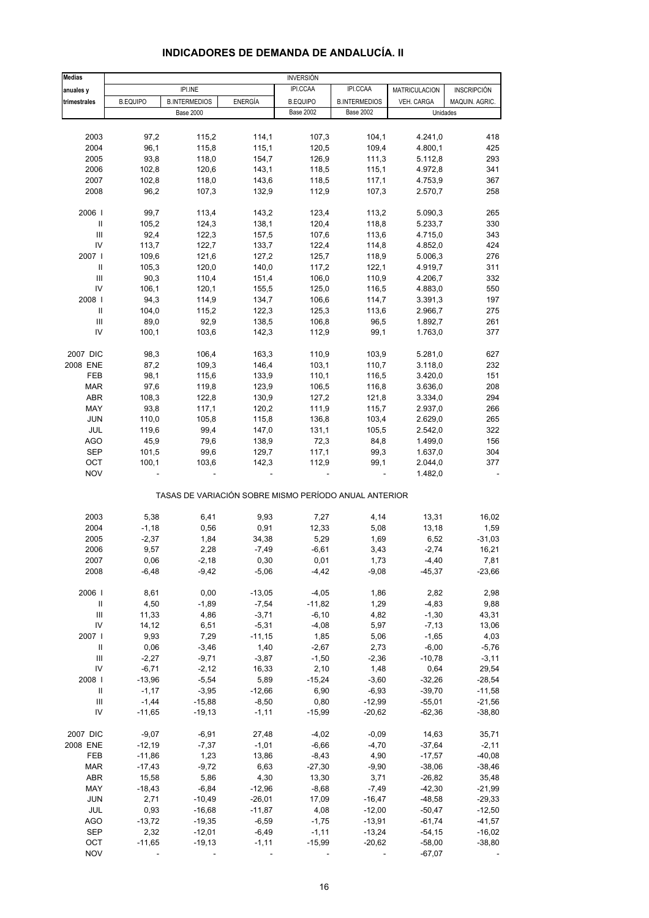#### **Medias anuales y International IPI.INE i computer de la procesa de la procesa de la procesa de la procesa de la proces trimestrales** B.EQUIPO B.INTERMEDIOS ENERGÍA B.EQUIPO B.INTERMEDIOS VEH. CARGA MAQUIN. AGRIC. Base 2002 Base 2002 2003 97,2 115,2 114,1 107,3 104,1 4.241,0 418 2004 96,1 115,8 115,1 120,5 109,4 4.800,1 425 2005 93,8 118,0 154,7 126,9 111,3 5.112,8 293 2006 102,8 120,6 143,1 118,5 115,1 4.972,8 341 2007 102,8 118,0 143,6 118,5 117,1 4.753,9 367 2008 96,2 107,3 132,9 112,9 107,3 2.570,7 258 2006 I 99,7 113,4 143,2 123,4 113,2 5.090,3 265 II 105,2 124,3 138,1 120,4 118,8 5.233,7 330 III 92,4 122,3 157,5 107,6 113,6 4.715,0 343 IV 113,7 122,7 133,7 122,4 114,8 4.852,0 424 2007 I 109,6 121,6 127,2 125,7 118,9 5.006,3 276 II 105,3 120,0 140,0 117,2 122,1 4.919,7 311 III 90,3 110,4 151,4 106,0 110,9 4.206,7 332 IV 106,1 120,1 155,5 125,0 116,5 4.883,0 550 2008 I 94,3 114,9 134,7 106,6 114,7 3.391,3 197 II 104,0 115,2 122,3 125,3 113,6 2.966,7 275 III 89,0 92,9 138,5 106,8 96,5 1.892,7 261 IV 100,1 103,6 142,3 112,9 99,1 1.763,0 377 2007 DIC 98,3 106,4 163,3 110,9 103,9 5.281,0 627 2008 ENE 87,2 109,3 146,4 103,1 110,7 3.118,0 232 FEB 98,1 115,6 133,9 110,1 116,5 3.420,0 151 MAR 97,6 119,8 123,9 106,5 116,8 3.636,0 208 ABR 108,3 122,8 130,9 127,2 121,8 3.334,0 294 MAY 93,8 117,1 120,2 111,9 115,7 2.937,0 266 JUN 110,0 105,8 115,8 136,8 103,4 2.629,0 265 JUL 119,6 99,4 147,0 131,1 105,5 2.542,0 322 AGO 45,9 79,6 138,9 72,3 84,8 1.499,0 156 SEP 101,5 99,6 129,7 117,1 99,3 1.637,0 304 OCT 100,1 103,6 142,3 112,9 99,1 2.044,0 377 NOV - - - - - 1.482,0 - TASAS DE VARIACIÓN SOBRE MISMO PERÍODO ANUAL ANTERIOR 2003 5,38 6,41 9,93 7,27 4,14 13,31 16,02 2004 -1,18 0,56 0,91 12,33 5,08 13,18 1,59 2005 -2,37 1,84 34,38 5,29 1,69 6,52 -31,03 2006 9,57 2,28 -7,49 -6,61 3,43 -2,74 16,21 2007 0,06 -2,18 0,30 0,01 1,73 -4,40 7,81 2008 -6,48 -9,42 -5,06 -4,42 -9,08 -45,37 -23,66 2006 I 8,61 0,00 -13,05 -4,05 1,86 2,82 2,98 II 4,50 -1,89 -7,54 -11,82 1,29 -4,83 9,88 III 11,33 4,86 -3,71 -6,10 4,82 -1,30 43,31 IV 14,12 6,51 -5,31 -4,08 5,97 -7,13 13,06 2007 I 9,93 7,29 -11,15 1,85 5,06 -1,65 4,03 II 0,06 -3,46 1,40 -2,67 2,73 -6,00 -5,76 III -2,27 -9,71 -3,87 -1,50 -2,36 -10,78 -3,11 IV -6,71 -2,12 16,33 2,10 1,48 0,64 29,54 2008 I -13,96 -5,54 5,89 -15,24 -3,60 -32,26 -28,54 II -1,17 -3,95 -12,66 6,90 -6,93 -39,70 -11,58 III -1,44 -15,88 -8,50 0,80 -12,99 -55,01 -21,56 IV -11,65 -19,13 -1,11 -15,99 -20,62 -62,36 -38,80 2007 DIC -9,07 -6,91 - 27,48 -4,02 -0,09 - 14,63 - 35,71 2008 ENE -12,19 -7,37 -1,01 -6,66 -4,70 -37,64 -2,11 FEB -11,86 1,23 13,86 -8,43 4,90 -17,57 -40,08 MAR -17,43 -9,72 -6,63 -27,30 -9,90 -38,06 -38,46 ABR 15,58 5,86 4,30 13,30 3,71 -26,82 35,48 MAY -18,43 -6,84 -12,96 -8,68 -7,49 -42,30 -21,99 JUN 2,71 -10,49 -26,01 17,09 -16,47 -48,58 -29,33 JUL 0,93 -16,68 -11,87 4,08 -12,00 -50,47 -12,50 AGO -13,72 -19,35 -6,59 -1,75 -13,91 -61,74 -41,57 SEP 2,32 -12,01 -6,49 -1,11 -13,24 -54,15 -16,02 OCT -11,65 -19,13 -1,11 -15,99 -20,62 -58,00 -38,80 INVERSIÓN IPI.INE Base 2000 Base 2002 Base 2002 Unidades

#### **INDICADORES DE DEMANDA DE ANDALUCÍA. II**

NOV - - - - - -67,07 -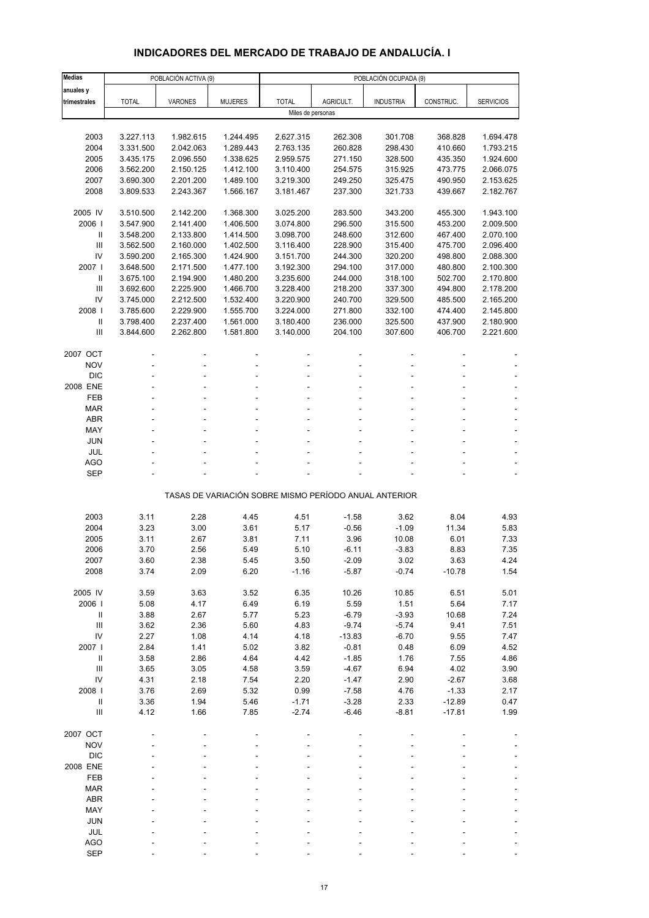# **INDICADORES DEL MERCADO DE TRABAJO DE ANDALUCÍA. I**

| <b>Medias</b>                      | POBLACIÓN ACTIVA (9)   |                        |                        | POBLACIÓN OCUPADA (9)  |                     |                                                       |                    |                        |  |  |
|------------------------------------|------------------------|------------------------|------------------------|------------------------|---------------------|-------------------------------------------------------|--------------------|------------------------|--|--|
| anuales y                          |                        |                        |                        |                        |                     |                                                       |                    |                        |  |  |
| trimestrales                       | <b>TOTAL</b>           | VARONES                | <b>MUJERES</b>         | <b>TOTAL</b>           | AGRICULT.           | <b>INDUSTRIA</b>                                      | CONSTRUC.          | <b>SERVICIOS</b>       |  |  |
|                                    |                        |                        |                        | Miles de personas      |                     |                                                       |                    |                        |  |  |
|                                    |                        |                        |                        |                        |                     |                                                       |                    |                        |  |  |
| 2003<br>2004                       | 3.227.113<br>3.331.500 | 1.982.615<br>2.042.063 | 1.244.495<br>1.289.443 | 2.627.315<br>2.763.135 | 262.308<br>260.828  | 301.708<br>298.430                                    | 368.828<br>410.660 | 1.694.478<br>1.793.215 |  |  |
| 2005                               | 3.435.175              | 2.096.550              | 1.338.625              | 2.959.575              | 271.150             | 328.500                                               | 435.350            | 1.924.600              |  |  |
| 2006                               | 3.562.200              | 2.150.125              | 1.412.100              | 3.110.400              | 254.575             | 315.925                                               | 473.775            | 2.066.075              |  |  |
| 2007                               | 3.690.300              | 2.201.200              | 1.489.100              | 3.219.300              | 249.250             | 325.475                                               | 490.950            | 2.153.625              |  |  |
| 2008                               | 3.809.533              | 2.243.367              | 1.566.167              | 3.181.467              | 237.300             | 321.733                                               | 439.667            | 2.182.767              |  |  |
|                                    |                        |                        |                        |                        |                     |                                                       |                    |                        |  |  |
| 2005 IV                            | 3.510.500              | 2.142.200              | 1.368.300              | 3.025.200              | 283.500             | 343.200                                               | 455.300            | 1.943.100              |  |  |
| 2006  <br>Ш                        | 3.547.900<br>3.548.200 | 2.141.400<br>2.133.800 | 1.406.500<br>1.414.500 | 3.074.800<br>3.098.700 | 296.500<br>248.600  | 315.500<br>312.600                                    | 453.200<br>467.400 | 2.009.500<br>2.070.100 |  |  |
| III                                | 3.562.500              | 2.160.000              | 1.402.500              | 3.116.400              | 228.900             | 315.400                                               | 475.700            | 2.096.400              |  |  |
| IV                                 | 3.590.200              | 2.165.300              | 1.424.900              | 3.151.700              | 244.300             | 320.200                                               | 498.800            | 2.088.300              |  |  |
| 2007 l                             | 3.648.500              | 2.171.500              | 1.477.100              | 3.192.300              | 294.100             | 317.000                                               | 480.800            | 2.100.300              |  |  |
| Ш                                  | 3.675.100              | 2.194.900              | 1.480.200              | 3.235.600              | 244.000             | 318.100                                               | 502.700            | 2.170.800              |  |  |
| III                                | 3.692.600              | 2.225.900              | 1.466.700              | 3.228.400              | 218.200             | 337.300                                               | 494.800            | 2.178.200              |  |  |
| IV                                 | 3.745.000              | 2.212.500              | 1.532.400              | 3.220.900              | 240.700             | 329.500                                               | 485.500            | 2.165.200              |  |  |
| 2008  <br>$\mathbf{II}$            | 3.785.600<br>3.798.400 | 2.229.900<br>2.237.400 | 1.555.700<br>1.561.000 | 3.224.000<br>3.180.400 | 271.800<br>236.000  | 332.100<br>325.500                                    | 474.400<br>437.900 | 2.145.800<br>2.180.900 |  |  |
| III                                | 3.844.600              | 2.262.800              | 1.581.800              | 3.140.000              | 204.100             | 307.600                                               | 406.700            | 2.221.600              |  |  |
|                                    |                        |                        |                        |                        |                     |                                                       |                    |                        |  |  |
| 2007 OCT                           |                        |                        |                        |                        |                     |                                                       |                    |                        |  |  |
| <b>NOV</b>                         |                        |                        |                        |                        |                     |                                                       |                    |                        |  |  |
| <b>DIC</b>                         |                        |                        |                        |                        |                     |                                                       |                    |                        |  |  |
| 2008 ENE                           |                        |                        |                        |                        |                     |                                                       |                    |                        |  |  |
| <b>FEB</b><br><b>MAR</b>           |                        |                        |                        |                        |                     |                                                       |                    |                        |  |  |
| ABR                                |                        |                        |                        |                        |                     |                                                       |                    |                        |  |  |
| MAY                                | ä,                     |                        |                        |                        |                     |                                                       |                    |                        |  |  |
| <b>JUN</b>                         |                        |                        |                        |                        |                     |                                                       |                    |                        |  |  |
| JUL                                |                        |                        |                        |                        |                     |                                                       |                    |                        |  |  |
| AGO                                |                        |                        |                        |                        |                     |                                                       |                    |                        |  |  |
| <b>SEP</b>                         |                        |                        |                        |                        |                     |                                                       |                    |                        |  |  |
|                                    |                        |                        |                        |                        |                     | TASAS DE VARIACIÓN SOBRE MISMO PERÍODO ANUAL ANTERIOR |                    |                        |  |  |
|                                    |                        |                        |                        |                        |                     |                                                       |                    |                        |  |  |
| 2003                               | 3.11                   | 2.28                   | 4.45                   | 4.51                   | $-1.58$             | 3.62                                                  | 8.04               | 4.93                   |  |  |
| 2004                               | 3.23                   | 3.00                   | 3.61                   | 5.17                   | $-0.56$             | $-1.09$                                               | 11.34              | 5.83                   |  |  |
| 2005                               | 3.11                   | 2.67                   | 3.81                   | 7.11                   | 3.96                | 10.08                                                 | 6.01               | 7.33                   |  |  |
| 2006                               | 3.70                   | 2.56                   | 5.49                   | 5.10                   | $-6.11$             | $-3.83$                                               | 8.83               | 7.35                   |  |  |
| 2007<br>2008                       | 3.60<br>3.74           | 2.38<br>2.09           | 5.45<br>6.20           | 3.50<br>$-1.16$        | -2.09<br>$-5.87$    | 3.02<br>$-0.74$                                       | 3.63<br>$-10.78$   | 4.24<br>1.54           |  |  |
|                                    |                        |                        |                        |                        |                     |                                                       |                    |                        |  |  |
| 2005 IV                            | 3.59                   | 3.63                   | 3.52                   | 6.35                   | 10.26               | 10.85                                                 | 6.51               | 5.01                   |  |  |
| 2006                               | 5.08                   | 4.17                   | 6.49                   | 6.19                   | 5.59                | 1.51                                                  | 5.64               | 7.17                   |  |  |
| $\, \parallel$                     | 3.88                   | 2.67                   | 5.77                   | 5.23                   | $-6.79$             | $-3.93$                                               | 10.68              | 7.24                   |  |  |
| Ш                                  | 3.62                   | 2.36                   | 5.60                   | 4.83                   | $-9.74$             | $-5.74$                                               | 9.41               | 7.51                   |  |  |
| IV<br>2007 l                       | 2.27<br>2.84           | 1.08<br>1.41           | 4.14<br>5.02           | 4.18<br>3.82           | $-13.83$<br>$-0.81$ | $-6.70$<br>0.48                                       | 9.55<br>6.09       | 7.47<br>4.52           |  |  |
| $\, \parallel$                     | 3.58                   | 2.86                   | 4.64                   | 4.42                   | $-1.85$             | 1.76                                                  | 7.55               | 4.86                   |  |  |
| $\ensuremath{\mathsf{III}}\xspace$ | 3.65                   | 3.05                   | 4.58                   | 3.59                   | $-4.67$             | 6.94                                                  | 4.02               | 3.90                   |  |  |
| IV                                 | 4.31                   | 2.18                   | 7.54                   | 2.20                   | $-1.47$             | 2.90                                                  | $-2.67$            | 3.68                   |  |  |
| 2008                               | 3.76                   | 2.69                   | 5.32                   | 0.99                   | $-7.58$             | 4.76                                                  | $-1.33$            | 2.17                   |  |  |
| $\, \parallel$                     | 3.36                   | 1.94                   | 5.46                   | $-1.71$                | $-3.28$             | 2.33                                                  | $-12.89$           | 0.47                   |  |  |
| Ш                                  | 4.12                   | 1.66                   | 7.85                   | $-2.74$                | $-6.46$             | $-8.81$                                               | $-17.81$           | 1.99                   |  |  |
| 2007 OCT                           |                        |                        |                        |                        |                     |                                                       |                    |                        |  |  |
| <b>NOV</b>                         |                        |                        |                        |                        |                     |                                                       |                    |                        |  |  |
| <b>DIC</b>                         |                        |                        |                        |                        |                     |                                                       |                    |                        |  |  |
| 2008 ENE                           |                        |                        |                        |                        |                     |                                                       |                    |                        |  |  |
| FEB                                |                        |                        |                        |                        |                     |                                                       |                    |                        |  |  |
| <b>MAR</b>                         |                        |                        |                        |                        |                     |                                                       |                    |                        |  |  |
| ABR                                |                        |                        |                        |                        |                     |                                                       |                    |                        |  |  |
| MAY                                |                        |                        |                        |                        |                     |                                                       |                    |                        |  |  |
| <b>JUN</b><br>JUL                  |                        |                        |                        |                        |                     |                                                       |                    |                        |  |  |
| <b>AGO</b>                         |                        |                        |                        |                        |                     |                                                       |                    |                        |  |  |
| <b>SEP</b>                         |                        |                        |                        |                        |                     |                                                       |                    |                        |  |  |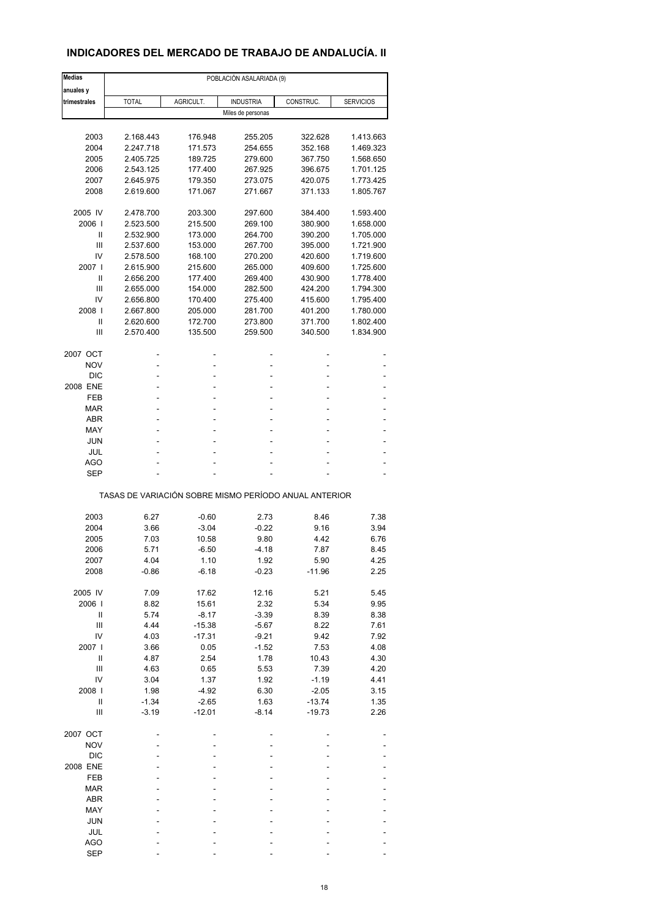### **INDICADORES DEL MERCADO DE TRABAJO DE ANDALUCÍA. II**

| <b>Medias</b>  | POBLACIÓN ASALARIADA (9)                              |           |                   |           |                  |  |  |  |  |
|----------------|-------------------------------------------------------|-----------|-------------------|-----------|------------------|--|--|--|--|
| anuales y      |                                                       |           |                   |           |                  |  |  |  |  |
| trimestrales   | <b>TOTAL</b>                                          | AGRICULT. | <b>INDUSTRIA</b>  | CONSTRUC. | <b>SERVICIOS</b> |  |  |  |  |
|                |                                                       |           | Miles de personas |           |                  |  |  |  |  |
|                |                                                       |           |                   |           |                  |  |  |  |  |
| 2003           | 2.168.443                                             | 176.948   | 255.205           | 322.628   | 1.413.663        |  |  |  |  |
| 2004           | 2.247.718                                             | 171.573   | 254.655           | 352.168   | 1.469.323        |  |  |  |  |
| 2005           | 2.405.725                                             | 189.725   | 279.600           | 367.750   | 1.568.650        |  |  |  |  |
| 2006           | 2.543.125                                             | 177.400   | 267.925           | 396.675   | 1.701.125        |  |  |  |  |
| 2007           | 2.645.975                                             | 179.350   | 273.075           | 420.075   | 1.773.425        |  |  |  |  |
| 2008           | 2.619.600                                             | 171.067   | 271.667           | 371.133   | 1.805.767        |  |  |  |  |
|                |                                                       |           |                   |           |                  |  |  |  |  |
| 2005 IV        | 2.478.700                                             | 203.300   | 297.600           | 384.400   | 1.593.400        |  |  |  |  |
| 2006           | 2.523.500                                             | 215.500   | 269.100           | 380.900   | 1.658.000        |  |  |  |  |
| Ш              | 2.532.900                                             | 173.000   | 264.700           | 390.200   | 1.705.000        |  |  |  |  |
| Ш              | 2.537.600                                             | 153.000   | 267.700           | 395.000   | 1.721.900        |  |  |  |  |
| IV             | 2.578.500                                             | 168.100   | 270.200           | 420.600   | 1.719.600        |  |  |  |  |
| 2007 l         | 2.615.900                                             | 215.600   | 265.000           | 409.600   | 1.725.600        |  |  |  |  |
| Ш              | 2.656.200                                             | 177.400   | 269.400           | 430.900   | 1.778.400        |  |  |  |  |
|                |                                                       |           |                   |           |                  |  |  |  |  |
| Ш              | 2.655.000                                             | 154.000   | 282.500           | 424.200   | 1.794.300        |  |  |  |  |
| IV             | 2.656.800                                             | 170.400   | 275.400           | 415.600   | 1.795.400        |  |  |  |  |
| 2008           | 2.667.800                                             | 205.000   | 281.700           | 401.200   | 1.780.000        |  |  |  |  |
| Ш              | 2.620.600                                             | 172.700   | 273.800           | 371.700   | 1.802.400        |  |  |  |  |
| Ш              | 2.570.400                                             | 135.500   | 259.500           | 340.500   | 1.834.900        |  |  |  |  |
|                |                                                       |           |                   |           |                  |  |  |  |  |
| 2007 OCT       |                                                       | ٠         | ۰                 |           |                  |  |  |  |  |
| <b>NOV</b>     |                                                       |           |                   |           |                  |  |  |  |  |
| <b>DIC</b>     |                                                       |           |                   |           |                  |  |  |  |  |
| 2008 ENE       | ۰                                                     |           | ۰                 | ٠         |                  |  |  |  |  |
| FEB            |                                                       |           |                   |           |                  |  |  |  |  |
| <b>MAR</b>     | ä,                                                    |           | ä,                | ä,        | L,               |  |  |  |  |
| <b>ABR</b>     | ۰                                                     | ٠         | ۰                 | ۰         | ۰                |  |  |  |  |
| MAY            |                                                       |           |                   |           |                  |  |  |  |  |
| <b>JUN</b>     | ä,                                                    |           |                   |           |                  |  |  |  |  |
| JUL            | ۰                                                     |           | Ĭ.                |           |                  |  |  |  |  |
| AGO            |                                                       |           |                   |           |                  |  |  |  |  |
| <b>SEP</b>     |                                                       |           | ä,                | ä,        |                  |  |  |  |  |
|                |                                                       |           |                   |           |                  |  |  |  |  |
|                | TASAS DE VARIACIÓN SOBRE MISMO PERÍODO ANUAL ANTERIOR |           |                   |           |                  |  |  |  |  |
|                |                                                       |           |                   |           |                  |  |  |  |  |
| 2003           | 6.27                                                  | $-0.60$   | 2.73              | 8.46      | 7.38             |  |  |  |  |
| 2004           | 3.66                                                  | $-3.04$   | $-0.22$           | 9.16      | 3.94             |  |  |  |  |
| 2005           | 7.03                                                  | 10.58     | 9.80              | 4.42      | 6.76             |  |  |  |  |
| 2006           | 5.71                                                  | $-6.50$   | -4.18             | 7.87      | 8.45             |  |  |  |  |
| 2007           | 4.04                                                  | 1.10      | 1.92              | 5.90      | 4.25             |  |  |  |  |
| 2008           | $-0.86$                                               | $-6.18$   | $-0.23$           | $-11.96$  | 2.25             |  |  |  |  |
|                |                                                       |           |                   |           |                  |  |  |  |  |
| 2005 IV        | 7.09                                                  | 17.62     | 12.16             | 5.21      | 5.45             |  |  |  |  |
|                |                                                       |           |                   |           |                  |  |  |  |  |
| 2006           | 8.82                                                  | 15.61     | 2.32              | 5.34      | 9.95             |  |  |  |  |
| Ш              | 5.74                                                  | $-8.17$   | $-3.39$           | 8.39      | 8.38             |  |  |  |  |
| Ш              | 4.44                                                  | $-15.38$  | $-5.67$           | 8.22      | 7.61             |  |  |  |  |
| IV             | 4.03                                                  | $-17.31$  | $-9.21$           | 9.42      | 7.92             |  |  |  |  |
| 2007 l         | 3.66                                                  | 0.05      | $-1.52$           | 7.53      | 4.08             |  |  |  |  |
| $\mathsf{I}$   | 4.87                                                  | 2.54      | 1.78              | 10.43     | 4.30             |  |  |  |  |
| $\mathsf{III}$ | 4.63                                                  | 0.65      | 5.53              | 7.39      | 4.20             |  |  |  |  |
| IV             | 3.04                                                  | 1.37      | 1.92              | $-1.19$   | 4.41             |  |  |  |  |
| 2008           | 1.98                                                  | $-4.92$   | 6.30              | $-2.05$   | 3.15             |  |  |  |  |
| $\mathsf{I}$   | $-1.34$                                               | $-2.65$   | 1.63              | $-13.74$  | 1.35             |  |  |  |  |
| Ш              | $-3.19$                                               | $-12.01$  | $-8.14$           | $-19.73$  | 2.26             |  |  |  |  |
|                |                                                       |           |                   |           |                  |  |  |  |  |
| 2007 OCT       |                                                       |           |                   |           |                  |  |  |  |  |
| <b>NOV</b>     |                                                       |           |                   |           |                  |  |  |  |  |
| DIC            |                                                       |           |                   |           |                  |  |  |  |  |
| 2008 ENE       |                                                       |           |                   |           |                  |  |  |  |  |
| FEB            |                                                       |           |                   |           |                  |  |  |  |  |
| <b>MAR</b>     |                                                       |           |                   |           |                  |  |  |  |  |
|                |                                                       |           |                   |           |                  |  |  |  |  |
| ABR            |                                                       |           |                   |           |                  |  |  |  |  |
| MAY            |                                                       |           |                   |           |                  |  |  |  |  |
| <b>JUN</b>     |                                                       |           |                   |           |                  |  |  |  |  |
| JUL            |                                                       |           |                   |           |                  |  |  |  |  |
| <b>AGO</b>     |                                                       |           |                   |           |                  |  |  |  |  |
| <b>SEP</b>     |                                                       |           |                   |           |                  |  |  |  |  |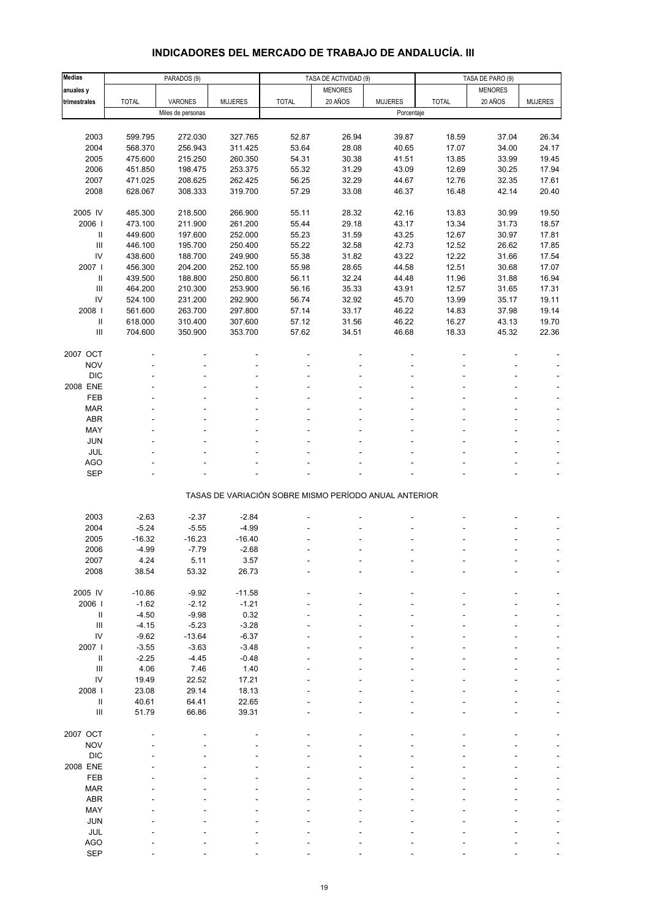# **INDICADORES DEL MERCADO DE TRABAJO DE ANDALUCÍA. III**

| <b>Medias</b>                      |              | PARADOS (9)       |                |                                                       | TASA DE ACTIVIDAD (9) |                | TASA DE PARO (9) |                |                |
|------------------------------------|--------------|-------------------|----------------|-------------------------------------------------------|-----------------------|----------------|------------------|----------------|----------------|
| anuales y                          |              |                   |                |                                                       | <b>MENORES</b>        |                |                  | <b>MENORES</b> |                |
| trimestrales                       | <b>TOTAL</b> | VARONES           | <b>MUJERES</b> | <b>TOTAL</b>                                          | 20 AÑOS               | <b>MUJERES</b> | <b>TOTAL</b>     | 20 AÑOS        | <b>MUJERES</b> |
|                                    |              | Miles de personas |                |                                                       |                       | Porcentaje     |                  |                |                |
|                                    |              |                   |                |                                                       |                       |                |                  |                |                |
| 2003                               | 599.795      | 272.030           | 327.765        | 52.87                                                 | 26.94                 | 39.87          | 18.59            | 37.04          | 26.34          |
| 2004                               | 568.370      | 256.943           | 311.425        | 53.64                                                 | 28.08                 | 40.65          | 17.07            | 34.00          | 24.17          |
| 2005                               | 475.600      | 215.250           | 260.350        | 54.31                                                 | 30.38                 | 41.51          | 13.85            | 33.99          | 19.45          |
| 2006                               | 451.850      | 198.475           | 253.375        | 55.32                                                 | 31.29                 | 43.09          | 12.69            | 30.25          | 17.94          |
| 2007                               | 471.025      | 208.625           | 262.425        | 56.25                                                 | 32.29                 | 44.67          | 12.76            | 32.35          | 17.61          |
| 2008                               | 628.067      | 308.333           | 319.700        | 57.29                                                 | 33.08                 | 46.37          | 16.48            | 42.14          | 20.40          |
|                                    |              |                   |                |                                                       |                       |                |                  |                |                |
| 2005 IV                            | 485.300      | 218.500           | 266.900        | 55.11                                                 | 28.32                 | 42.16          | 13.83            | 30.99          | 19.50          |
| 2006                               | 473.100      | 211.900           | 261.200        | 55.44                                                 | 29.18                 | 43.17          | 13.34            | 31.73          | 18.57          |
| 11                                 | 449.600      | 197.600           | 252.000        | 55.23                                                 | 31.59                 | 43.25          | 12.67            | 30.97          | 17.81          |
| $\ensuremath{\mathsf{III}}\xspace$ | 446.100      | 195.700           | 250.400        | 55.22                                                 | 32.58                 | 42.73          | 12.52            | 26.62          | 17.85          |
| ${\sf IV}$                         | 438.600      | 188.700           | 249.900        | 55.38                                                 | 31.82                 | 43.22          | 12.22            | 31.66          | 17.54          |
| 2007                               | 456.300      | 204.200           | 252.100        | 55.98                                                 | 28.65                 | 44.58          | 12.51            | 30.68          | 17.07          |
| Ш                                  | 439.500      | 188.800           | 250.800        | 56.11                                                 | 32.24                 | 44.48          | 11.96            | 31.88          | 16.94          |
| $\ensuremath{\mathsf{III}}\xspace$ | 464.200      | 210.300           | 253.900        | 56.16                                                 | 35.33                 | 43.91          | 12.57            | 31.65          | 17.31          |
| IV                                 | 524.100      | 231.200           | 292.900        | 56.74                                                 | 32.92                 | 45.70          | 13.99            | 35.17          | 19.11          |
| 2008                               | 561.600      | 263.700           | 297.800        | 57.14                                                 | 33.17                 | 46.22          | 14.83            | 37.98          | 19.14          |
| Ш                                  | 618.000      | 310.400           | 307.600        | 57.12                                                 | 31.56                 | 46.22          | 16.27            | 43.13          | 19.70          |
| $\ensuremath{\mathsf{III}}\xspace$ | 704.600      | 350.900           | 353.700        | 57.62                                                 | 34.51                 | 46.68          | 18.33            | 45.32          | 22.36          |
|                                    |              |                   |                |                                                       |                       |                |                  |                |                |
| 2007 OCT                           |              |                   |                |                                                       |                       |                |                  |                |                |
| <b>NOV</b>                         |              |                   |                |                                                       |                       |                |                  |                |                |
| <b>DIC</b>                         |              |                   |                |                                                       |                       |                |                  |                |                |
| 2008 ENE                           |              |                   |                |                                                       |                       |                |                  |                |                |
| FEB                                |              |                   |                |                                                       |                       |                |                  |                |                |
| <b>MAR</b>                         |              |                   |                |                                                       |                       |                |                  |                |                |
| ABR                                |              |                   |                |                                                       |                       |                |                  |                |                |
| MAY                                |              |                   |                |                                                       |                       |                |                  |                |                |
| JUN                                |              |                   |                |                                                       |                       |                |                  |                |                |
| JUL                                |              |                   |                |                                                       |                       |                |                  |                |                |
| AGO                                |              |                   |                |                                                       |                       |                |                  |                |                |
| <b>SEP</b>                         |              |                   |                |                                                       |                       |                |                  |                |                |
|                                    |              |                   |                | TASAS DE VARIACIÓN SOBRE MISMO PERÍODO ANUAL ANTERIOR |                       |                |                  |                |                |
| 2003                               | $-2.63$      | $-2.37$           | $-2.84$        |                                                       |                       |                |                  |                |                |
| 2004                               | $-5.24$      | $-5.55$           | $-4.99$        |                                                       |                       |                |                  |                |                |
| 2005                               | $-16.32$     | $-16.23$          | $-16.40$       |                                                       |                       |                |                  |                |                |
| 2006                               | $-4.99$      | $-7.79$           | $-2.68$        |                                                       |                       |                |                  |                | ÷,             |
| 2007                               | 4.24         | 5.11              | 3.57           |                                                       |                       |                |                  |                |                |
| 2008                               | 38.54        | 53.32             | 26.73          |                                                       |                       |                |                  |                |                |
|                                    |              |                   |                |                                                       |                       |                |                  |                |                |
| 2005 IV                            | $-10.86$     | $-9.92$           | $-11.58$       |                                                       |                       |                |                  |                |                |
| 2006                               | $-1.62$      | $-2.12$           | $-1.21$        |                                                       |                       |                |                  |                |                |
| Ш                                  | $-4.50$      | $-9.98$           | 0.32           |                                                       |                       |                |                  |                |                |
| $\ensuremath{\mathsf{III}}\xspace$ | $-4.15$      | $-5.23$           | $-3.28$        |                                                       |                       |                |                  |                |                |
| IV                                 | $-9.62$      | $-13.64$          | $-6.37$        |                                                       |                       |                |                  |                |                |
| 2007 l                             | $-3.55$      | $-3.63$           | $-3.48$        |                                                       |                       |                |                  |                |                |
| Ш                                  | $-2.25$      | $-4.45$           | $-0.48$        |                                                       |                       |                |                  |                |                |
| $\ensuremath{\mathsf{III}}\xspace$ | 4.06         | 7.46              | 1.40           |                                                       |                       |                |                  |                |                |
| IV                                 | 19.49        | 22.52             | 17.21          |                                                       |                       |                |                  |                |                |
| 2008                               | 23.08        | 29.14             | 18.13          |                                                       |                       |                |                  |                |                |
| Ш                                  | 40.61        | 64.41             | 22.65          |                                                       |                       |                |                  |                |                |
| $\ensuremath{\mathsf{III}}\xspace$ | 51.79        | 66.86             | 39.31          |                                                       |                       |                |                  |                |                |
|                                    |              |                   |                |                                                       |                       |                |                  |                |                |
| 2007 OCT                           |              |                   |                |                                                       |                       |                |                  |                |                |
| <b>NOV</b>                         |              |                   |                |                                                       |                       |                |                  |                |                |
| DIC                                |              |                   |                |                                                       |                       |                |                  |                |                |
| 2008 ENE                           |              |                   |                |                                                       |                       |                |                  |                |                |
| FEB                                |              |                   |                |                                                       |                       |                |                  |                |                |
| <b>MAR</b>                         |              |                   |                |                                                       |                       |                |                  |                |                |
| ABR                                |              |                   |                |                                                       |                       |                |                  |                |                |
| MAY                                |              |                   |                |                                                       |                       |                |                  |                |                |
| JUN                                |              |                   |                |                                                       |                       |                |                  |                |                |
| JUL                                |              |                   |                |                                                       |                       |                |                  |                |                |
| AGO                                |              |                   |                |                                                       |                       |                |                  |                |                |
| <b>SEP</b>                         |              |                   |                |                                                       |                       |                |                  |                |                |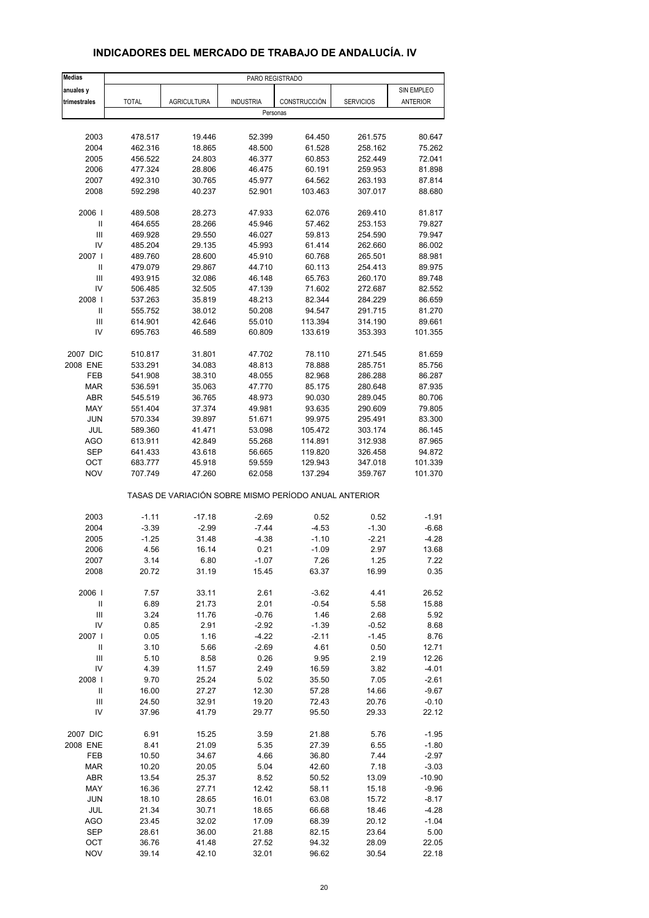| <b>Medias</b>                      |                    |                                                       | PARO REGISTRADO  |                    |                    |                   |
|------------------------------------|--------------------|-------------------------------------------------------|------------------|--------------------|--------------------|-------------------|
| anuales y                          |                    |                                                       |                  |                    |                    | SIN EMPLEO        |
| trimestrales                       | <b>TOTAL</b>       | <b>AGRICULTURA</b>                                    | <b>INDUSTRIA</b> | CONSTRUCCIÓN       | <b>SERVICIOS</b>   | ANTERIOR          |
|                                    |                    |                                                       | Personas         |                    |                    |                   |
|                                    |                    |                                                       |                  |                    |                    |                   |
| 2003                               | 478.517            | 19.446                                                | 52.399           | 64.450             | 261.575            | 80.647            |
| 2004                               | 462.316            | 18.865                                                | 48.500           | 61.528             | 258.162            | 75.262            |
| 2005                               | 456.522            | 24.803                                                | 46.377           | 60.853             | 252.449            | 72.041            |
| 2006                               | 477.324            | 28.806                                                | 46.475           | 60.191             | 259.953            | 81.898            |
| 2007                               | 492.310            | 30.765                                                | 45.977           | 64.562             | 263.193            | 87.814            |
| 2008                               | 592.298            | 40.237                                                | 52.901           | 103.463            | 307.017            | 88.680            |
| 2006                               |                    |                                                       | 47.933           |                    |                    |                   |
| Ш                                  | 489.508<br>464.655 | 28.273<br>28.266                                      | 45.946           | 62.076<br>57.462   | 269.410<br>253.153 | 81.817<br>79.827  |
| Ш                                  | 469.928            | 29.550                                                | 46.027           | 59.813             | 254.590            | 79.947            |
| IV                                 | 485.204            | 29.135                                                | 45.993           | 61.414             | 262.660            | 86.002            |
| 2007 I                             | 489.760            | 28.600                                                | 45.910           | 60.768             | 265.501            | 88.981            |
| Ш                                  | 479.079            | 29.867                                                | 44.710           | 60.113             | 254.413            | 89.975            |
| Ш                                  | 493.915            | 32.086                                                | 46.148           | 65.763             | 260.170            | 89.748            |
| IV                                 | 506.485            | 32.505                                                | 47.139           | 71.602             | 272.687            | 82.552            |
| 2008                               | 537.263            |                                                       | 48.213           |                    | 284.229            |                   |
| Ш                                  | 555.752            | 35.819<br>38.012                                      |                  | 82.344             |                    | 86.659<br>81.270  |
| Ш                                  |                    |                                                       | 50.208           | 94.547             | 291.715            |                   |
| IV                                 | 614.901<br>695.763 | 42.646<br>46.589                                      | 55.010<br>60.809 | 113.394<br>133.619 | 314.190<br>353.393 | 89.661<br>101.355 |
|                                    |                    |                                                       |                  |                    |                    |                   |
| 2007 DIC                           | 510.817            | 31.801                                                | 47.702           | 78.110             | 271.545            | 81.659            |
| 2008 ENE                           | 533.291            | 34.083                                                | 48.813           | 78.888             | 285.751            | 85.756            |
| FEB                                | 541.908            | 38.310                                                | 48.055           | 82.968             | 286.288            | 86.287            |
| <b>MAR</b>                         | 536.591            | 35.063                                                | 47.770           | 85.175             | 280.648            | 87.935            |
| <b>ABR</b>                         | 545.519            | 36.765                                                | 48.973           | 90.030             | 289.045            | 80.706            |
| MAY                                | 551.404            | 37.374                                                | 49.981           | 93.635             | 290.609            | 79.805            |
| <b>JUN</b>                         | 570.334            | 39.897                                                | 51.671           | 99.975             | 295.491            | 83.300            |
| JUL                                | 589.360            | 41.471                                                | 53.098           | 105.472            | 303.174            | 86.145            |
| <b>AGO</b>                         | 613.911            | 42.849                                                | 55.268           | 114.891            | 312.938            | 87.965            |
| <b>SEP</b>                         | 641.433            | 43.618                                                | 56.665           | 119.820            | 326.458            | 94.872            |
| OCT                                | 683.777            | 45.918                                                | 59.559           | 129.943            | 347.018            | 101.339           |
| <b>NOV</b>                         | 707.749            | 47.260                                                | 62.058           | 137.294            | 359.767            | 101.370           |
|                                    |                    | TASAS DE VARIACIÓN SOBRE MISMO PERÍODO ANUAL ANTERIOR |                  |                    |                    |                   |
|                                    |                    |                                                       |                  |                    |                    |                   |
| 2003                               | $-1.11$            | $-17.18$                                              | $-2.69$          | 0.52               | 0.52               | $-1.91$           |
| 2004                               | $-3.39$            | $-2.99$                                               | $-7.44$          | $-4.53$            | $-1.30$            | $-6.68$           |
| 2005                               | $-1.25$            | 31.48                                                 | $-4.38$          | $-1.10$            | $-2.21$            | $-4.28$           |
| 2006                               | 4.56               | 16.14                                                 | 0.21             | $-1.09$            | 2.97               | 13.68             |
| 2007                               | 3.14               | 6.80                                                  | $-1.07$          | 7.26               | 1.25               | 7.22              |
| 2008                               | 20.72              | 31.19                                                 | 15.45            | 63.37              | 16.99              | 0.35              |
| 2006                               | 7.57               | 33.11                                                 | 2.61             | $-3.62$            | 4.41               | 26.52             |
| $\ensuremath{\mathsf{II}}$         | 6.89               | 21.73                                                 | 2.01             | $-0.54$            | 5.58               | 15.88             |
| $\ensuremath{\mathsf{III}}\xspace$ | 3.24               | 11.76                                                 | $-0.76$          | 1.46               | 2.68               | 5.92              |
| IV                                 | 0.85               | 2.91                                                  | $-2.92$          | $-1.39$            | $-0.52$            | 8.68              |
| 2007 l                             | 0.05               | 1.16                                                  | $-4.22$          | $-2.11$            | $-1.45$            | 8.76              |
| $\ensuremath{\mathsf{II}}$         | 3.10               | 5.66                                                  | $-2.69$          | 4.61               | 0.50               | 12.71             |
| $\ensuremath{\mathsf{III}}\xspace$ | 5.10               | 8.58                                                  | 0.26             | 9.95               | 2.19               | 12.26             |
| IV                                 | 4.39               | 11.57                                                 | 2.49             | 16.59              | 3.82               | $-4.01$           |
| 2008                               | 9.70               | 25.24                                                 | 5.02             | 35.50              | 7.05               | $-2.61$           |
| Ш                                  | 16.00              | 27.27                                                 | 12.30            | 57.28              | 14.66              | $-9.67$           |
| $\ensuremath{\mathsf{III}}\xspace$ | 24.50              | 32.91                                                 | 19.20            | 72.43              | 20.76              | $-0.10$           |
| IV                                 | 37.96              | 41.79                                                 | 29.77            | 95.50              | 29.33              | 22.12             |
|                                    |                    |                                                       |                  |                    |                    |                   |
| 2007 DIC                           | 6.91               | 15.25                                                 | 3.59             | 21.88              | 5.76               | $-1.95$           |
| 2008 ENE                           | 8.41               | 21.09                                                 | 5.35             | 27.39              | 6.55               | $-1.80$           |
| FEB                                | 10.50              | 34.67                                                 | 4.66             | 36.80              | 7.44               | $-2.97$           |
| <b>MAR</b>                         | 10.20              | 20.05                                                 | 5.04             | 42.60              | 7.18               | $-3.03$           |
| ABR                                | 13.54              | 25.37                                                 | 8.52             | 50.52              | 13.09              | $-10.90$          |
| MAY                                | 16.36              | 27.71                                                 | 12.42            | 58.11              | 15.18              | $-9.96$           |
| JUN                                | 18.10              | 28.65                                                 | 16.01            | 63.08              | 15.72              | $-8.17$           |
| JUL                                | 21.34              | 30.71                                                 | 18.65            | 66.68              | 18.46              | $-4.28$           |
| AGO                                | 23.45              | 32.02                                                 | 17.09            | 68.39              | 20.12              | $-1.04$           |
| <b>SEP</b>                         | 28.61              | 36.00                                                 | 21.88            | 82.15              | 23.64              | 5.00              |
| OCT                                | 36.76              | 41.48                                                 | 27.52            | 94.32              | 28.09              | 22.05             |

#### **INDICADORES DEL MERCADO DE TRABAJO DE ANDALUCÍA. IV**

NOV 39.14 42.10 32.01 96.62 30.54 22.18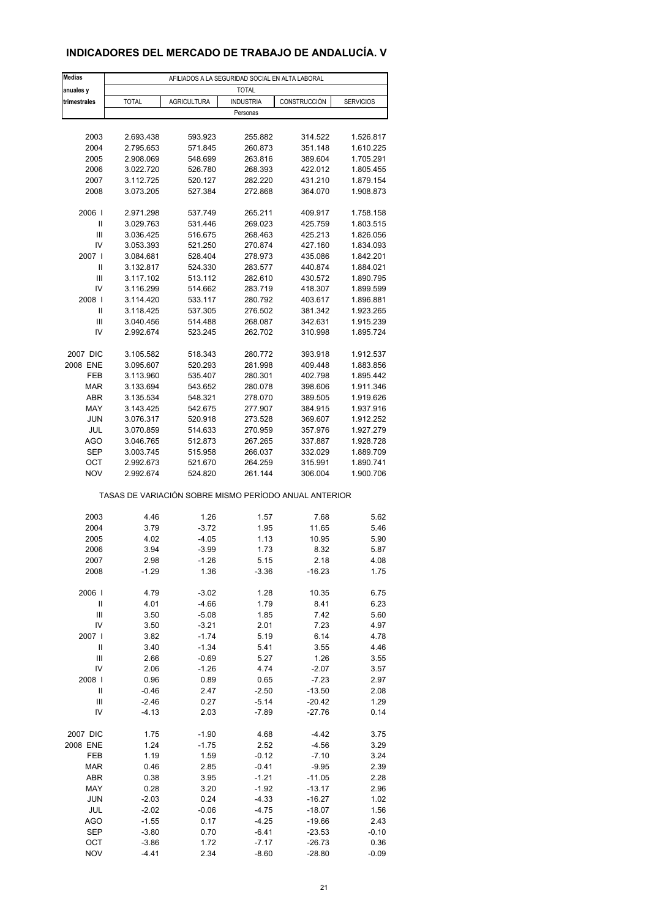### **INDICADORES DEL MERCADO DE TRABAJO DE ANDALUCÍA. V**

| <b>Medias</b>              |                                                       |                    | AFILIADOS A LA SEGURIDAD SOCIAL EN ALTA LABORAL |                    |                        |
|----------------------------|-------------------------------------------------------|--------------------|-------------------------------------------------|--------------------|------------------------|
| anuales y                  |                                                       |                    | <b>TOTAL</b>                                    |                    |                        |
| trimestrales               | <b>TOTAL</b>                                          | <b>AGRICULTURA</b> | <b>INDUSTRIA</b>                                | CONSTRUCCIÓN       | <b>SERVICIOS</b>       |
|                            |                                                       |                    | Personas                                        |                    |                        |
|                            |                                                       |                    |                                                 |                    |                        |
| 2003                       | 2.693.438                                             | 593.923            | 255.882                                         | 314.522            | 1.526.817              |
| 2004                       | 2.795.653                                             | 571.845            | 260.873                                         | 351.148            | 1.610.225              |
| 2005                       | 2.908.069                                             | 548.699            | 263.816                                         | 389.604            | 1.705.291              |
| 2006                       | 3.022.720                                             | 526.780            | 268.393                                         | 422.012            | 1.805.455              |
| 2007                       | 3.112.725                                             | 520.127            | 282.220                                         | 431.210            | 1.879.154              |
| 2008                       | 3.073.205                                             | 527.384            | 272.868                                         | 364.070            | 1.908.873              |
|                            |                                                       |                    |                                                 |                    |                        |
| 2006                       | 2.971.298                                             | 537.749            | 265.211                                         | 409.917            | 1.758.158              |
| Ш<br>Ш                     | 3.029.763<br>3.036.425                                | 531.446<br>516.675 | 269.023<br>268.463                              | 425.759<br>425.213 | 1.803.515<br>1.826.056 |
| IV                         | 3.053.393                                             | 521.250            | 270.874                                         | 427.160            | 1.834.093              |
| 2007 l                     | 3.084.681                                             | 528.404            | 278.973                                         | 435.086            | 1.842.201              |
| Ш                          | 3.132.817                                             | 524.330            | 283.577                                         | 440.874            | 1.884.021              |
| Ш                          | 3.117.102                                             | 513.112            | 282.610                                         | 430.572            | 1.890.795              |
| IV                         | 3.116.299                                             | 514.662            | 283.719                                         | 418.307            | 1.899.599              |
| 2008                       | 3.114.420                                             | 533.117            | 280.792                                         | 403.617            | 1.896.881              |
| Ш                          | 3.118.425                                             | 537.305            | 276.502                                         | 381.342            | 1.923.265              |
| Ш                          | 3.040.456                                             | 514.488            | 268.087                                         | 342.631            | 1.915.239              |
| IV                         | 2.992.674                                             | 523.245            | 262.702                                         | 310.998            | 1.895.724              |
|                            |                                                       |                    |                                                 |                    |                        |
| 2007 DIC                   | 3.105.582                                             | 518.343            | 280.772                                         | 393.918            | 1.912.537              |
| 2008 ENE                   | 3.095.607                                             | 520.293            | 281.998                                         | 409.448            | 1.883.856              |
| FEB                        | 3.113.960                                             | 535.407            | 280.301                                         | 402.798            | 1.895.442              |
| <b>MAR</b>                 | 3.133.694                                             | 543.652            | 280.078                                         | 398.606            | 1.911.346              |
| <b>ABR</b>                 | 3.135.534                                             | 548.321            | 278.070                                         | 389.505            | 1.919.626              |
| MAY                        | 3.143.425                                             | 542.675            | 277.907                                         | 384.915            | 1.937.916              |
| <b>JUN</b>                 | 3.076.317                                             | 520.918            | 273.528                                         | 369.607            | 1.912.252              |
| JUL                        | 3.070.859                                             | 514.633            | 270.959                                         | 357.976            | 1.927.279              |
| <b>AGO</b>                 | 3.046.765                                             | 512.873            | 267.265                                         | 337.887            | 1.928.728              |
| <b>SEP</b>                 | 3.003.745                                             | 515.958            | 266.037                                         | 332.029            | 1.889.709              |
| ОСТ                        | 2.992.673                                             | 521.670            | 264.259                                         | 315.991            | 1.890.741              |
| <b>NOV</b>                 | 2.992.674                                             | 524.820            | 261.144                                         | 306.004            | 1.900.706              |
|                            | TASAS DE VARIACIÓN SOBRE MISMO PERÍODO ANUAL ANTERIOR |                    |                                                 |                    |                        |
| 2003                       | 4.46                                                  | 1.26               | 1.57                                            | 7.68               | 5.62                   |
| 2004                       | 3.79                                                  | $-3.72$            | 1.95                                            | 11.65              | 5.46                   |
| 2005                       | 4.02                                                  | -4.05              | 1.13                                            | 10.95              | 5.90                   |
| 2006                       | 3.94                                                  | $-3.99$            | 1.73                                            | 8.32               | 5.87                   |
| 2007                       | 2.98                                                  | -1.26              | 5.15                                            | 2.18               | 4.08                   |
| 2008                       | $-1.29$                                               | 1.36               | $-3.36$                                         | $-16.23$           | 1.75                   |
|                            |                                                       |                    |                                                 |                    |                        |
| 2006                       | 4.79                                                  | $-3.02$            | 1.28                                            | 10.35              | 6.75                   |
| $\ensuremath{\mathsf{II}}$ | 4.01                                                  | $-4.66$            | 1.79                                            | 8.41               | 6.23                   |
| Ш                          | 3.50                                                  | $-5.08$            | 1.85                                            | 7.42               | 5.60                   |
| IV                         | 3.50                                                  | $-3.21$            | 2.01                                            | 7.23               | 4.97                   |
| 2007                       | 3.82                                                  | $-1.74$            | 5.19                                            | 6.14               | 4.78                   |
| $\ensuremath{\mathsf{II}}$ | 3.40                                                  | $-1.34$            | 5.41                                            | 3.55               | 4.46                   |
| Ш                          | 2.66                                                  | $-0.69$            | 5.27                                            | 1.26               | 3.55                   |
| IV                         | 2.06                                                  | $-1.26$            | 4.74                                            | $-2.07$            | 3.57                   |
| 2008                       | 0.96                                                  | 0.89               | 0.65                                            | $-7.23$            | 2.97                   |
| Ш                          | $-0.46$                                               | 2.47               | $-2.50$                                         | $-13.50$           | 2.08                   |
| Ш                          | $-2.46$                                               | 0.27               | $-5.14$                                         | $-20.42$           | 1.29                   |
| IV                         | $-4.13$                                               | 2.03               | $-7.89$                                         | $-27.76$           | 0.14                   |
|                            |                                                       |                    |                                                 |                    |                        |
| 2007 DIC                   | 1.75                                                  | $-1.90$            | 4.68                                            | $-4.42$            | 3.75                   |
| 2008 ENE<br>FEB            | 1.24<br>1.19                                          | $-1.75$<br>1.59    | 2.52<br>$-0.12$                                 | $-4.56$<br>$-7.10$ | 3.29<br>3.24           |
| <b>MAR</b>                 | 0.46                                                  | 2.85               | $-0.41$                                         | $-9.95$            | 2.39                   |
| ABR                        | 0.38                                                  | 3.95               | $-1.21$                                         | $-11.05$           | 2.28                   |
| MAY                        | 0.28                                                  | 3.20               | $-1.92$                                         | $-13.17$           | 2.96                   |
| <b>JUN</b>                 | $-2.03$                                               | 0.24               | $-4.33$                                         | $-16.27$           | 1.02                   |
| JUL                        | $-2.02$                                               | $-0.06$            | $-4.75$                                         | $-18.07$           | 1.56                   |
| AGO                        | $-1.55$                                               | 0.17               | $-4.25$                                         | $-19.66$           | 2.43                   |
| <b>SEP</b>                 | $-3.80$                                               | 0.70               | $-6.41$                                         | $-23.53$           | $-0.10$                |
| OCT                        | $-3.86$                                               | 1.72               | $-7.17$                                         | $-26.73$           | 0.36                   |
| <b>NOV</b>                 | $-4.41$                                               | 2.34               | $-8.60$                                         | $-28.80$           | $-0.09$                |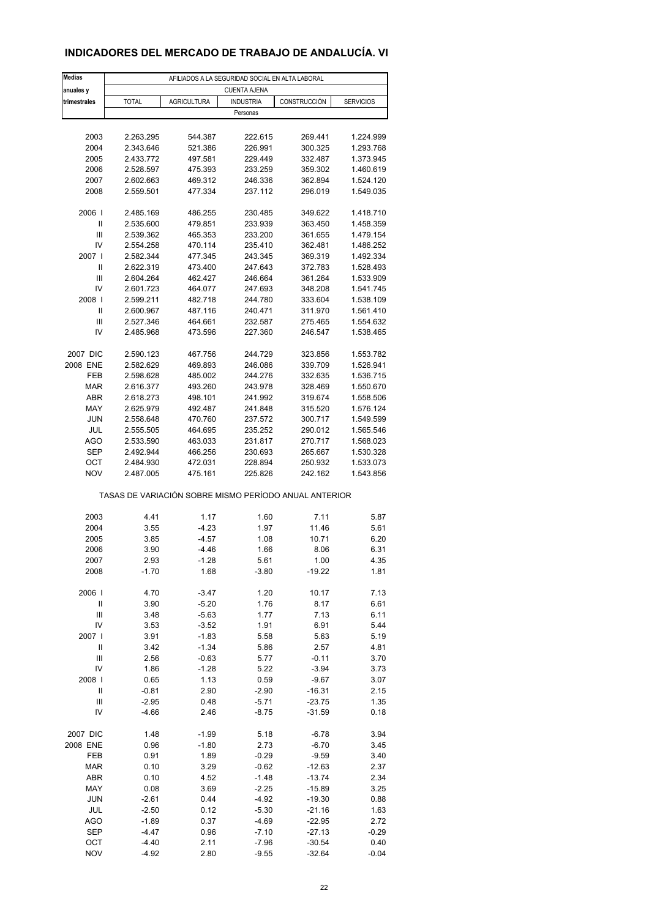#### **INDICADORES DEL MERCADO DE TRABAJO DE ANDALUCÍA. VI**

| Medias                     | AFILIADOS A LA SEGURIDAD SOCIAL EN ALTA LABORAL       |                    |                     |                  |                  |  |  |  |  |
|----------------------------|-------------------------------------------------------|--------------------|---------------------|------------------|------------------|--|--|--|--|
| anuales y                  |                                                       |                    | <b>CUENTA AJENA</b> |                  |                  |  |  |  |  |
| trimestrales               | <b>TOTAL</b>                                          | <b>AGRICULTURA</b> | <b>INDUSTRIA</b>    | CONSTRUCCIÓN     | <b>SERVICIOS</b> |  |  |  |  |
|                            |                                                       |                    | Personas            |                  |                  |  |  |  |  |
|                            |                                                       |                    |                     |                  |                  |  |  |  |  |
| 2003                       | 2.263.295                                             | 544.387            | 222.615             | 269.441          | 1.224.999        |  |  |  |  |
| 2004                       | 2.343.646                                             | 521.386            | 226.991             | 300.325          | 1.293.768        |  |  |  |  |
| 2005                       | 2.433.772                                             | 497.581            | 229.449             | 332.487          | 1.373.945        |  |  |  |  |
| 2006                       | 2.528.597                                             | 475.393            | 233.259             | 359.302          | 1.460.619        |  |  |  |  |
| 2007                       | 2.602.663                                             | 469.312            | 246.336             | 362.894          | 1.524.120        |  |  |  |  |
| 2008                       | 2.559.501                                             | 477.334            | 237.112             | 296.019          | 1.549.035        |  |  |  |  |
|                            |                                                       |                    |                     |                  |                  |  |  |  |  |
| 2006                       | 2.485.169                                             | 486.255            | 230.485             | 349.622          | 1.418.710        |  |  |  |  |
| $\mathsf{I}$               | 2.535.600                                             | 479.851            | 233.939             | 363.450          | 1.458.359        |  |  |  |  |
| Ш                          | 2.539.362                                             | 465.353            | 233.200             | 361.655          | 1.479.154        |  |  |  |  |
| IV                         | 2.554.258                                             | 470.114            | 235.410             | 362.481          | 1.486.252        |  |  |  |  |
| 2007 l                     | 2.582.344                                             | 477.345            | 243.345             | 369.319          | 1.492.334        |  |  |  |  |
| Ш                          | 2.622.319                                             | 473.400            | 247.643             | 372.783          | 1.528.493        |  |  |  |  |
| Ш                          | 2.604.264                                             | 462.427            | 246.664             | 361.264          | 1.533.909        |  |  |  |  |
| IV                         | 2.601.723                                             | 464.077            | 247.693             | 348.208          | 1.541.745        |  |  |  |  |
| 2008                       | 2.599.211                                             | 482.718            | 244.780             | 333.604          | 1.538.109        |  |  |  |  |
| Ш                          | 2.600.967                                             | 487.116            | 240.471             | 311.970          | 1.561.410        |  |  |  |  |
| Ш                          | 2.527.346                                             | 464.661            | 232.587             | 275.465          | 1.554.632        |  |  |  |  |
| IV                         | 2.485.968                                             | 473.596            | 227.360             | 246.547          | 1.538.465        |  |  |  |  |
|                            |                                                       |                    |                     |                  |                  |  |  |  |  |
| 2007 DIC                   | 2.590.123                                             | 467.756            | 244.729             | 323.856          | 1.553.782        |  |  |  |  |
| 2008 ENE                   | 2.582.629                                             | 469.893            | 246.086             | 339.709          | 1.526.941        |  |  |  |  |
| FEB                        | 2.598.628                                             | 485.002            | 244.276             | 332.635          | 1.536.715        |  |  |  |  |
| <b>MAR</b>                 | 2.616.377                                             | 493.260            | 243.978             | 328.469          | 1.550.670        |  |  |  |  |
| ABR                        | 2.618.273                                             | 498.101            | 241.992             | 319.674          | 1.558.506        |  |  |  |  |
| MAY                        | 2.625.979                                             | 492.487            | 241.848             | 315.520          | 1.576.124        |  |  |  |  |
| <b>JUN</b>                 | 2.558.648                                             | 470.760            | 237.572             | 300.717          | 1.549.599        |  |  |  |  |
| JUL                        | 2.555.505                                             | 464.695            | 235.252             | 290.012          | 1.565.546        |  |  |  |  |
| <b>AGO</b>                 | 2.533.590                                             | 463.033            | 231.817             | 270.717          | 1.568.023        |  |  |  |  |
| <b>SEP</b>                 | 2.492.944                                             | 466.256            | 230.693             | 265.667          | 1.530.328        |  |  |  |  |
| ОСТ                        | 2.484.930                                             | 472.031            | 228.894             | 250.932          | 1.533.073        |  |  |  |  |
| <b>NOV</b>                 | 2.487.005                                             | 475.161            | 225.826             | 242.162          | 1.543.856        |  |  |  |  |
|                            | TASAS DE VARIACIÓN SOBRE MISMO PERÍODO ANUAL ANTERIOR |                    |                     |                  |                  |  |  |  |  |
| 2003                       | 4.41                                                  | 1.17               | 1.60                | 7.11             | 5.87             |  |  |  |  |
|                            |                                                       | -4.23              |                     | 11.46            |                  |  |  |  |  |
| 2004<br>2005               | 3.55<br>3.85                                          | $-4.57$            | 1.97<br>1.08        | 10.71            | 5.61<br>6.20     |  |  |  |  |
| 2006                       | 3.90                                                  | $-4.46$            | 1.66                | 8.06             | 6.31             |  |  |  |  |
|                            |                                                       |                    |                     |                  |                  |  |  |  |  |
| 2007<br>2008               | 2.93<br>$-1.70$                                       | -1.28<br>1.68      | 5.61<br>$-3.80$     | 1.00<br>$-19.22$ | 4.35<br>1.81     |  |  |  |  |
|                            |                                                       |                    |                     |                  |                  |  |  |  |  |
| 2006                       | 4.70                                                  | $-3.47$            | 1.20                | 10.17            | 7.13             |  |  |  |  |
| $\ensuremath{\mathsf{II}}$ | 3.90                                                  | $-5.20$            | 1.76                | 8.17             | 6.61             |  |  |  |  |
| Ш                          | 3.48                                                  | $-5.63$            | 1.77                | 7.13             | 6.11             |  |  |  |  |
| IV                         | 3.53                                                  | $-3.52$            | 1.91                | 6.91             | 5.44             |  |  |  |  |
| 2007                       | 3.91                                                  | $-1.83$            | 5.58                | 5.63             | 5.19             |  |  |  |  |
| $\ensuremath{\mathsf{II}}$ | 3.42                                                  | $-1.34$            | 5.86                | 2.57             | 4.81             |  |  |  |  |
| Ш                          | 2.56                                                  | $-0.63$            | 5.77                | $-0.11$          | 3.70             |  |  |  |  |
| IV                         | 1.86                                                  | $-1.28$            | 5.22                | $-3.94$          | 3.73             |  |  |  |  |
| 2008                       | 0.65                                                  | 1.13               | 0.59                | $-9.67$          | 3.07             |  |  |  |  |
| Ш                          | $-0.81$                                               | 2.90               | $-2.90$             | $-16.31$         | 2.15             |  |  |  |  |
| Ш                          | $-2.95$                                               | 0.48               | -5.71               | $-23.75$         | 1.35             |  |  |  |  |
| IV                         | $-4.66$                                               | 2.46               | $-8.75$             | $-31.59$         | 0.18             |  |  |  |  |
|                            |                                                       |                    |                     |                  |                  |  |  |  |  |
| 2007 DIC                   | 1.48                                                  | -1.99              | 5.18                | $-6.78$          | 3.94             |  |  |  |  |
| 2008 ENE                   | 0.96                                                  | $-1.80$            | 2.73                | $-6.70$          | 3.45             |  |  |  |  |
| FEB                        | 0.91                                                  | 1.89               | $-0.29$             | $-9.59$          | 3.40             |  |  |  |  |
| <b>MAR</b>                 | 0.10                                                  | 3.29               | $-0.62$             | $-12.63$         | 2.37             |  |  |  |  |
| ABR                        | 0.10                                                  | 4.52               | $-1.48$             | $-13.74$         | 2.34             |  |  |  |  |
| MAY                        | 0.08                                                  | 3.69               | $-2.25$             | $-15.89$         | 3.25             |  |  |  |  |
| <b>JUN</b>                 | $-2.61$                                               | 0.44               | $-4.92$             | $-19.30$         | 0.88             |  |  |  |  |
| JUL                        | $-2.50$                                               | 0.12               | $-5.30$             | $-21.16$         | 1.63             |  |  |  |  |
| AGO                        | $-1.89$                                               | 0.37               | $-4.69$             | $-22.95$         | 2.72             |  |  |  |  |
| <b>SEP</b>                 | $-4.47$                                               | 0.96               | $-7.10$             | $-27.13$         | $-0.29$          |  |  |  |  |
| OCT                        | $-4.40$                                               | 2.11               | $-7.96$             | $-30.54$         | 0.40             |  |  |  |  |
| <b>NOV</b>                 | $-4.92$                                               | 2.80               | $-9.55$             | $-32.64$         | $-0.04$          |  |  |  |  |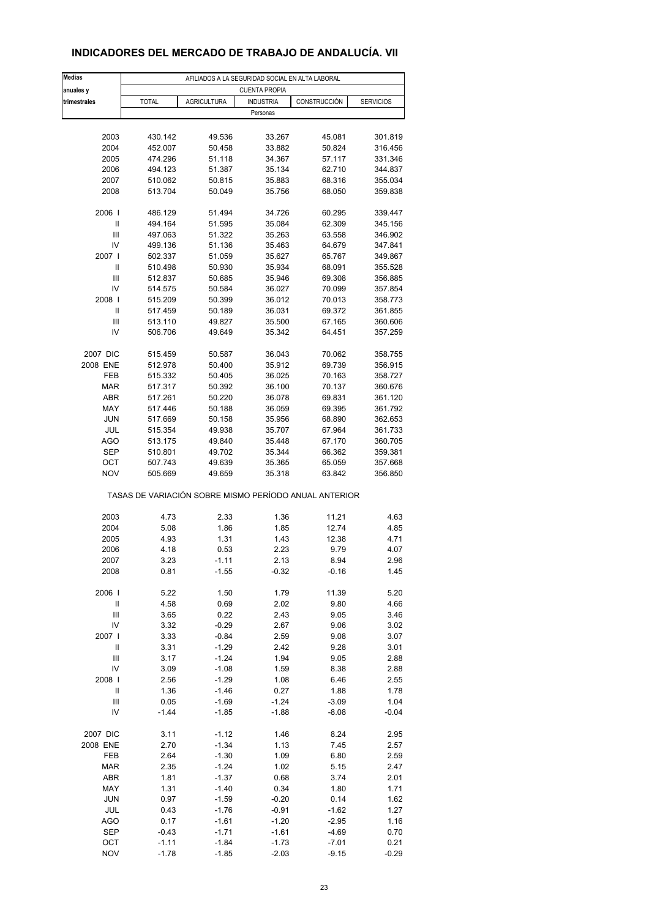| <b>Medias</b> | AFILIADOS A LA SEGURIDAD SOCIAL EN ALTA LABORAL |                    |                      |                                                       |                  |  |  |  |  |
|---------------|-------------------------------------------------|--------------------|----------------------|-------------------------------------------------------|------------------|--|--|--|--|
| anuales y     |                                                 |                    | <b>CUENTA PROPIA</b> |                                                       |                  |  |  |  |  |
| trimestrales  | <b>TOTAL</b>                                    | <b>AGRICULTURA</b> | <b>INDUSTRIA</b>     | CONSTRUCCIÓN                                          | <b>SERVICIOS</b> |  |  |  |  |
|               |                                                 |                    | Personas             |                                                       |                  |  |  |  |  |
|               |                                                 |                    |                      |                                                       |                  |  |  |  |  |
|               |                                                 |                    |                      |                                                       |                  |  |  |  |  |
| 2003          | 430.142                                         | 49.536             | 33.267               | 45.081                                                | 301.819          |  |  |  |  |
| 2004          | 452.007                                         | 50.458             | 33.882               | 50.824                                                | 316.456          |  |  |  |  |
| 2005          | 474.296                                         | 51.118             | 34.367               | 57.117                                                | 331.346          |  |  |  |  |
| 2006          | 494.123                                         | 51.387             | 35.134               | 62.710                                                | 344.837          |  |  |  |  |
| 2007          | 510.062                                         | 50.815             | 35.883               | 68.316                                                | 355.034          |  |  |  |  |
| 2008          | 513.704                                         | 50.049             | 35.756               | 68.050                                                | 359.838          |  |  |  |  |
|               |                                                 |                    |                      |                                                       |                  |  |  |  |  |
| 2006          | 486.129                                         | 51.494             | 34.726               | 60.295                                                | 339.447          |  |  |  |  |
| Ш             | 494.164                                         | 51.595             | 35.084               | 62.309                                                | 345.156          |  |  |  |  |
| Ш             | 497.063                                         | 51.322             | 35.263               | 63.558                                                | 346.902          |  |  |  |  |
| IV            | 499.136                                         | 51.136             | 35.463               | 64.679                                                | 347.841          |  |  |  |  |
|               |                                                 |                    |                      |                                                       |                  |  |  |  |  |
| 2007          | 502.337                                         | 51.059             | 35.627               | 65.767                                                | 349.867          |  |  |  |  |
| Ш             | 510.498                                         | 50.930             | 35.934               | 68.091                                                | 355.528          |  |  |  |  |
| Ш             | 512.837                                         | 50.685             | 35.946               | 69.308                                                | 356.885          |  |  |  |  |
| IV            | 514.575                                         | 50.584             | 36.027               | 70.099                                                | 357.854          |  |  |  |  |
| 2008          | 515.209                                         | 50.399             | 36.012               | 70.013                                                | 358.773          |  |  |  |  |
|               |                                                 |                    |                      |                                                       |                  |  |  |  |  |
| Ш             | 517.459                                         | 50.189             | 36.031               | 69.372                                                | 361.855          |  |  |  |  |
| Ш             | 513.110                                         | 49.827             | 35.500               | 67.165                                                | 360.606          |  |  |  |  |
| IV            | 506.706                                         | 49.649             | 35.342               | 64.451                                                | 357.259          |  |  |  |  |
|               |                                                 |                    |                      |                                                       |                  |  |  |  |  |
| 2007 DIC      | 515.459                                         | 50.587             | 36.043               | 70.062                                                | 358.755          |  |  |  |  |
| 2008 ENE      | 512.978                                         | 50.400             | 35.912               | 69.739                                                | 356.915          |  |  |  |  |
| FEB           | 515.332                                         | 50.405             | 36.025               | 70.163                                                | 358.727          |  |  |  |  |
| <b>MAR</b>    | 517.317                                         | 50.392             | 36.100               | 70.137                                                | 360.676          |  |  |  |  |
|               |                                                 |                    |                      |                                                       |                  |  |  |  |  |
| ABR           | 517.261                                         | 50.220             | 36.078               | 69.831                                                | 361.120          |  |  |  |  |
| MAY           | 517.446                                         | 50.188             | 36.059               | 69.395                                                | 361.792          |  |  |  |  |
| <b>JUN</b>    | 517.669                                         | 50.158             | 35.956               | 68.890                                                | 362.653          |  |  |  |  |
| JUL           | 515.354                                         | 49.938             | 35.707               | 67.964                                                | 361.733          |  |  |  |  |
| <b>AGO</b>    | 513.175                                         | 49.840             | 35.448               | 67.170                                                | 360.705          |  |  |  |  |
|               |                                                 |                    |                      |                                                       |                  |  |  |  |  |
| <b>SEP</b>    | 510.801                                         | 49.702             | 35.344               | 66.362                                                | 359.381          |  |  |  |  |
| OCT           | 507.743                                         | 49.639             | 35.365               | 65.059                                                | 357.668          |  |  |  |  |
| <b>NOV</b>    | 505.669                                         | 49.659             | 35.318               | 63.842                                                | 356.850          |  |  |  |  |
|               |                                                 |                    |                      | TASAS DE VARIACIÓN SOBRE MISMO PERÍODO ANUAL ANTERIOR |                  |  |  |  |  |
|               |                                                 |                    |                      | 11.21                                                 |                  |  |  |  |  |
| 2003          | 4.73                                            | 2.33               | 1.36                 |                                                       | 4.63             |  |  |  |  |
| 2004          | 5.08                                            | 1.86               | 1.85                 | 12.74                                                 | 4.85             |  |  |  |  |
| 2005          | 4.93                                            | 1.31               | 1.43                 | 12.38                                                 | 4.71             |  |  |  |  |
| 2006          | 4.18                                            | 0.53               | 2.23                 | 9.79                                                  | 4.07             |  |  |  |  |
| 2007          | 3.23                                            | -1.11              | 2.13                 | 8.94                                                  | 2.96             |  |  |  |  |
| 2008          | 0.81                                            | $-1.55$            | -0.32                | $-0.16$                                               | 1.45             |  |  |  |  |
|               |                                                 |                    |                      |                                                       |                  |  |  |  |  |
| 2006          | 5.22                                            | 1.50               | 1.79                 | 11.39                                                 | 5.20             |  |  |  |  |
| Ш             | 4.58                                            | 0.69               | 2.02                 | 9.80                                                  | 4.66             |  |  |  |  |
| Ш             | 3.65                                            | 0.22               | 2.43                 | 9.05                                                  | 3.46             |  |  |  |  |
|               |                                                 |                    |                      |                                                       |                  |  |  |  |  |
| IV            | 3.32                                            | $-0.29$            | 2.67                 | 9.06                                                  | 3.02             |  |  |  |  |
| 2007 l        | 3.33                                            | $-0.84$            | 2.59                 | 9.08                                                  | 3.07             |  |  |  |  |
| $\sf II$      | 3.31                                            | $-1.29$            | 2.42                 | 9.28                                                  | 3.01             |  |  |  |  |
| Ш             | 3.17                                            | $-1.24$            | 1.94                 | 9.05                                                  | 2.88             |  |  |  |  |
| IV            | 3.09                                            | $-1.08$            | 1.59                 | 8.38                                                  | 2.88             |  |  |  |  |
| 2008          | 2.56                                            | $-1.29$            | 1.08                 | 6.46                                                  | 2.55             |  |  |  |  |
|               |                                                 |                    |                      |                                                       |                  |  |  |  |  |
| Ш             | 1.36                                            | $-1.46$            | 0.27                 | 1.88                                                  | 1.78             |  |  |  |  |
| Ш             | 0.05                                            | $-1.69$            | $-1.24$              | $-3.09$                                               | 1.04             |  |  |  |  |
| IV            | $-1.44$                                         | $-1.85$            | $-1.88$              | $-8.08$                                               | $-0.04$          |  |  |  |  |
|               |                                                 |                    |                      |                                                       |                  |  |  |  |  |
| 2007 DIC      | 3.11                                            | $-1.12$            | 1.46                 | 8.24                                                  | 2.95             |  |  |  |  |
| 2008 ENE      | 2.70                                            | $-1.34$            | 1.13                 | 7.45                                                  | 2.57             |  |  |  |  |
| FEB           | 2.64                                            | $-1.30$            | 1.09                 | 6.80                                                  | 2.59             |  |  |  |  |
| MAR           | 2.35                                            | $-1.24$            | 1.02                 | 5.15                                                  | 2.47             |  |  |  |  |
|               |                                                 |                    |                      |                                                       |                  |  |  |  |  |
| ABR           | 1.81                                            | $-1.37$            | 0.68                 | 3.74                                                  | 2.01             |  |  |  |  |
| MAY           | 1.31                                            | $-1.40$            | 0.34                 | 1.80                                                  | 1.71             |  |  |  |  |
| <b>JUN</b>    | 0.97                                            | $-1.59$            | $-0.20$              | 0.14                                                  | 1.62             |  |  |  |  |
| JUL           | 0.43                                            | $-1.76$            | $-0.91$              | -1.62                                                 | 1.27             |  |  |  |  |
| <b>AGO</b>    | 0.17                                            | $-1.61$            | $-1.20$              | $-2.95$                                               | 1.16             |  |  |  |  |
| <b>SEP</b>    | $-0.43$                                         | $-1.71$            | $-1.61$              | $-4.69$                                               | 0.70             |  |  |  |  |
|               |                                                 |                    |                      |                                                       |                  |  |  |  |  |
| OCT           | $-1.11$                                         | $-1.84$            | $-1.73$              | $-7.01$                                               | 0.21             |  |  |  |  |

#### **INDICADORES DEL MERCADO DE TRABAJO DE ANDALUCÍA. VII**

NOV -1.78 -1.85 -2.03 -9.15 -0.29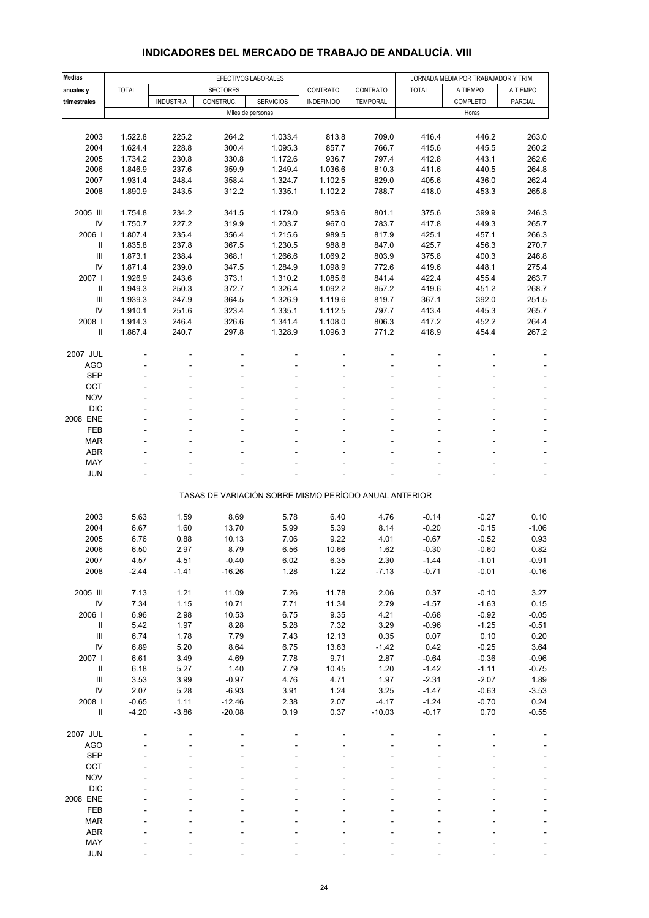| <b>Medias</b>                      |              | EFECTIVOS LABORALES |                 |                                                       |                   |                 | JORNADA MEDIA POR TRABAJADOR Y TRIM. |          |          |
|------------------------------------|--------------|---------------------|-----------------|-------------------------------------------------------|-------------------|-----------------|--------------------------------------|----------|----------|
| anuales y                          | <b>TOTAL</b> |                     | <b>SECTORES</b> |                                                       | CONTRATO          | CONTRATO        | <b>TOTAL</b>                         | A TIEMPO | A TIEMPO |
| trimestrales                       |              | <b>INDUSTRIA</b>    | CONSTRUC.       | <b>SERVICIOS</b>                                      | <b>INDEFINIDO</b> | <b>TEMPORAL</b> |                                      | COMPLETO | PARCIAL  |
|                                    |              |                     |                 | Miles de personas                                     |                   |                 |                                      | Horas    |          |
|                                    |              |                     |                 |                                                       |                   |                 |                                      |          |          |
| 2003                               | 1.522.8      | 225.2               | 264.2           | 1.033.4                                               | 813.8             | 709.0           | 416.4                                | 446.2    | 263.0    |
| 2004                               | 1.624.4      | 228.8               | 300.4           | 1.095.3                                               | 857.7             | 766.7           | 415.6                                | 445.5    | 260.2    |
| 2005                               | 1.734.2      | 230.8               | 330.8           | 1.172.6                                               | 936.7             | 797.4           | 412.8                                | 443.1    | 262.6    |
| 2006                               | 1.846.9      | 237.6               | 359.9           | 1.249.4                                               | 1.036.6           | 810.3           | 411.6                                | 440.5    | 264.8    |
| 2007                               | 1.931.4      | 248.4               | 358.4           | 1.324.7                                               | 1.102.5           | 829.0           | 405.6                                | 436.0    | 262.4    |
| 2008                               | 1.890.9      | 243.5               | 312.2           | 1.335.1                                               | 1.102.2           | 788.7           | 418.0                                | 453.3    | 265.8    |
| 2005 III                           | 1.754.8      | 234.2               | 341.5           | 1.179.0                                               | 953.6             | 801.1           | 375.6                                | 399.9    | 246.3    |
| IV                                 | 1.750.7      | 227.2               | 319.9           | 1.203.7                                               | 967.0             | 783.7           | 417.8                                | 449.3    | 265.7    |
| 2006                               | 1.807.4      | 235.4               | 356.4           | 1.215.6                                               | 989.5             | 817.9           | 425.1                                | 457.1    | 266.3    |
| Ш                                  | 1.835.8      | 237.8               | 367.5           | 1.230.5                                               | 988.8             | 847.0           | 425.7                                | 456.3    | 270.7    |
| Ш                                  | 1.873.1      | 238.4               | 368.1           | 1.266.6                                               | 1.069.2           | 803.9           | 375.8                                | 400.3    | 246.8    |
| IV                                 | 1.871.4      | 239.0               | 347.5           | 1.284.9                                               | 1.098.9           | 772.6           | 419.6                                | 448.1    | 275.4    |
| 2007 l                             | 1.926.9      | 243.6               | 373.1           | 1.310.2                                               | 1.085.6           | 841.4           | 422.4                                | 455.4    | 263.7    |
| Ш                                  | 1.949.3      | 250.3               | 372.7           | 1.326.4                                               | 1.092.2           | 857.2           | 419.6                                | 451.2    | 268.7    |
| Ш                                  | 1.939.3      | 247.9               | 364.5           | 1.326.9                                               | 1.119.6           | 819.7           | 367.1                                | 392.0    | 251.5    |
| IV                                 | 1.910.1      | 251.6               | 323.4           | 1.335.1                                               | 1.112.5           | 797.7           | 413.4                                | 445.3    | 265.7    |
| 2008                               | 1.914.3      | 246.4               | 326.6           | 1.341.4                                               | 1.108.0           | 806.3           | 417.2                                | 452.2    | 264.4    |
| Ш                                  | 1.867.4      | 240.7               | 297.8           | 1.328.9                                               | 1.096.3           | 771.2           | 418.9                                | 454.4    | 267.2    |
| 2007 JUL                           |              |                     |                 |                                                       |                   |                 |                                      |          |          |
| AGO                                |              |                     |                 |                                                       |                   |                 |                                      |          |          |
| <b>SEP</b>                         |              |                     |                 |                                                       |                   |                 |                                      |          |          |
| OCT                                |              |                     |                 |                                                       |                   |                 |                                      |          |          |
| <b>NOV</b>                         |              |                     |                 |                                                       |                   |                 |                                      |          |          |
| <b>DIC</b>                         |              |                     |                 |                                                       |                   |                 |                                      |          |          |
| 2008 ENE                           |              |                     |                 |                                                       |                   |                 |                                      |          |          |
| FEB                                |              |                     |                 |                                                       |                   |                 |                                      |          |          |
| <b>MAR</b>                         |              |                     |                 |                                                       |                   |                 |                                      |          |          |
| <b>ABR</b>                         |              |                     |                 |                                                       |                   |                 |                                      |          |          |
| MAY                                |              |                     |                 |                                                       |                   |                 |                                      |          |          |
| <b>JUN</b>                         |              |                     |                 |                                                       |                   |                 |                                      |          |          |
|                                    |              |                     |                 |                                                       |                   |                 |                                      |          |          |
|                                    |              |                     |                 | TASAS DE VARIACIÓN SOBRE MISMO PERÍODO ANUAL ANTERIOR |                   |                 |                                      |          |          |
| 2003                               | 5.63         | 1.59                | 8.69            | 5.78                                                  | 6.40              | 4.76            | $-0.14$                              | $-0.27$  | 0.10     |
| 2004                               | 6.67         | 1.60                | 13.70           | 5.99                                                  | 5.39              | 8.14            | $-0.20$                              | $-0.15$  | $-1.06$  |
| 2005                               | 6.76         | 0.88                | 10.13           | 7.06                                                  | 9.22              | 4.01            | $-0.67$                              | $-0.52$  | 0.93     |
| 2006                               | 6.50         | 2.97                | 8.79            | 6.56                                                  | 10.66             | 1.62            | $-0.30$                              | $-0.60$  | 0.82     |
| 2007                               | 4.57         | 4.51                | $-0.40$         | 6.02                                                  | 6.35              | 2.30            | $-1.44$                              | -1.01    | $-0.91$  |
| 2008                               | $-2.44$      | $-1.41$             | $-16.26$        | 1.28                                                  | 1.22              | $-7.13$         | $-0.71$                              | $-0.01$  | $-0.16$  |
| 2005 III                           | 7.13         | 1.21                | 11.09           | 7.26                                                  | 11.78             | 2.06            | 0.37                                 | $-0.10$  | 3.27     |
| IV                                 | 7.34         | 1.15                | 10.71           | 7.71                                                  | 11.34             | 2.79            | $-1.57$                              | $-1.63$  | 0.15     |
| 2006                               | 6.96         | 2.98                | 10.53           | 6.75                                                  | 9.35              | 4.21            | $-0.68$                              | $-0.92$  | $-0.05$  |
| Ш                                  | 5.42         | 1.97                | 8.28            | 5.28                                                  | 7.32              | 3.29            | $-0.96$                              | $-1.25$  | $-0.51$  |
| Ш                                  | 6.74         | 1.78                | 7.79            | 7.43                                                  | 12.13             | 0.35            | 0.07                                 | 0.10     | 0.20     |
| IV                                 | 6.89         | 5.20                | 8.64            | 6.75                                                  | 13.63             | $-1.42$         | 0.42                                 | $-0.25$  | 3.64     |
| 2007 l                             | 6.61         | 3.49                | 4.69            | 7.78                                                  | 9.71              | 2.87            | $-0.64$                              | $-0.36$  | $-0.96$  |
| $\rm H$                            | 6.18         | 5.27                | 1.40            | 7.79                                                  | 10.45             | 1.20            | $-1.42$                              | $-1.11$  | $-0.75$  |
| $\ensuremath{\mathsf{III}}\xspace$ | 3.53         | 3.99                | $-0.97$         | 4.76                                                  | 4.71              | 1.97            | $-2.31$                              | $-2.07$  | 1.89     |
| IV                                 | 2.07         | 5.28                | $-6.93$         | 3.91                                                  | 1.24              | 3.25            | $-1.47$                              | $-0.63$  | $-3.53$  |
| 2008                               | $-0.65$      | 1.11                | $-12.46$        | 2.38                                                  | 2.07              | $-4.17$         | $-1.24$                              | $-0.70$  | 0.24     |
| $\rm H$                            | $-4.20$      | $-3.86$             | $-20.08$        | 0.19                                                  | 0.37              | $-10.03$        | $-0.17$                              | 0.70     | $-0.55$  |
| 2007 JUL                           |              |                     |                 |                                                       |                   |                 |                                      |          |          |
| <b>AGO</b>                         |              |                     |                 |                                                       |                   |                 |                                      |          |          |
| <b>SEP</b>                         |              |                     |                 |                                                       |                   |                 |                                      |          |          |
| OCT                                |              |                     |                 |                                                       |                   |                 |                                      |          |          |
| <b>NOV</b>                         |              |                     |                 |                                                       |                   |                 |                                      |          |          |
| <b>DIC</b>                         |              |                     |                 |                                                       |                   |                 |                                      |          |          |
| 2008 ENE                           |              |                     |                 |                                                       |                   |                 |                                      |          |          |
| FEB                                |              |                     |                 |                                                       |                   |                 |                                      |          |          |
| <b>MAR</b>                         |              |                     |                 |                                                       |                   |                 |                                      |          |          |
| ABR                                |              |                     |                 |                                                       |                   |                 |                                      |          |          |
| MAY                                |              |                     |                 |                                                       |                   |                 |                                      |          |          |

#### **INDICADORES DEL MERCADO DE TRABAJO DE ANDALUCÍA. VIII**

JUN - - - - - - - - -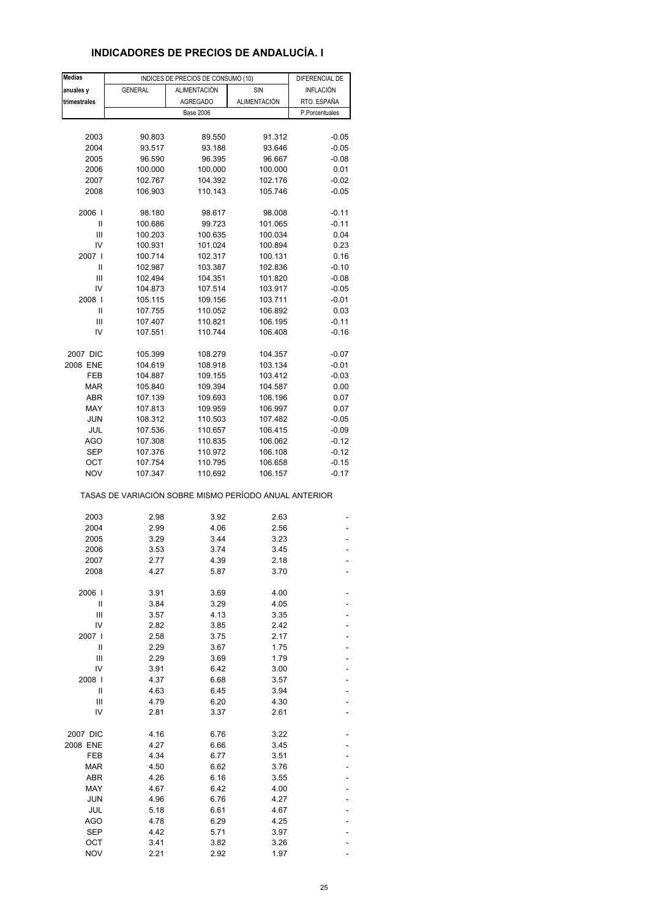## **INDICADORES DE PRECIOS DE ANDALUCÍA. I**

| <b>Medias</b> |                                                       | INDICES DE PRECIOS DE CONSUMO (10) |                     | DIFERENCIAL DE   |
|---------------|-------------------------------------------------------|------------------------------------|---------------------|------------------|
| anuales y     | <b>GENERAL</b>                                        | <b>ALIMENTACIÓN</b>                | SIN                 | <b>INFLACIÓN</b> |
| trimestrales  |                                                       | <b>AGREGADO</b>                    | <b>ALIMENTACIÓN</b> | RTO. ESPAÑA      |
|               |                                                       | <b>Base 2006</b>                   |                     | P.Porcentuales   |
|               |                                                       |                                    |                     |                  |
| 2003          | 90.803                                                | 89.550                             | 91.312              | $-0.05$          |
| 2004          | 93.517                                                | 93.188                             | 93.646              | $-0.05$          |
| 2005          | 96.590                                                | 96.395                             | 96.667              | $-0.08$          |
| 2006          | 100.000                                               | 100.000                            | 100.000             | 0.01             |
| 2007          | 102.767                                               | 104.392                            | 102.176             | $-0.02$          |
| 2008          | 106.903                                               | 110.143                            | 105.746             | $-0.05$          |
|               |                                                       |                                    |                     |                  |
| 2006          | 98.180                                                | 98.617                             | 98.008              | $-0.11$          |
| Ш             | 100.686                                               | 99.723                             | 101.065             | $-0.11$          |
| Ш             | 100.203                                               | 100.635                            | 100.034             | 0.04             |
| IV            | 100.931                                               | 101.024                            | 100.894             | 0.23             |
| 2007 l        | 100.714                                               | 102.317                            | 100.131             | 0.16             |
| Ш             | 102.987                                               | 103.387                            | 102.836             | $-0.10$          |
| Ш             | 102.494                                               | 104.351                            | 101.820             | $-0.08$          |
| IV            | 104.873                                               | 107.514                            | 103.917             | $-0.05$          |
| 2008          | 105.115                                               | 109.156                            | 103.711             | $-0.01$          |
| Ш             | 107.755                                               | 110.052                            | 106.892             | 0.03             |
| Ш             | 107.407                                               | 110.821                            | 106.195             | $-0.11$          |
| IV            | 107.551                                               | 110.744                            | 106.408             | $-0.16$          |
|               |                                                       |                                    |                     |                  |
| 2007 DIC      | 105.399                                               | 108.279                            | 104.357             | $-0.07$          |
| 2008 ENE      | 104.619                                               | 108.918                            | 103.134             | $-0.01$          |
| FEB           | 104.887                                               | 109.155                            | 103.412             | $-0.03$          |
| <b>MAR</b>    | 105.840                                               | 109.394                            | 104.587             | 0.00             |
| ABR           | 107.139                                               | 109.693                            | 106.196             | 0.07             |
| MAY           | 107.813                                               | 109.959                            | 106.997             | 0.07             |
| JUN           | 108.312                                               | 110.503                            | 107.482             | $-0.05$          |
| JUL           | 107.536                                               | 110.657                            | 106.415             | $-0.09$          |
| <b>AGO</b>    | 107.308                                               | 110.835                            | 106.062             | $-0.12$          |
| SEP           | 107.376                                               | 110.972                            | 106.108             | $-0.12$          |
| ОСТ           | 107.754                                               | 110.795                            | 106.658             | $-0.15$          |
| <b>NOV</b>    | 107.347                                               | 110.692                            | 106.157             | $-0.17$          |
|               | TASAS DE VARIACIÓN SOBRE MISMO PERÍODO ANUAL ANTERIOR |                                    |                     |                  |
|               |                                                       |                                    |                     |                  |
| 2003          | 2.98                                                  | 3.92                               | 2.63<br>2.56        |                  |
| 2004<br>2005  | 2.99<br>3.29                                          | 4.06<br>3.44                       | 3.23                |                  |
| 2006          | 3.53                                                  | 3.74                               | 3.45                |                  |
|               |                                                       |                                    |                     |                  |
| 2007<br>2008  | 2.77<br>4.27                                          | 4.39<br>5.87                       | 2.18<br>3.70        |                  |
|               |                                                       |                                    |                     |                  |
| 2006          | 3.91                                                  | 3.69                               | 4.00                |                  |
| Ш             | 3.84                                                  | 3.29                               | 4.05                |                  |
| Ш             | 3.57                                                  | 4.13                               | 3.35                |                  |
| IV            | 2.82                                                  | 3.85                               | 2.42                |                  |
| 2007          | 2.58                                                  | 3.75                               | 2.17                |                  |
| Ш             | 2.29                                                  | 3.67                               | 1.75                |                  |
| Ш             | 2.29                                                  | 3.69                               | 1.79                |                  |
| IV            | 3.91                                                  | 6.42                               | 3.00                |                  |
| 2008          | 4.37                                                  | 6.68                               | 3.57                |                  |
| Ш             | 4.63                                                  | 6.45                               | 3.94                |                  |
| Ш             | 4.79                                                  | 6.20                               | 4.30                |                  |
| IV            | 2.81                                                  | 3.37                               | 2.61                |                  |
|               |                                                       |                                    |                     |                  |
| 2007 DIC      | 4.16                                                  | 6.76                               | 3.22                |                  |
| 2008 ENE      | 4.27                                                  | 6.66                               | 3.45                |                  |
| FEB           | 4.34                                                  | 6.77                               | 3.51                |                  |
| <b>MAR</b>    | 4.50                                                  | 6.62                               | 3.76                |                  |
| ABR           | 4.26                                                  | 6.16                               | 3.55                |                  |
| MAY           | 4.67                                                  | 6.42                               | 4.00                |                  |
| <b>JUN</b>    | 4.96                                                  | 6.76                               | 4.27                |                  |
| JUL           | 5.18                                                  | 6.61                               | 4.67                |                  |
| AGO           | 4.78                                                  | 6.29                               | 4.25                |                  |
| <b>SEP</b>    | 4.42                                                  | 5.71                               | 3.97                |                  |
| OCT           | 3.41                                                  | 3.82                               | 3.26                |                  |
| <b>NOV</b>    | 2.21                                                  | 2.92                               | 1.97                |                  |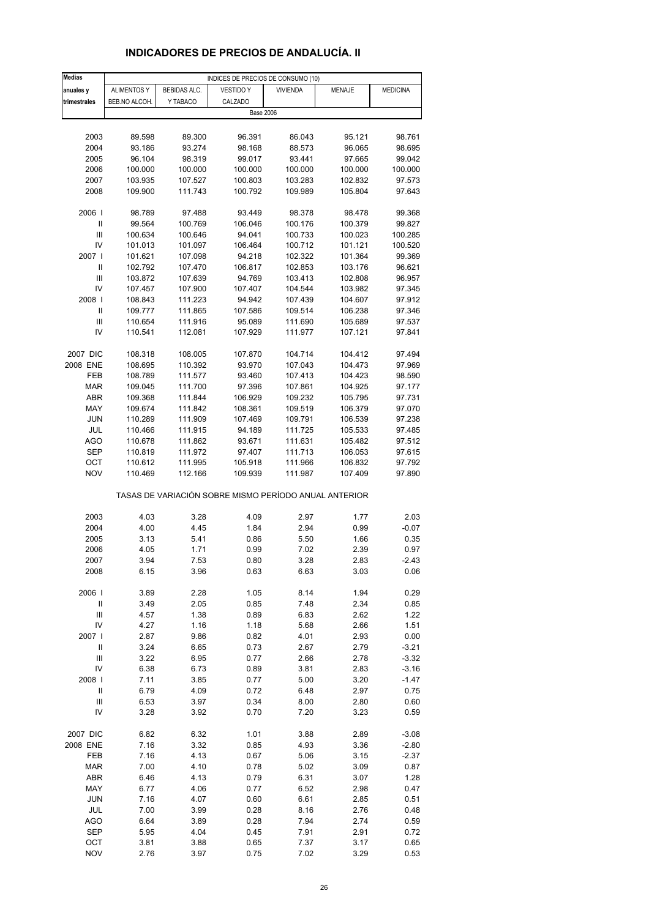# **INDICADORES DE PRECIOS DE ANDALUCÍA. II**

| <b>Medias</b>                      |                    |                     | INDICES DE PRECIOS DE CONSUMO (10)                    |                 |               |                 |
|------------------------------------|--------------------|---------------------|-------------------------------------------------------|-----------------|---------------|-----------------|
| anuales y                          | <b>ALIMENTOS Y</b> | <b>BEBIDAS ALC.</b> | <b>VESTIDO Y</b>                                      | <b>VIVIENDA</b> | <b>MENAJE</b> | <b>MEDICINA</b> |
| trimestrales                       | BEB.NO ALCOH.      | Y TABACO            | CALZADO                                               |                 |               |                 |
|                                    |                    |                     | <b>Base 2006</b>                                      |                 |               |                 |
|                                    |                    |                     |                                                       |                 |               |                 |
| 2003                               | 89.598             | 89.300              | 96.391                                                | 86.043          | 95.121        | 98.761          |
| 2004                               | 93.186             | 93.274              | 98.168                                                | 88.573          | 96.065        | 98.695          |
| 2005                               | 96.104             |                     | 99.017                                                | 93.441          | 97.665        | 99.042          |
|                                    |                    | 98.319              |                                                       |                 |               |                 |
| 2006                               | 100.000            | 100.000             | 100.000                                               | 100.000         | 100.000       | 100.000         |
| 2007                               | 103.935            | 107.527             | 100.803                                               | 103.283         | 102.832       | 97.573          |
| 2008                               | 109.900            | 111.743             | 100.792                                               | 109.989         | 105.804       | 97.643          |
|                                    |                    |                     |                                                       |                 |               |                 |
| 2006                               | 98.789             | 97.488              | 93.449                                                | 98.378          | 98.478        | 99.368          |
| Ш                                  | 99.564             | 100.769             | 106.046                                               | 100.176         | 100.379       | 99.827          |
| Ш                                  | 100.634            | 100.646             | 94.041                                                | 100.733         | 100.023       | 100.285         |
| IV                                 | 101.013            | 101.097             | 106.464                                               | 100.712         | 101.121       | 100.520         |
| 2007                               | 101.621            | 107.098             | 94.218                                                | 102.322         | 101.364       | 99.369          |
| Ш                                  | 102.792            | 107.470             | 106.817                                               | 102.853         | 103.176       | 96.621          |
| $\mathsf{III}$                     | 103.872            | 107.639             | 94.769                                                | 103.413         | 102.808       | 96.957          |
| IV                                 | 107.457            | 107.900             | 107.407                                               | 104.544         | 103.982       | 97.345          |
| 2008                               | 108.843            | 111.223             | 94.942                                                | 107.439         | 104.607       | 97.912          |
| Ш                                  | 109.777            | 111.865             | 107.586                                               | 109.514         | 106.238       | 97.346          |
| Ш                                  | 110.654            | 111.916             | 95.089                                                | 111.690         | 105.689       | 97.537          |
| IV                                 | 110.541            | 112.081             | 107.929                                               | 111.977         | 107.121       | 97.841          |
|                                    |                    |                     |                                                       |                 |               |                 |
| 2007 DIC                           | 108.318            | 108.005             | 107.870                                               | 104.714         | 104.412       | 97.494          |
| 2008 ENE                           | 108.695            | 110.392             | 93.970                                                | 107.043         | 104.473       | 97.969          |
| FEB                                | 108.789            | 111.577             | 93.460                                                | 107.413         | 104.423       | 98.590          |
| MAR                                | 109.045            | 111.700             | 97.396                                                | 107.861         | 104.925       | 97.177          |
| ABR                                | 109.368            | 111.844             | 106.929                                               | 109.232         | 105.795       | 97.731          |
| MAY                                | 109.674            | 111.842             | 108.361                                               | 109.519         | 106.379       | 97.070          |
| JUN                                | 110.289            | 111.909             | 107.469                                               | 109.791         | 106.539       | 97.238          |
|                                    |                    |                     |                                                       |                 |               |                 |
| JUL                                | 110.466            | 111.915             | 94.189                                                | 111.725         | 105.533       | 97.485          |
| AGO                                | 110.678            | 111.862             | 93.671                                                | 111.631         | 105.482       | 97.512          |
| SEP                                | 110.819            | 111.972             | 97.407                                                | 111.713         | 106.053       | 97.615          |
| OCT                                | 110.612            | 111.995             | 105.918                                               | 111.966         | 106.832       | 97.792          |
| <b>NOV</b>                         | 110.469            | 112.166             | 109.939                                               | 111.987         | 107.409       | 97.890          |
|                                    |                    |                     | TASAS DE VARIACIÓN SOBRE MISMO PERÍODO ANUAL ANTERIOR |                 |               |                 |
| 2003                               | 4.03               | 3.28                | 4.09                                                  | 2.97            | 1.77          | 2.03            |
|                                    |                    |                     |                                                       |                 |               | $-0.07$         |
| 2004                               | 4.00               | 4.45                | 1.84                                                  | 2.94            | 0.99          |                 |
| 2005                               | 3.13               | 5.41                | 0.86                                                  | 5.50            | 1.66          | 0.35            |
| 2006                               | 4.05               | 1.71                | 0.99                                                  | 7.02            | 2.39          | 0.97            |
| 2007                               | 3.94               | 7.53                | 0.80                                                  | 3.28            | 2.83          | $-2.43$         |
| 2008                               | 6.15               | 3.96                | 0.63                                                  | 6.63            | 3.03          | 0.06            |
|                                    |                    |                     |                                                       |                 |               |                 |
| 2006                               | 3.89               | 2.28                | 1.05                                                  | 8.14            | 1.94          | 0.29            |
| $\ensuremath{\mathsf{II}}$         | 3.49               | 2.05                | 0.85                                                  | 7.48            | 2.34          | 0.85            |
| Ш                                  | 4.57               | 1.38                | 0.89                                                  | 6.83            | 2.62          | 1.22            |
| IV                                 | 4.27               | 1.16                | 1.18                                                  | 5.68            | 2.66          | 1.51            |
| 2007 l                             | 2.87               | 9.86                | 0.82                                                  | 4.01            | 2.93          | 0.00            |
| $\ensuremath{\mathsf{II}}$         | 3.24               | 6.65                | 0.73                                                  | 2.67            | 2.79          | $-3.21$         |
| $\ensuremath{\mathsf{III}}\xspace$ | 3.22               | 6.95                | 0.77                                                  | 2.66            | 2.78          | $-3.32$         |
| IV                                 | 6.38               | 6.73                | 0.89                                                  | 3.81            | 2.83          | $-3.16$         |
| 2008                               | 7.11               | 3.85                | 0.77                                                  | 5.00            | 3.20          | $-1.47$         |
| $\ensuremath{\mathsf{II}}$         | 6.79               | 4.09                | 0.72                                                  | 6.48            | 2.97          | 0.75            |
| Ш                                  | 6.53               | 3.97                | 0.34                                                  | 8.00            | 2.80          | 0.60            |
| IV                                 | 3.28               | 3.92                | 0.70                                                  | 7.20            | 3.23          | 0.59            |
|                                    |                    |                     |                                                       |                 |               |                 |
| 2007 DIC                           | 6.82               | 6.32                | 1.01                                                  | 3.88            | 2.89          | $-3.08$         |
| 2008 ENE                           | 7.16               | 3.32                | 0.85                                                  | 4.93            | 3.36          | $-2.80$         |
| FEB                                | 7.16               | 4.13                | 0.67                                                  | 5.06            | 3.15          | $-2.37$         |
| <b>MAR</b>                         | 7.00               | 4.10                | 0.78                                                  | 5.02            | 3.09          | 0.87            |
| ABR                                | 6.46               | 4.13                | 0.79                                                  | 6.31            | 3.07          | 1.28            |
| MAY                                | 6.77               | 4.06                | 0.77                                                  | 6.52            | 2.98          | 0.47            |
| <b>JUN</b>                         | 7.16               | 4.07                | 0.60                                                  | 6.61            | 2.85          | 0.51            |
| JUL                                | 7.00               | 3.99                | 0.28                                                  | 8.16            | 2.76          | 0.48            |
| AGO                                | 6.64               | 3.89                | 0.28                                                  | 7.94            | 2.74          | 0.59            |
| SEP                                | 5.95               | 4.04                | 0.45                                                  | 7.91            | 2.91          | 0.72            |
| OCT                                | 3.81               | 3.88                | 0.65                                                  | 7.37            | 3.17          | 0.65            |
| <b>NOV</b>                         | 2.76               | 3.97                | 0.75                                                  | 7.02            | 3.29          | 0.53            |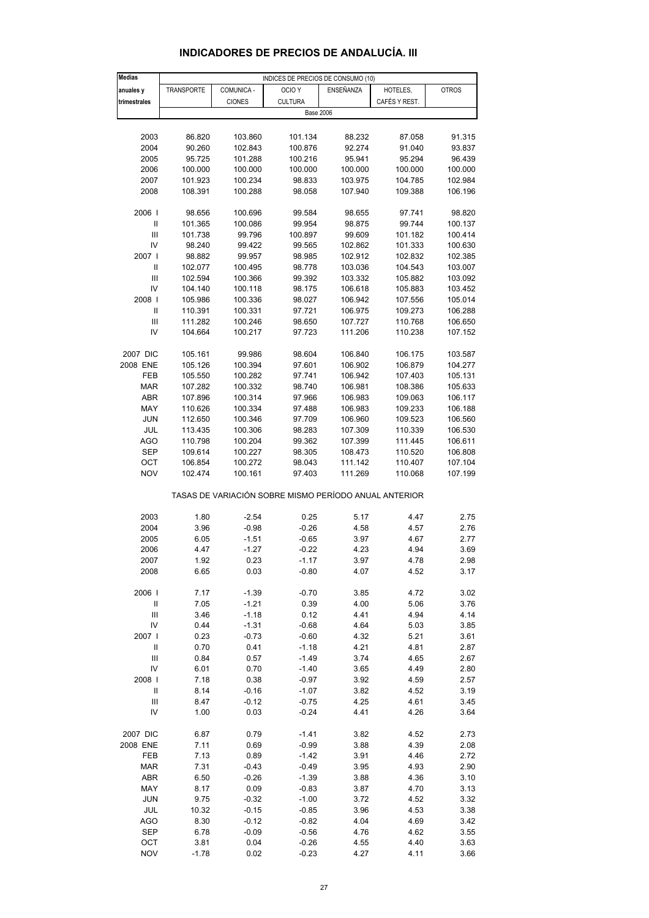| <b>Medias</b>                      |                   |               | INDICES DE PRECIOS DE CONSUMO (10)                    |                  |               |              |
|------------------------------------|-------------------|---------------|-------------------------------------------------------|------------------|---------------|--------------|
| anuales y                          | <b>TRANSPORTE</b> | COMUNICA -    | OCIO <sub>Y</sub>                                     | <b>ENSEÑANZA</b> | HOTELES,      | <b>OTROS</b> |
| trimestrales                       |                   | <b>CIONES</b> | <b>CULTURA</b>                                        |                  | CAFÉS Y REST. |              |
|                                    |                   |               | <b>Base 2006</b>                                      |                  |               |              |
|                                    |                   |               |                                                       |                  |               |              |
|                                    |                   | 103.860       |                                                       |                  | 87.058        | 91.315       |
| 2003                               | 86.820            |               | 101.134                                               | 88.232           |               |              |
| 2004                               | 90.260            | 102.843       | 100.876                                               | 92.274           | 91.040        | 93.837       |
| 2005                               | 95.725            | 101.288       | 100.216                                               | 95.941           | 95.294        | 96.439       |
| 2006                               | 100.000           | 100.000       | 100.000                                               | 100.000          | 100.000       | 100.000      |
| 2007                               | 101.923           | 100.234       | 98.833                                                | 103.975          | 104.785       | 102.984      |
| 2008                               | 108.391           | 100.288       | 98.058                                                | 107.940          | 109.388       | 106.196      |
|                                    |                   |               |                                                       |                  |               |              |
| 2006                               | 98.656            | 100.696       | 99.584                                                | 98.655           | 97.741        | 98.820       |
| Ш                                  | 101.365           | 100.086       | 99.954                                                | 98.875           | 99.744        | 100.137      |
| Ш                                  | 101.738           | 99.796        | 100.897                                               | 99.609           | 101.182       | 100.414      |
| IV                                 | 98.240            | 99.422        | 99.565                                                | 102.862          | 101.333       | 100.630      |
| 2007                               | 98.882            | 99.957        | 98.985                                                | 102.912          | 102.832       | 102.385      |
| Ш                                  | 102.077           | 100.495       | 98.778                                                | 103.036          | 104.543       | 103.007      |
| Ш                                  | 102.594           | 100.366       | 99.392                                                | 103.332          | 105.882       | 103.092      |
| IV                                 | 104.140           | 100.118       | 98.175                                                | 106.618          | 105.883       | 103.452      |
| 2008                               | 105.986           | 100.336       | 98.027                                                | 106.942          | 107.556       | 105.014      |
| $\ensuremath{\mathsf{II}}$         | 110.391           | 100.331       | 97.721                                                | 106.975          | 109.273       | 106.288      |
| Ш                                  | 111.282           | 100.246       | 98.650                                                | 107.727          | 110.768       | 106.650      |
| IV                                 |                   |               |                                                       | 111.206          |               |              |
|                                    | 104.664           | 100.217       | 97.723                                                |                  | 110.238       | 107.152      |
|                                    |                   |               |                                                       |                  |               |              |
| 2007 DIC                           | 105.161           | 99.986        | 98.604                                                | 106.840          | 106.175       | 103.587      |
| 2008 ENE                           | 105.126           | 100.394       | 97.601                                                | 106.902          | 106.879       | 104.277      |
| FEB                                | 105.550           | 100.282       | 97.741                                                | 106.942          | 107.403       | 105.131      |
| MAR                                | 107.282           | 100.332       | 98.740                                                | 106.981          | 108.386       | 105.633      |
| ABR                                | 107.896           | 100.314       | 97.966                                                | 106.983          | 109.063       | 106.117      |
| MAY                                | 110.626           | 100.334       | 97.488                                                | 106.983          | 109.233       | 106.188      |
| <b>JUN</b>                         | 112.650           | 100.346       | 97.709                                                | 106.960          | 109.523       | 106.560      |
| JUL                                | 113.435           | 100.306       | 98.283                                                | 107.309          | 110.339       | 106.530      |
| AGO                                | 110.798           | 100.204       | 99.362                                                | 107.399          | 111.445       | 106.611      |
| SEP                                | 109.614           | 100.227       | 98.305                                                | 108.473          | 110.520       | 106.808      |
| OCT                                | 106.854           | 100.272       | 98.043                                                | 111.142          | 110.407       | 107.104      |
| <b>NOV</b>                         | 102.474           | 100.161       | 97.403                                                | 111.269          | 110.068       | 107.199      |
|                                    |                   |               |                                                       |                  |               |              |
|                                    |                   |               | TASAS DE VARIACIÓN SOBRE MISMO PERÍODO ANUAL ANTERIOR |                  |               |              |
|                                    |                   |               |                                                       |                  |               |              |
| 2003                               | 1.80              | $-2.54$       | 0.25                                                  | 5.17             | 4.47          | 2.75         |
| 2004                               | 3.96              | $-0.98$       | $-0.26$                                               | 4.58             | 4.57          | 2.76         |
| 2005                               | 6.05              | $-1.51$       | $-0.65$                                               | 3.97             | 4.67          | 2.77         |
| 2006                               | 4.47              | $-1.27$       | $-0.22$                                               | 4.23             | 4.94          | 3.69         |
| 2007                               |                   | 0.23          | $-1.17$                                               | 3.97             | 4.78          | 2.98         |
|                                    | 1.92              |               |                                                       |                  |               |              |
| 2008                               | 6.65              | 0.03          | $-0.80$                                               | 4.07             | 4.52          | 3.17         |
|                                    |                   |               |                                                       |                  |               |              |
| 2006                               | 7.17              | $-1.39$       | $-0.70$                                               | 3.85             | 4.72          | 3.02         |
| Ш                                  | 7.05              | $-1.21$       | 0.39                                                  | 4.00             | 5.06          | 3.76         |
| $\ensuremath{\mathsf{III}}\xspace$ | 3.46              | $-1.18$       | 0.12                                                  | 4.41             | 4.94          | 4.14         |
| IV                                 | 0.44              | $-1.31$       | $-0.68$                                               | 4.64             | 5.03          | 3.85         |
| 2007                               | 0.23              | $-0.73$       | $-0.60$                                               | 4.32             | 5.21          | 3.61         |
| $\ensuremath{\mathsf{II}}$         | 0.70              | 0.41          | $-1.18$                                               | 4.21             | 4.81          | 2.87         |
| Ш                                  | 0.84              | 0.57          | $-1.49$                                               | 3.74             | 4.65          | 2.67         |
| IV                                 | 6.01              | 0.70          | $-1.40$                                               | 3.65             | 4.49          | 2.80         |
| 2008                               | 7.18              | 0.38          | $-0.97$                                               | 3.92             | 4.59          | 2.57         |
| $\mathsf{I}$                       | 8.14              | $-0.16$       | $-1.07$                                               | 3.82             | 4.52          | 3.19         |
| $\ensuremath{\mathsf{III}}\xspace$ | 8.47              | $-0.12$       | $-0.75$                                               | 4.25             | 4.61          | 3.45         |
| IV                                 | 1.00              | 0.03          | $-0.24$                                               | 4.41             | 4.26          | 3.64         |
|                                    |                   |               |                                                       |                  |               |              |
| 2007 DIC                           | 6.87              | 0.79          | $-1.41$                                               | 3.82             | 4.52          | 2.73         |
| 2008 ENE                           | 7.11              | 0.69          | $-0.99$                                               | 3.88             | 4.39          | 2.08         |
| FEB                                | 7.13              | 0.89          | $-1.42$                                               | 3.91             | 4.46          | 2.72         |
| MAR                                | 7.31              | $-0.43$       | $-0.49$                                               | 3.95             | 4.93          | 2.90         |
| ABR                                | 6.50              | $-0.26$       | $-1.39$                                               | 3.88             | 4.36          | 3.10         |
|                                    |                   |               |                                                       |                  |               |              |
| MAY                                | 8.17              | 0.09          | $-0.83$                                               | 3.87             | 4.70          | 3.13         |
| <b>JUN</b>                         | 9.75              | $-0.32$       | $-1.00$                                               | 3.72             | 4.52          | 3.32         |
| JUL                                | 10.32             | $-0.15$       | $-0.85$                                               | 3.96             | 4.53          | 3.38         |
| <b>AGO</b>                         | 8.30              | $-0.12$       | $-0.82$                                               | 4.04             | 4.69          | 3.42         |
| <b>SEP</b>                         | 6.78              | $-0.09$       | $-0.56$                                               | 4.76             | 4.62          | 3.55         |
| OCT                                | 3.81              | 0.04          | $-0.26$                                               | 4.55             | 4.40          | 3.63         |

#### **INDICADORES DE PRECIOS DE ANDALUCÍA. III**

NOV -1.78 0.02 -0.23 4.27 4.11 3.66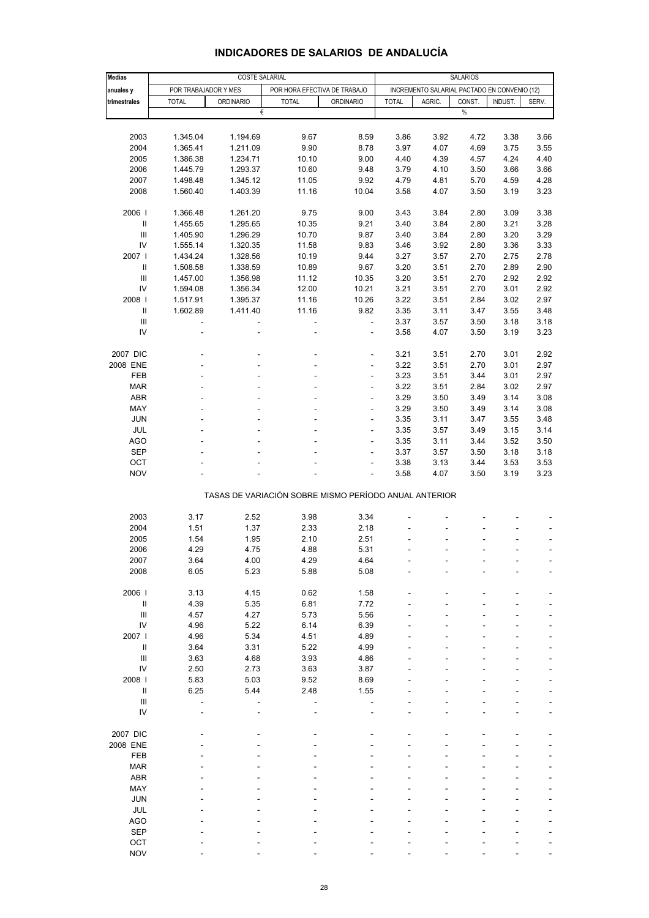| <b>Medias</b>                      |                      | <b>COSTE SALARIAL</b> |                                                       |                          | <b>SALARIOS</b> |                                              |        |         |                              |  |
|------------------------------------|----------------------|-----------------------|-------------------------------------------------------|--------------------------|-----------------|----------------------------------------------|--------|---------|------------------------------|--|
|                                    |                      |                       |                                                       |                          |                 |                                              |        |         |                              |  |
| anuales y                          | POR TRABAJADOR Y MES |                       | POR HORA EFECTIVA DE TRABAJO                          |                          |                 | INCREMENTO SALARIAL PACTADO EN CONVENIO (12) |        |         |                              |  |
| trimestrales                       | <b>TOTAL</b>         | <b>ORDINARIO</b>      | <b>TOTAL</b>                                          | <b>ORDINARIO</b>         | <b>TOTAL</b>    | AGRIC.                                       | CONST. | INDUST. | SERV.                        |  |
|                                    |                      | €                     |                                                       |                          |                 |                                              | $\%$   |         |                              |  |
|                                    |                      |                       |                                                       |                          |                 |                                              |        |         |                              |  |
| 2003                               | 1.345.04             | 1.194.69              | 9.67                                                  | 8.59                     | 3.86            | 3.92                                         | 4.72   | 3.38    | 3.66                         |  |
| 2004                               | 1.365.41             | 1.211.09              | 9.90                                                  | 8.78                     | 3.97            | 4.07                                         | 4.69   | 3.75    | 3.55                         |  |
| 2005                               | 1.386.38             | 1.234.71              | 10.10                                                 | 9.00                     | 4.40            | 4.39                                         | 4.57   | 4.24    | 4.40                         |  |
| 2006                               |                      |                       |                                                       |                          |                 |                                              |        |         | 3.66                         |  |
|                                    | 1.445.79             | 1.293.37              | 10.60                                                 | 9.48                     | 3.79            | 4.10                                         | 3.50   | 3.66    |                              |  |
| 2007                               | 1.498.48             | 1.345.12              | 11.05                                                 | 9.92                     | 4.79            | 4.81                                         | 5.70   | 4.59    | 4.28                         |  |
| 2008                               | 1.560.40             | 1.403.39              | 11.16                                                 | 10.04                    | 3.58            | 4.07                                         | 3.50   | 3.19    | 3.23                         |  |
|                                    |                      |                       |                                                       |                          |                 |                                              |        |         |                              |  |
| 2006                               | 1.366.48             | 1.261.20              | 9.75                                                  | 9.00                     | 3.43            | 3.84                                         | 2.80   | 3.09    | 3.38                         |  |
| $\mathbf{II}$                      | 1.455.65             | 1.295.65              | 10.35                                                 | 9.21                     | 3.40            | 3.84                                         | 2.80   | 3.21    | 3.28                         |  |
| Ш                                  | 1.405.90             | 1.296.29              | 10.70                                                 | 9.87                     | 3.40            | 3.84                                         | 2.80   | 3.20    | 3.29                         |  |
| IV                                 | 1.555.14             | 1.320.35              | 11.58                                                 | 9.83                     | 3.46            | 3.92                                         | 2.80   | 3.36    | 3.33                         |  |
| 2007 l                             | 1.434.24             | 1.328.56              | 10.19                                                 | 9.44                     | 3.27            | 3.57                                         | 2.70   | 2.75    | 2.78                         |  |
| $\, \parallel$                     | 1.508.58             | 1.338.59              | 10.89                                                 | 9.67                     | 3.20            | 3.51                                         | 2.70   | 2.89    | 2.90                         |  |
| Ш                                  | 1.457.00             | 1.356.98              | 11.12                                                 | 10.35                    | 3.20            | 3.51                                         | 2.70   | 2.92    | 2.92                         |  |
| IV                                 | 1.594.08             | 1.356.34              | 12.00                                                 | 10.21                    | 3.21            | 3.51                                         | 2.70   | 3.01    | 2.92                         |  |
| 2008                               | 1.517.91             | 1.395.37              | 11.16                                                 | 10.26                    | 3.22            | 3.51                                         | 2.84   | 3.02    | 2.97                         |  |
| $\, \parallel$                     |                      | 1.411.40              | 11.16                                                 | 9.82                     | 3.35            | 3.11                                         | 3.47   | 3.55    | 3.48                         |  |
|                                    | 1.602.89             |                       |                                                       |                          |                 |                                              |        |         |                              |  |
| $\ensuremath{\mathsf{III}}\xspace$ |                      |                       | ÷,                                                    | $\blacksquare$           | 3.37            | 3.57                                         | 3.50   | 3.18    | 3.18                         |  |
| IV                                 | ä,                   | ÷,                    | ä,                                                    | $\blacksquare$           | 3.58            | 4.07                                         | 3.50   | 3.19    | 3.23                         |  |
|                                    |                      |                       |                                                       |                          |                 |                                              |        |         |                              |  |
| 2007 DIC                           |                      |                       |                                                       | ٠                        | 3.21            | 3.51                                         | 2.70   | 3.01    | 2.92                         |  |
| 2008 ENE                           |                      |                       | ÷.                                                    | $\overline{\phantom{a}}$ | 3.22            | 3.51                                         | 2.70   | 3.01    | 2.97                         |  |
| FEB                                |                      |                       |                                                       | ÷                        | 3.23            | 3.51                                         | 3.44   | 3.01    | 2.97                         |  |
| <b>MAR</b>                         |                      |                       |                                                       |                          | 3.22            | 3.51                                         | 2.84   | 3.02    | 2.97                         |  |
| <b>ABR</b>                         |                      |                       |                                                       | $\overline{\phantom{a}}$ | 3.29            | 3.50                                         | 3.49   | 3.14    | 3.08                         |  |
| MAY                                |                      |                       |                                                       | Ĭ.                       | 3.29            | 3.50                                         | 3.49   | 3.14    | 3.08                         |  |
| <b>JUN</b>                         |                      |                       |                                                       | ÷                        | 3.35            | 3.11                                         | 3.47   | 3.55    | 3.48                         |  |
|                                    |                      |                       |                                                       |                          |                 |                                              |        |         |                              |  |
| JUL                                |                      |                       |                                                       | $\overline{\phantom{a}}$ | 3.35            | 3.57                                         | 3.49   | 3.15    | 3.14                         |  |
| <b>AGO</b>                         |                      |                       |                                                       | L,                       | 3.35            | 3.11                                         | 3.44   | 3.52    | 3.50                         |  |
| <b>SEP</b>                         |                      |                       |                                                       |                          | 3.37            | 3.57                                         | 3.50   | 3.18    | 3.18                         |  |
| OCT                                |                      |                       |                                                       | $\overline{\phantom{a}}$ | 3.38            | 3.13                                         | 3.44   | 3.53    | 3.53                         |  |
| <b>NOV</b>                         |                      |                       |                                                       |                          | 3.58            | 4.07                                         | 3.50   | 3.19    | 3.23                         |  |
|                                    |                      |                       |                                                       |                          |                 |                                              |        |         |                              |  |
|                                    |                      |                       | TASAS DE VARIACIÓN SOBRE MISMO PERÍODO ANUAL ANTERIOR |                          |                 |                                              |        |         |                              |  |
|                                    |                      |                       |                                                       |                          |                 |                                              |        |         |                              |  |
| 2003                               | 3.17                 | 2.52                  | 3.98                                                  | 3.34                     |                 |                                              |        |         |                              |  |
| 2004                               | 1.51                 | 1.37                  | 2.33                                                  | 2.18                     |                 |                                              |        |         | $\overline{\phantom{a}}$     |  |
| 2005                               | 1.54                 | 1.95                  | 2.10                                                  | 2.51                     |                 |                                              |        |         |                              |  |
|                                    | 4.29                 |                       |                                                       | 5.31                     | ÷.              |                                              | ä,     | ä,      |                              |  |
| 2006                               |                      | 4.75                  | 4.88                                                  |                          |                 |                                              |        |         | $\qquad \qquad \blacksquare$ |  |
| 2007                               | 3.64                 | 4.00                  | 4.29                                                  | 4.64                     |                 |                                              |        |         |                              |  |
| 2008                               | 6.05                 | 5.23                  | 5.88                                                  | 5.08                     |                 |                                              |        |         |                              |  |
|                                    |                      |                       |                                                       |                          |                 |                                              |        |         |                              |  |
| 2006                               | 3.13                 | 4.15                  | 0.62                                                  | 1.58                     |                 |                                              |        |         |                              |  |
| $\rm H$                            | 4.39                 | 5.35                  | 6.81                                                  | 7.72                     |                 |                                              |        |         |                              |  |
| $\ensuremath{\mathsf{III}}\xspace$ | 4.57                 | 4.27                  | 5.73                                                  | 5.56                     |                 |                                              |        |         |                              |  |
| IV                                 | 4.96                 | 5.22                  | 6.14                                                  | 6.39                     |                 |                                              |        |         |                              |  |
| 2007 l                             | 4.96                 | 5.34                  | 4.51                                                  | 4.89                     |                 |                                              |        |         |                              |  |
| $\rm H$                            | 3.64                 | 3.31                  | 5.22                                                  | 4.99                     |                 |                                              |        |         |                              |  |
| Ш                                  | 3.63                 | 4.68                  | 3.93                                                  | 4.86                     |                 |                                              |        |         |                              |  |
| IV                                 | 2.50                 | 2.73                  | 3.63                                                  | 3.87                     |                 |                                              |        |         |                              |  |
|                                    |                      |                       |                                                       |                          |                 |                                              |        |         |                              |  |
| 2008                               | 5.83                 | 5.03                  | 9.52                                                  | 8.69                     |                 |                                              |        |         |                              |  |
| $\rm H$                            | 6.25                 | 5.44                  | 2.48                                                  | 1.55                     |                 |                                              |        |         |                              |  |
| $\ensuremath{\mathsf{III}}\xspace$ |                      |                       |                                                       |                          |                 |                                              |        |         |                              |  |
| IV                                 |                      |                       |                                                       |                          |                 |                                              |        |         | L,                           |  |
|                                    |                      |                       |                                                       |                          |                 |                                              |        |         |                              |  |
| 2007 DIC                           |                      |                       |                                                       |                          |                 |                                              |        |         |                              |  |
| 2008 ENE                           |                      |                       |                                                       |                          |                 |                                              |        |         |                              |  |
| FEB                                |                      |                       |                                                       |                          |                 |                                              |        |         |                              |  |
| <b>MAR</b>                         |                      |                       |                                                       |                          |                 |                                              |        |         |                              |  |
| <b>ABR</b>                         |                      |                       |                                                       |                          |                 |                                              |        |         |                              |  |
| MAY                                |                      |                       |                                                       |                          |                 |                                              |        |         |                              |  |
|                                    |                      |                       |                                                       |                          |                 |                                              |        |         |                              |  |
| <b>JUN</b>                         |                      |                       |                                                       |                          |                 |                                              |        |         |                              |  |
| JUL                                |                      |                       |                                                       |                          |                 |                                              |        |         |                              |  |
| AGO                                |                      |                       |                                                       |                          |                 |                                              |        |         |                              |  |
| <b>SEP</b>                         |                      |                       |                                                       |                          |                 |                                              |        |         |                              |  |
| OCT                                |                      |                       |                                                       |                          |                 |                                              |        |         |                              |  |
| <b>NOV</b>                         |                      |                       |                                                       |                          |                 |                                              |        |         |                              |  |

#### **INDICADORES DE SALARIOS DE ANDALUCÍA**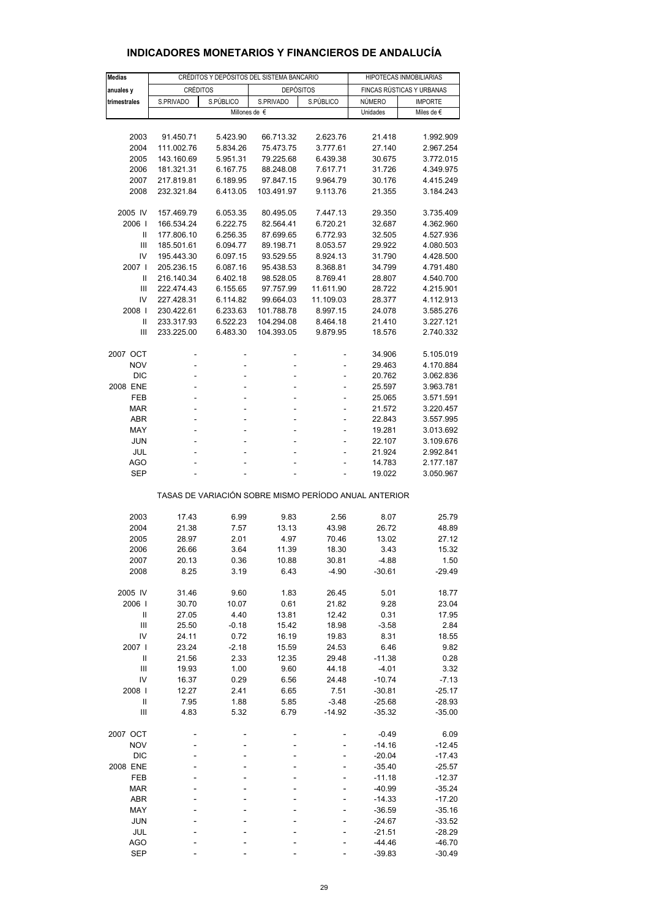| <b>Medias</b>                         |                          |                      | CRÉDITOS Y DEPÓSITOS DEL SISTEMA BANCARIO             |                      | HIPOTECAS INMOBILIARIAS |                           |  |
|---------------------------------------|--------------------------|----------------------|-------------------------------------------------------|----------------------|-------------------------|---------------------------|--|
| anuales y                             | <b>CRÉDITOS</b>          |                      | <b>DEPÓSITOS</b>                                      |                      |                         | FINCAS RÚSTICAS Y URBANAS |  |
| trimestrales                          | S.PRIVADO                | S.PÚBLICO            | S.PRIVADO                                             | S.PÚBLICO            | <b>NÚMERO</b>           | <b>IMPORTE</b>            |  |
|                                       |                          | Millones de €        |                                                       |                      | Unidades                | Miles de €                |  |
|                                       |                          |                      |                                                       |                      |                         |                           |  |
| 2003                                  | 91.450.71                | 5.423.90             | 66.713.32                                             | 2.623.76             | 21.418                  | 1.992.909                 |  |
| 2004                                  | 111.002.76               | 5.834.26             | 75.473.75                                             | 3.777.61             | 27.140                  | 2.967.254                 |  |
| 2005                                  | 143.160.69               | 5.951.31             | 79.225.68                                             | 6.439.38             | 30.675                  | 3.772.015                 |  |
| 2006                                  | 181.321.31               | 6.167.75             | 88.248.08                                             | 7.617.71             | 31.726                  | 4.349.975                 |  |
| 2007                                  | 217.819.81               | 6.189.95             | 97.847.15                                             | 9.964.79             | 30.176                  | 4.415.249                 |  |
| 2008                                  | 232.321.84               | 6.413.05             | 103.491.97                                            | 9.113.76             | 21.355                  | 3.184.243                 |  |
|                                       |                          |                      |                                                       |                      |                         |                           |  |
| 2005 IV<br>2006                       | 157.469.79<br>166.534.24 | 6.053.35<br>6.222.75 | 80.495.05                                             | 7.447.13             | 29.350                  | 3.735.409                 |  |
| $\mathsf{I}$                          | 177.806.10               | 6.256.35             | 82.564.41<br>87.699.65                                | 6.720.21<br>6.772.93 | 32.687<br>32.505        | 4.362.960<br>4.527.936    |  |
| Ш                                     | 185.501.61               | 6.094.77             | 89.198.71                                             | 8.053.57             | 29.922                  | 4.080.503                 |  |
| IV                                    | 195.443.30               | 6.097.15             | 93.529.55                                             | 8.924.13             | 31.790                  | 4.428.500                 |  |
| 2007 l                                | 205.236.15               | 6.087.16             | 95.438.53                                             | 8.368.81             | 34.799                  | 4.791.480                 |  |
| Ш                                     | 216.140.34               | 6.402.18             | 98.528.05                                             | 8.769.41             | 28.807                  | 4.540.700                 |  |
| Ш                                     | 222.474.43               | 6.155.65             | 97.757.99                                             | 11.611.90            | 28.722                  | 4.215.901                 |  |
| IV                                    | 227.428.31               | 6.114.82             | 99.664.03                                             | 11.109.03            | 28.377                  | 4.112.913                 |  |
| 2008                                  | 230.422.61               | 6.233.63             | 101.788.78                                            | 8.997.15             | 24.078                  | 3.585.276                 |  |
| Ш                                     | 233.317.93               | 6.522.23             | 104.294.08                                            | 8.464.18             | 21.410                  | 3.227.121                 |  |
| Ш                                     | 233.225.00               | 6.483.30             | 104.393.05                                            | 9.879.95             | 18.576                  | 2.740.332                 |  |
|                                       |                          |                      |                                                       |                      |                         |                           |  |
| 2007 OCT                              |                          | ä,                   |                                                       |                      | 34.906                  | 5.105.019                 |  |
| <b>NOV</b>                            | ä,                       | ä,                   |                                                       | L,                   | 29.463                  | 4.170.884                 |  |
| <b>DIC</b><br>2008 ENE                | ä,<br>÷                  | ÷                    |                                                       | ä,<br>÷              | 20.762<br>25.597        | 3.062.836<br>3.963.781    |  |
| FEB                                   | ä,                       | ÷.                   |                                                       | ÷                    | 25.065                  | 3.571.591                 |  |
| <b>MAR</b>                            |                          |                      |                                                       | ä,                   | 21.572                  | 3.220.457                 |  |
| ABR                                   | ÷                        | ÷                    |                                                       | ÷,                   | 22.843                  | 3.557.995                 |  |
| MAY                                   | ä,                       | ÷.                   |                                                       | ä,                   | 19.281                  | 3.013.692                 |  |
| JUN                                   |                          |                      |                                                       |                      | 22.107                  | 3.109.676                 |  |
| JUL                                   |                          |                      |                                                       | ÷                    | 21.924                  | 2.992.841                 |  |
| AGO                                   | ٠                        | ä,                   |                                                       | ٠                    | 14.783                  | 2.177.187                 |  |
| <b>SEP</b>                            |                          |                      |                                                       |                      | 19.022                  | 3.050.967                 |  |
|                                       |                          |                      | TASAS DE VARIACIÓN SOBRE MISMO PERÍODO ANUAL ANTERIOR |                      |                         |                           |  |
|                                       |                          |                      |                                                       |                      |                         |                           |  |
| 2003                                  | 17.43                    | 6.99                 | 9.83                                                  | 2.56                 | 8.07                    | 25.79                     |  |
| 2004                                  | 21.38<br>28.97           | 7.57                 | 13.13                                                 | 43.98                | 26.72                   | 48.89<br>27.12            |  |
| 2005<br>2006                          | 26.66                    | 2.01<br>3.64         | 4.97<br>11.39                                         | 70.46<br>18.30       | 13.02<br>3.43           | 15.32                     |  |
| 2007                                  | 20.13                    | 0.36                 | 10.88                                                 | 30.81                | -4.88                   | 1.50                      |  |
| 2008                                  | 8.25                     | 3.19                 | 6.43                                                  | $-4.90$              | $-30.61$                | $-29.49$                  |  |
|                                       |                          |                      |                                                       |                      |                         |                           |  |
| 2005 IV                               | 31.46                    | 9.60                 | 1.83                                                  | 26.45                | 5.01                    | 18.77                     |  |
| 2006                                  | 30.70                    | 10.07                | 0.61                                                  | 21.82                | 9.28                    | 23.04                     |  |
| $\begin{array}{c} \hline \end{array}$ | 27.05                    | 4.40                 | 13.81                                                 | 12.42                | 0.31                    | 17.95                     |  |
| $\mathsf{III}$                        | 25.50                    | $-0.18$              | 15.42                                                 | 18.98                | $-3.58$                 | 2.84                      |  |
| IV                                    | 24.11                    | 0.72                 | 16.19                                                 | 19.83                | 8.31                    | 18.55                     |  |
| 2007 l                                | 23.24                    | $-2.18$              | 15.59                                                 | 24.53                | 6.46                    | 9.82                      |  |
| $\begin{array}{c} \hline \end{array}$ | 21.56                    | 2.33                 | 12.35                                                 | 29.48                | $-11.38$                | 0.28                      |  |
| Ш                                     | 19.93                    | 1.00                 | 9.60                                                  | 44.18                | $-4.01$                 | 3.32                      |  |
| IV                                    | 16.37                    | 0.29                 | 6.56                                                  | 24.48                | $-10.74$                | $-7.13$                   |  |
| 2008  <br>$\mathbf{I}$                | 12.27                    | 2.41                 | 6.65                                                  | 7.51                 | $-30.81$                | $-25.17$                  |  |
| $\mathsf{III}$                        | 7.95<br>4.83             | 1.88<br>5.32         | 5.85<br>6.79                                          | $-3.48$<br>$-14.92$  | $-25.68$<br>$-35.32$    | $-28.93$<br>$-35.00$      |  |
|                                       |                          |                      |                                                       |                      |                         |                           |  |
| 2007 OCT                              |                          |                      |                                                       |                      | $-0.49$                 | 6.09                      |  |
| <b>NOV</b>                            |                          |                      |                                                       |                      | $-14.16$                | $-12.45$                  |  |
| <b>DIC</b>                            |                          |                      |                                                       |                      | $-20.04$                | $-17.43$                  |  |
| 2008 ENE<br>FEB                       |                          |                      |                                                       |                      | $-35.40$                | $-25.57$                  |  |
| <b>MAR</b>                            |                          |                      |                                                       |                      | $-11.18$<br>$-40.99$    | $-12.37$<br>$-35.24$      |  |
| ABR                                   |                          |                      |                                                       |                      | $-14.33$                | $-17.20$                  |  |
| MAY                                   |                          |                      |                                                       |                      | $-36.59$                | $-35.16$                  |  |
| <b>JUN</b>                            |                          |                      |                                                       |                      | $-24.67$                | $-33.52$                  |  |
| JUL                                   |                          |                      |                                                       |                      | $-21.51$                | $-28.29$                  |  |
| <b>AGO</b>                            |                          |                      |                                                       |                      | $-44.46$                | $-46.70$                  |  |
| <b>SEP</b>                            |                          |                      |                                                       |                      | $-39.83$                | $-30.49$                  |  |

# **INDICADORES MONETARIOS Y FINANCIEROS DE ANDALUCÍA**